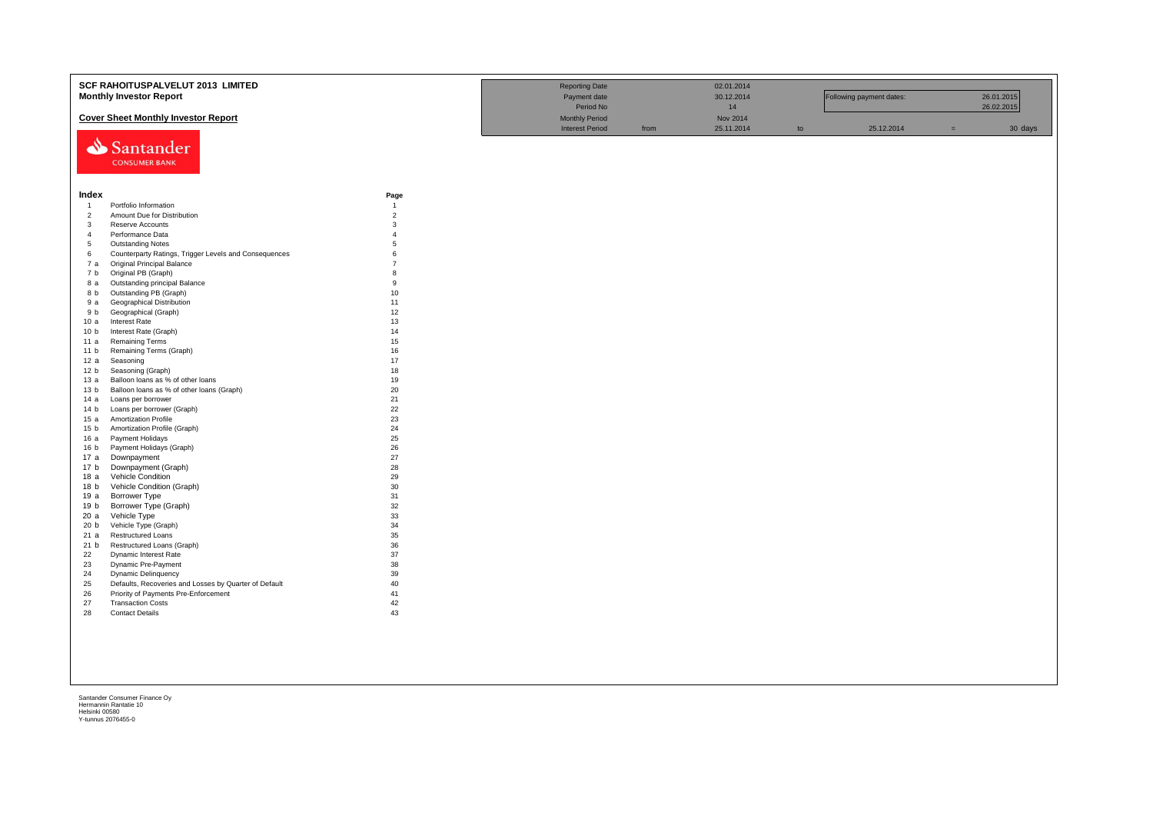|                                | SCF RAHOITUSPALVELUT 2013 LIMITED                         |                     | <b>Reporting Date</b>  |      | 02.01.2014 |    |                          |     |            |
|--------------------------------|-----------------------------------------------------------|---------------------|------------------------|------|------------|----|--------------------------|-----|------------|
|                                | <b>Monthly Investor Report</b>                            |                     | Payment date           |      | 30.12.2014 |    | Following payment dates: |     | 26.01.2015 |
|                                |                                                           |                     | Period No              |      | 14         |    |                          |     | 26.02.2015 |
|                                | <b>Cover Sheet Monthly Investor Report</b>                |                     | <b>Monthly Period</b>  |      | Nov 2014   |    |                          |     |            |
|                                |                                                           |                     | <b>Interest Period</b> | from | 25.11.2014 | to | 25.12.2014               | $=$ | 30 days    |
|                                |                                                           |                     |                        |      |            |    |                          |     |            |
|                                | Santander                                                 |                     |                        |      |            |    |                          |     |            |
|                                | <b>CONSUMER BANK</b>                                      |                     |                        |      |            |    |                          |     |            |
|                                |                                                           |                     |                        |      |            |    |                          |     |            |
|                                |                                                           |                     |                        |      |            |    |                          |     |            |
| Index                          |                                                           | Page                |                        |      |            |    |                          |     |            |
| $\overline{1}$                 | Portfolio Information                                     | $\overline{1}$      |                        |      |            |    |                          |     |            |
| $\overline{2}$<br>$\mathbf{3}$ | Amount Due for Distribution<br>Reserve Accounts           | $\overline{2}$<br>3 |                        |      |            |    |                          |     |            |
| $\overline{4}$                 | Performance Data                                          | $\mathbf{A}$        |                        |      |            |    |                          |     |            |
| $5\overline{5}$                | <b>Outstanding Notes</b>                                  | 5                   |                        |      |            |    |                          |     |            |
| 6                              | Counterparty Ratings, Trigger Levels and Consequences     | 6                   |                        |      |            |    |                          |     |            |
| 7 a                            | <b>Original Principal Balance</b>                         | $\overline{7}$      |                        |      |            |    |                          |     |            |
| 7 b                            | Original PB (Graph)                                       | $\mathbf{R}$        |                        |      |            |    |                          |     |            |
| 8 a                            | Outstanding principal Balance                             | 9                   |                        |      |            |    |                          |     |            |
| 8 b                            | Outstanding PB (Graph)                                    | 10                  |                        |      |            |    |                          |     |            |
| 9 a                            | <b>Geographical Distribution</b>                          | 11                  |                        |      |            |    |                          |     |            |
| 9 b                            | Geographical (Graph)                                      | 12                  |                        |      |            |    |                          |     |            |
| 10a                            | <b>Interest Rate</b>                                      | 13                  |                        |      |            |    |                          |     |            |
| 10 <sub>b</sub>                | Interest Rate (Graph)                                     | 14                  |                        |      |            |    |                          |     |            |
| 11 a                           | <b>Remaining Terms</b>                                    | 15                  |                        |      |            |    |                          |     |            |
| 11 <sub>b</sub>                | Remaining Terms (Graph)                                   | 16                  |                        |      |            |    |                          |     |            |
| 12 a                           | Seasoning                                                 | 17                  |                        |      |            |    |                          |     |            |
| 12 <sub>b</sub>                | Seasoning (Graph)                                         | 18                  |                        |      |            |    |                          |     |            |
| 13 а                           | Balloon loans as % of other loans                         | 19                  |                        |      |            |    |                          |     |            |
| 13 <sub>b</sub>                | Balloon loans as % of other loans (Graph)                 | 20                  |                        |      |            |    |                          |     |            |
| 14a<br>14 <sub>b</sub>         | Loans per borrower                                        | 21<br>22            |                        |      |            |    |                          |     |            |
| 15 a                           | Loans per borrower (Graph)<br><b>Amortization Profile</b> | 23                  |                        |      |            |    |                          |     |            |
| 15 <sub>b</sub>                | Amortization Profile (Graph)                              | 24                  |                        |      |            |    |                          |     |            |
| 16 a                           | Payment Holidays                                          | 25                  |                        |      |            |    |                          |     |            |
| 16 <sub>b</sub>                | Payment Holidays (Graph)                                  | 26                  |                        |      |            |    |                          |     |            |
| 17 a                           | Downpayment                                               | 27                  |                        |      |            |    |                          |     |            |
| 17 b                           | Downpayment (Graph)                                       | 28                  |                        |      |            |    |                          |     |            |
| 18 a                           | Vehicle Condition                                         | 29                  |                        |      |            |    |                          |     |            |
| 18 <sub>b</sub>                | Vehicle Condition (Graph)                                 | 30                  |                        |      |            |    |                          |     |            |
| 19 a                           | <b>Borrower Type</b>                                      | 31                  |                        |      |            |    |                          |     |            |
| 19 b                           | Borrower Type (Graph)                                     | 32                  |                        |      |            |    |                          |     |            |
| 20 a                           | Vehicle Type                                              | 33                  |                        |      |            |    |                          |     |            |
| 20 b                           | Vehicle Type (Graph)                                      | 34                  |                        |      |            |    |                          |     |            |
| 21a                            | <b>Restructured Loans</b>                                 | 35                  |                        |      |            |    |                          |     |            |
| 21 b                           | Restructured Loans (Graph)                                | 36                  |                        |      |            |    |                          |     |            |
| 22<br>23                       | Dynamic Interest Rate                                     | 37<br>38            |                        |      |            |    |                          |     |            |
| 24                             | Dynamic Pre-Payment<br>Dynamic Delinquency                | 39                  |                        |      |            |    |                          |     |            |
| 25                             | Defaults, Recoveries and Losses by Quarter of Default     | 40                  |                        |      |            |    |                          |     |            |
| 26                             | Priority of Payments Pre-Enforcement                      | 41                  |                        |      |            |    |                          |     |            |
| 27                             | <b>Transaction Costs</b>                                  | 42                  |                        |      |            |    |                          |     |            |
| 28                             | <b>Contact Details</b>                                    | 43                  |                        |      |            |    |                          |     |            |
|                                |                                                           |                     |                        |      |            |    |                          |     |            |
|                                |                                                           |                     |                        |      |            |    |                          |     |            |
|                                |                                                           |                     |                        |      |            |    |                          |     |            |
|                                |                                                           |                     |                        |      |            |    |                          |     |            |
|                                |                                                           |                     |                        |      |            |    |                          |     |            |
|                                |                                                           |                     |                        |      |            |    |                          |     |            |
|                                |                                                           |                     |                        |      |            |    |                          |     |            |
|                                |                                                           |                     |                        |      |            |    |                          |     |            |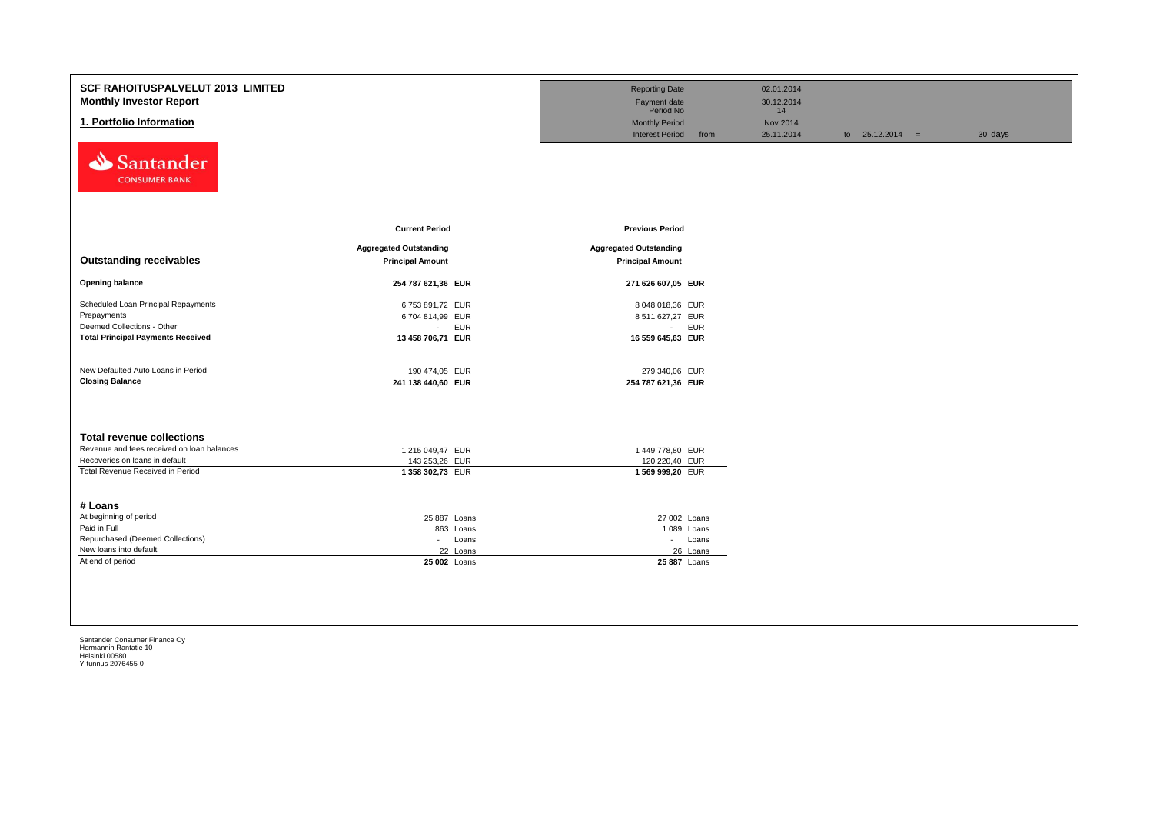| <b>SCF RAHOITUSPALVELUT 2013 LIMITED</b><br><b>Monthly Investor Report</b><br>1. Portfolio Information<br>Santander<br><b>CONSUMER BANK</b>          |                                                                                   | <b>Reporting Date</b><br>Payment date<br>Period No<br><b>Monthly Period</b><br><b>Interest Period</b><br>from | 02.01.2014<br>30.12.2014<br>14<br><b>Nov 2014</b><br>25.11.2014 | to $25.12.2014 =$ | 30 days |
|------------------------------------------------------------------------------------------------------------------------------------------------------|-----------------------------------------------------------------------------------|---------------------------------------------------------------------------------------------------------------|-----------------------------------------------------------------|-------------------|---------|
| <b>Outstanding receivables</b>                                                                                                                       | <b>Current Period</b><br><b>Aggregated Outstanding</b><br><b>Principal Amount</b> | <b>Previous Period</b><br><b>Aggregated Outstanding</b><br><b>Principal Amount</b>                            |                                                                 |                   |         |
| <b>Opening balance</b>                                                                                                                               | 254 787 621,36 EUR                                                                | 271 626 607,05 EUR                                                                                            |                                                                 |                   |         |
| Scheduled Loan Principal Repayments<br>Prepayments<br>Deemed Collections - Other<br><b>Total Principal Payments Received</b>                         | 6753 891,72 EUR<br>6704 814,99 EUR<br>- EUR<br>13 458 706,71 EUR                  | 8 048 018,36 EUR<br>8 511 627,27 EUR<br>- EUR<br>16 559 645,63 EUR                                            |                                                                 |                   |         |
| New Defaulted Auto Loans in Period<br><b>Closing Balance</b>                                                                                         | 190 474,05 EUR<br>241 138 440,60 EUR                                              | 279 340,06 EUR<br>254 787 621,36 EUR                                                                          |                                                                 |                   |         |
| <b>Total revenue collections</b><br>Revenue and fees received on loan balances<br>Recoveries on loans in default<br>Total Revenue Received in Period | 1 215 049,47 EUR<br>143 253,26 EUR<br>1358 302,73 EUR                             | 1449 778,80 EUR<br>120 220,40 EUR<br>1569 999,20 EUR                                                          |                                                                 |                   |         |
| # Loans<br>At beginning of period<br>Paid in Full<br>Repurchased (Deemed Collections)<br>New loans into default<br>At end of period                  | 25 887 Loans<br>863 Loans<br>- Loans<br>22 Loans<br>25 002 Loans                  | 27 002 Loans<br>1089 Loans<br>- Loans<br>26 Loans<br>25 887 Loans                                             |                                                                 |                   |         |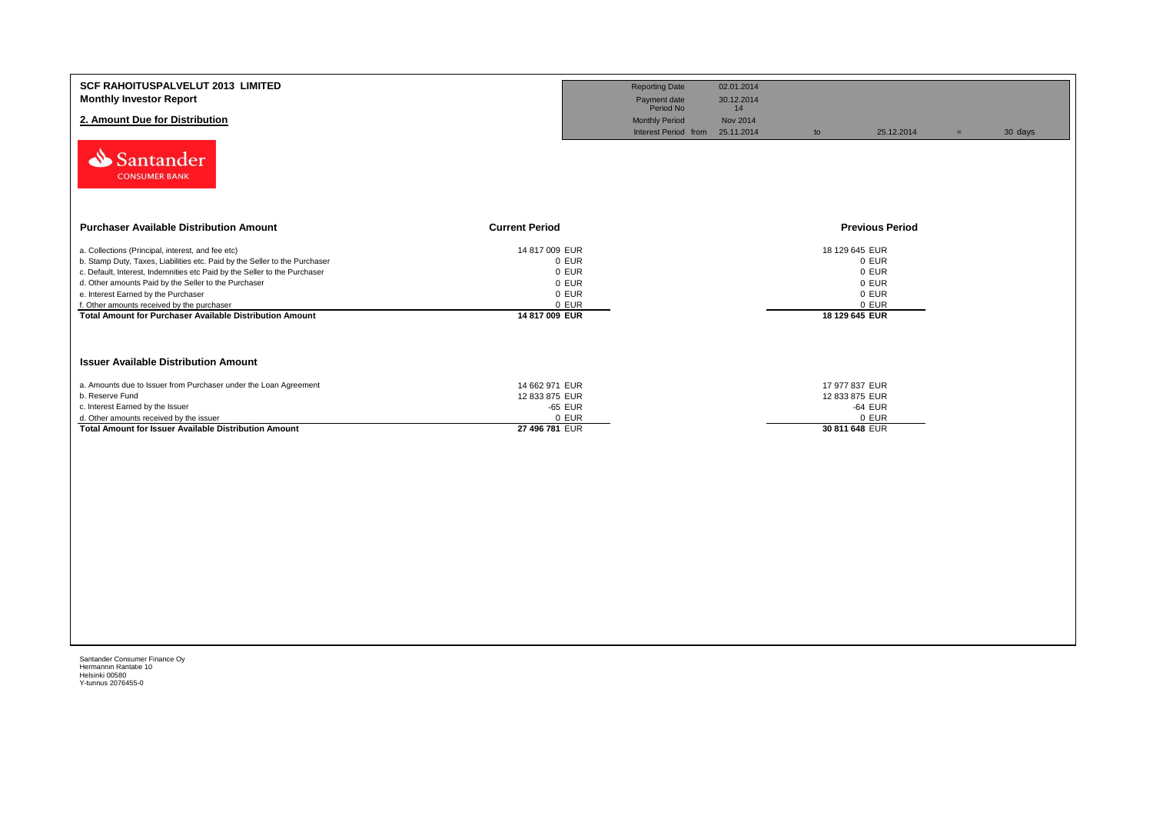| <b>SCF RAHOITUSPALVELUT 2013 LIMITED</b><br><b>Monthly Investor Report</b><br>2. Amount Due for Distribution<br>Santander<br><b>CONSUMER BANK</b>                                                                                                                                                                                                                                                                            |                                                                               | <b>Reporting Date</b><br>Payment date<br>Period No<br><b>Monthly Period</b><br>Interest Period from | 02.01.2014<br>30.12.2014<br>14<br>Nov 2014<br>25.11.2014 | to                                                 | 25.12.2014                                | 30 days<br>$=$ |  |
|------------------------------------------------------------------------------------------------------------------------------------------------------------------------------------------------------------------------------------------------------------------------------------------------------------------------------------------------------------------------------------------------------------------------------|-------------------------------------------------------------------------------|-----------------------------------------------------------------------------------------------------|----------------------------------------------------------|----------------------------------------------------|-------------------------------------------|----------------|--|
| <b>Purchaser Available Distribution Amount</b>                                                                                                                                                                                                                                                                                                                                                                               | <b>Current Period</b>                                                         |                                                                                                     |                                                          |                                                    | <b>Previous Period</b>                    |                |  |
| a. Collections (Principal, interest, and fee etc)<br>b. Stamp Duty, Taxes, Liabilities etc. Paid by the Seller to the Purchaser<br>c. Default, Interest, Indemnities etc Paid by the Seller to the Purchaser<br>d. Other amounts Paid by the Seller to the Purchaser<br>e. Interest Earned by the Purchaser<br>f. Other amounts received by the purchaser<br><b>Total Amount for Purchaser Available Distribution Amount</b> | 14 817 009 EUR<br>0 EUR<br>0 EUR<br>0 EUR<br>0 EUR<br>0 EUR<br>14 817 009 EUR |                                                                                                     |                                                          | 18 129 645 EUR<br>18 129 645 EUR                   | 0 EUR<br>0 EUR<br>0 EUR<br>0 EUR<br>0 EUR |                |  |
| <b>Issuer Available Distribution Amount</b>                                                                                                                                                                                                                                                                                                                                                                                  |                                                                               |                                                                                                     |                                                          |                                                    |                                           |                |  |
| a. Amounts due to Issuer from Purchaser under the Loan Agreement<br>b. Reserve Fund<br>c. Interest Earned by the Issuer<br>d. Other amounts received by the issuer<br>Total Amount for Issuer Available Distribution Amount                                                                                                                                                                                                  | 14 662 971 EUR<br>12 833 875 EUR<br>-65 EUR<br>0 EUR<br>27 496 781 EUR        |                                                                                                     |                                                          | 17 977 837 EUR<br>12 833 875 EUR<br>30 811 648 EUR | -64 EUR<br>0 EUR                          |                |  |
|                                                                                                                                                                                                                                                                                                                                                                                                                              |                                                                               |                                                                                                     |                                                          |                                                    |                                           |                |  |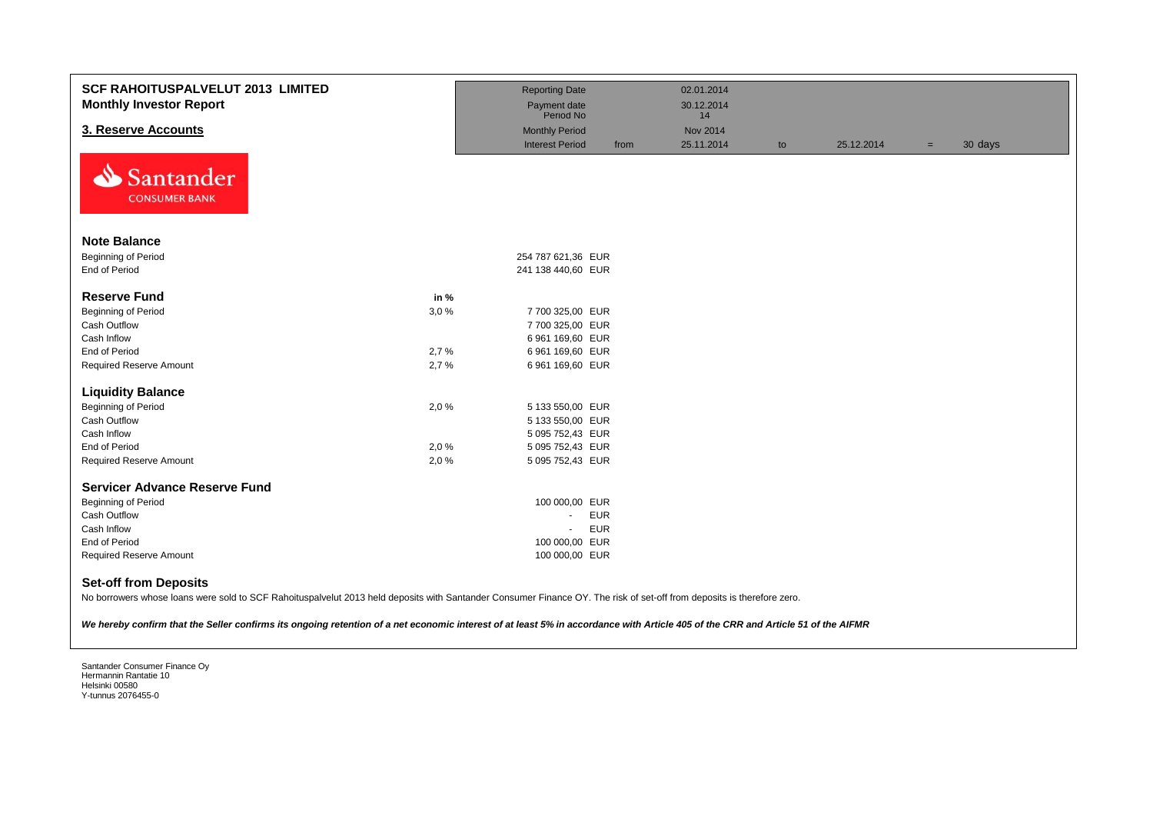| <b>SCF RAHOITUSPALVELUT 2013 LIMITED</b><br><b>Monthly Investor Report</b>                                                                                                                                                                                                                                                                                                                   |      | <b>Reporting Date</b><br>Payment date |      | 02.01.2014<br>30.12.2014 |    |            |     |         |
|----------------------------------------------------------------------------------------------------------------------------------------------------------------------------------------------------------------------------------------------------------------------------------------------------------------------------------------------------------------------------------------------|------|---------------------------------------|------|--------------------------|----|------------|-----|---------|
|                                                                                                                                                                                                                                                                                                                                                                                              |      | Period No                             |      | 14                       |    |            |     |         |
| 3. Reserve Accounts                                                                                                                                                                                                                                                                                                                                                                          |      | <b>Monthly Period</b>                 |      | <b>Nov 2014</b>          |    |            |     |         |
| N<br>Santander<br><b>CONSUMER BANK</b>                                                                                                                                                                                                                                                                                                                                                       |      | <b>Interest Period</b>                | from | 25.11.2014               | to | 25.12.2014 | $=$ | 30 days |
| <b>Note Balance</b>                                                                                                                                                                                                                                                                                                                                                                          |      |                                       |      |                          |    |            |     |         |
| Beginning of Period                                                                                                                                                                                                                                                                                                                                                                          |      | 254 787 621,36 EUR                    |      |                          |    |            |     |         |
| End of Period                                                                                                                                                                                                                                                                                                                                                                                |      | 241 138 440,60 EUR                    |      |                          |    |            |     |         |
|                                                                                                                                                                                                                                                                                                                                                                                              |      |                                       |      |                          |    |            |     |         |
| <b>Reserve Fund</b>                                                                                                                                                                                                                                                                                                                                                                          | in % |                                       |      |                          |    |            |     |         |
| Beginning of Period                                                                                                                                                                                                                                                                                                                                                                          | 3,0% | 7 700 325,00 EUR                      |      |                          |    |            |     |         |
| Cash Outflow                                                                                                                                                                                                                                                                                                                                                                                 |      | 7 700 325,00 EUR                      |      |                          |    |            |     |         |
| Cash Inflow                                                                                                                                                                                                                                                                                                                                                                                  |      | 6 961 169,60 EUR                      |      |                          |    |            |     |         |
| End of Period                                                                                                                                                                                                                                                                                                                                                                                | 2,7% | 6 961 169,60 EUR                      |      |                          |    |            |     |         |
| <b>Required Reserve Amount</b>                                                                                                                                                                                                                                                                                                                                                               | 2,7% | 6 961 169,60 EUR                      |      |                          |    |            |     |         |
| <b>Liquidity Balance</b>                                                                                                                                                                                                                                                                                                                                                                     |      |                                       |      |                          |    |            |     |         |
| Beginning of Period                                                                                                                                                                                                                                                                                                                                                                          | 2,0% | 5 133 550,00 EUR                      |      |                          |    |            |     |         |
| Cash Outflow                                                                                                                                                                                                                                                                                                                                                                                 |      | 5 133 550,00 EUR                      |      |                          |    |            |     |         |
| Cash Inflow                                                                                                                                                                                                                                                                                                                                                                                  |      | 5 095 752,43 EUR                      |      |                          |    |            |     |         |
| End of Period                                                                                                                                                                                                                                                                                                                                                                                | 2,0% | 5 095 752,43 EUR                      |      |                          |    |            |     |         |
| <b>Required Reserve Amount</b>                                                                                                                                                                                                                                                                                                                                                               | 2,0% | 5 095 752,43 EUR                      |      |                          |    |            |     |         |
|                                                                                                                                                                                                                                                                                                                                                                                              |      |                                       |      |                          |    |            |     |         |
| <b>Servicer Advance Reserve Fund</b>                                                                                                                                                                                                                                                                                                                                                         |      |                                       |      |                          |    |            |     |         |
| <b>Beginning of Period</b>                                                                                                                                                                                                                                                                                                                                                                   |      | 100 000,00 EUR                        |      |                          |    |            |     |         |
| <b>Cash Outflow</b>                                                                                                                                                                                                                                                                                                                                                                          |      | <b>EUR</b><br>÷.                      |      |                          |    |            |     |         |
| Cash Inflow                                                                                                                                                                                                                                                                                                                                                                                  |      | <b>EUR</b>                            |      |                          |    |            |     |         |
| End of Period                                                                                                                                                                                                                                                                                                                                                                                |      | 100 000,00 EUR                        |      |                          |    |            |     |         |
| <b>Required Reserve Amount</b>                                                                                                                                                                                                                                                                                                                                                               |      | 100 000,00 EUR                        |      |                          |    |            |     |         |
| <b>Set-off from Deposits</b><br>$\overline{111}$ $\overline{00}$ $\overline{0}$ $\overline{111}$ $\overline{111}$ $\overline{00}$ $\overline{111}$ $\overline{111}$ $\overline{111}$ $\overline{111}$ $\overline{111}$ $\overline{111}$ $\overline{111}$ $\overline{111}$ $\overline{111}$ $\overline{111}$ $\overline{111}$ $\overline{111}$ $\overline{111}$ $\overline{111}$ $\overline{$ |      |                                       |      |                          |    |            |     |         |

No borrowers whose loans were sold to SCF Rahoituspalvelut 2013 held deposits with Santander Consumer Finance OY. The risk of set-off from deposits is therefore zero.

*We hereby confirm that the Seller confirms its ongoing retention of a net economic interest of at least 5% in accordance with Article 405 of the CRR and Article 51 of the AIFMR*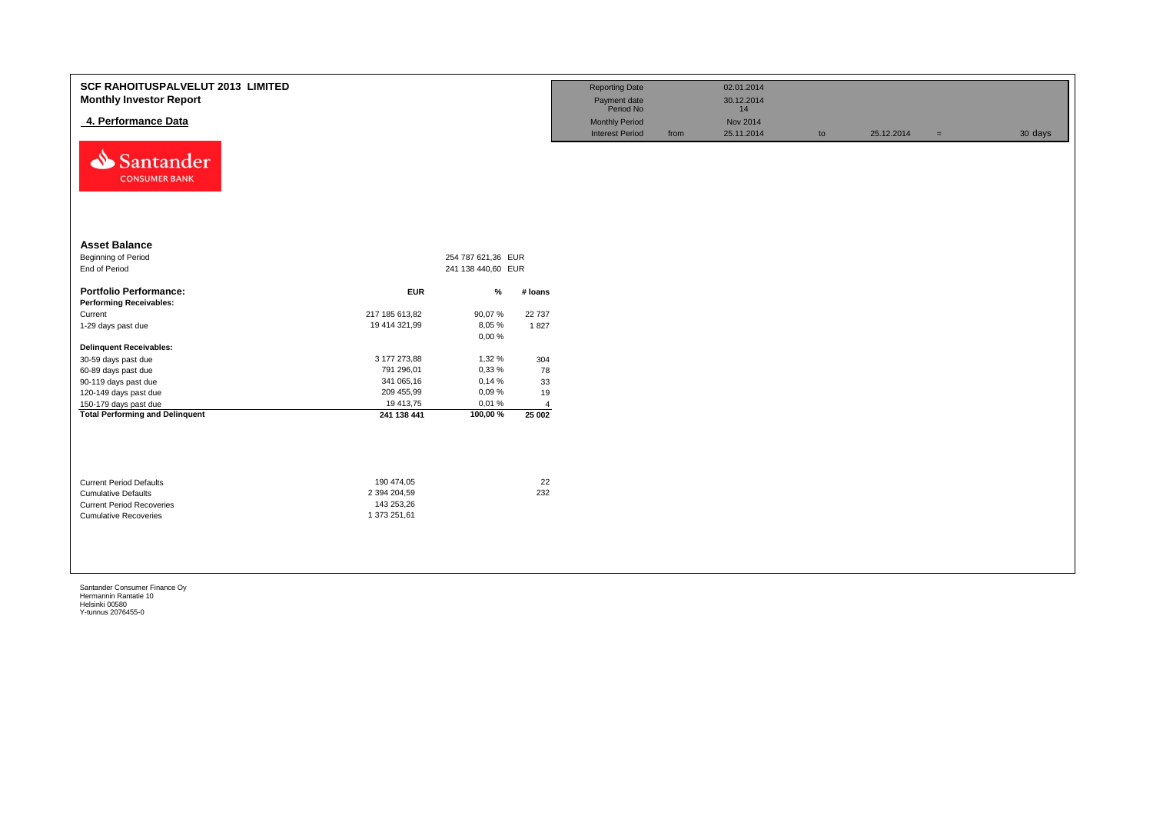| SCF RAHOITUSPALVELUT 2013 LIMITED<br><b>Monthly Investor Report</b><br>4. Performance Data<br>⇘<br>Santander<br><b>CONSUMER BANK</b> |                                 |                                          |                | <b>Reporting Date</b><br>Payment date<br>Period No<br><b>Monthly Period</b><br><b>Interest Period</b> | from | 02.01.2014<br>30.12.2014<br>14<br>Nov 2014<br>25.11.2014 | to | 25.12.2014 | $=$ | 30 days |
|--------------------------------------------------------------------------------------------------------------------------------------|---------------------------------|------------------------------------------|----------------|-------------------------------------------------------------------------------------------------------|------|----------------------------------------------------------|----|------------|-----|---------|
| <b>Asset Balance</b><br>Beginning of Period<br>End of Period                                                                         |                                 | 254 787 621,36 EUR<br>241 138 440,60 EUR |                |                                                                                                       |      |                                                          |    |            |     |         |
| <b>Portfolio Performance:</b>                                                                                                        | <b>EUR</b>                      | $\%$                                     | # loans        |                                                                                                       |      |                                                          |    |            |     |         |
| <b>Performing Receivables:</b>                                                                                                       |                                 |                                          |                |                                                                                                       |      |                                                          |    |            |     |         |
| Current<br>1-29 days past due                                                                                                        | 217 185 613,82<br>19 414 321,99 | 90,07%<br>8,05%                          | 22 737<br>1827 |                                                                                                       |      |                                                          |    |            |     |         |
|                                                                                                                                      |                                 | 0,00%                                    |                |                                                                                                       |      |                                                          |    |            |     |         |
| <b>Delinquent Receivables:</b>                                                                                                       |                                 |                                          |                |                                                                                                       |      |                                                          |    |            |     |         |
| 30-59 days past due                                                                                                                  | 3 177 273,88                    | 1,32 %                                   | 304            |                                                                                                       |      |                                                          |    |            |     |         |
| 60-89 days past due                                                                                                                  | 791 296,01                      | 0,33%                                    | 78             |                                                                                                       |      |                                                          |    |            |     |         |
| 90-119 days past due                                                                                                                 | 341 065,16                      | 0,14%                                    | 33             |                                                                                                       |      |                                                          |    |            |     |         |
| 120-149 days past due                                                                                                                | 209 455,99                      | 0,09%                                    | 19             |                                                                                                       |      |                                                          |    |            |     |         |
| 150-179 days past due                                                                                                                | 19 413,75                       | 0,01%                                    | $\overline{4}$ |                                                                                                       |      |                                                          |    |            |     |         |
| <b>Total Performing and Delinquent</b>                                                                                               | 241 138 441                     | 100,00%                                  | 25 002         |                                                                                                       |      |                                                          |    |            |     |         |
| <b>Current Period Defaults</b><br><b>Cumulative Defaults</b>                                                                         | 190 474,05<br>2 394 204,59      |                                          | 22<br>232      |                                                                                                       |      |                                                          |    |            |     |         |
| <b>Current Period Recoveries</b><br><b>Cumulative Recoveries</b>                                                                     | 143 253,26<br>1 373 251,61      |                                          |                |                                                                                                       |      |                                                          |    |            |     |         |
|                                                                                                                                      |                                 |                                          |                |                                                                                                       |      |                                                          |    |            |     |         |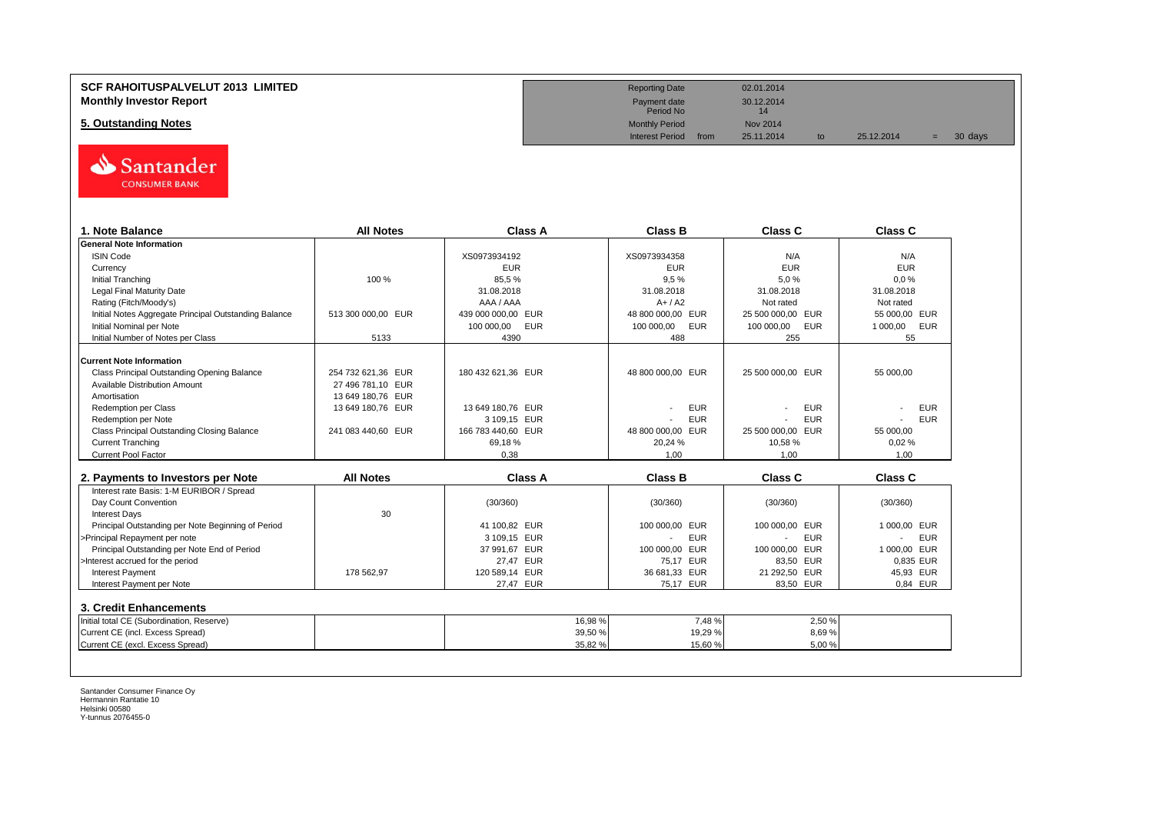### **SCF RAHOITUSPALVELUT 2013 LIMITED Reporting Date** 02.01.2014 **Monthly Investor Report** 2001<br> **Monthly Investor Report** 2001<br>
Payment date 30.12.2014<br>
Period No

# **5. Outstanding Notes** Monthly Period Nov 2014<br>
Monthly Period Nov 2014<br>
Interest Period from 25.11.2014



| 1. Note Balance                                       | <b>All Notes</b>   | Class A            | <b>Class B</b>                         | Class C                  | Class C         |
|-------------------------------------------------------|--------------------|--------------------|----------------------------------------|--------------------------|-----------------|
| <b>General Note Information</b>                       |                    |                    |                                        |                          |                 |
| <b>ISIN Code</b>                                      |                    | XS0973934192       | XS0973934358                           | N/A                      | N/A             |
| Currency                                              |                    | <b>EUR</b>         | <b>EUR</b>                             | <b>EUR</b>               | <b>EUR</b>      |
| <b>Initial Tranching</b>                              | 100 %              | 85,5%              | 9.5%                                   | 5.0%                     | 0.0%            |
| <b>Legal Final Maturity Date</b>                      |                    | 31.08.2018         | 31.08.2018                             | 31.08.2018               | 31.08.2018      |
| Rating (Fitch/Moody's)                                |                    | AAA / AAA          | $A+ / A2$                              | Not rated                | Not rated       |
| Initial Notes Aggregate Principal Outstanding Balance | 513 300 000,00 EUR | 439 000 000,00 EUR | 48 800 000,00 EUR                      | 25 500 000,00 EUR        | 55 000,00 EUR   |
| Initial Nominal per Note                              |                    | 100 000,00<br>EUR  | 100 000,00<br><b>EUR</b>               | 100 000,00<br><b>EUR</b> | 1 000,00<br>EUR |
| Initial Number of Notes per Class                     | 5133               | 4390               | 488                                    | 255                      | 55              |
| <b>Current Note Information</b>                       |                    |                    |                                        |                          |                 |
| Class Principal Outstanding Opening Balance           | 254 732 621.36 EUR | 180 432 621,36 EUR | 48 800 000,00 EUR                      | 25 500 000,00 EUR        | 55 000,00       |
| Available Distribution Amount                         | 27 496 781,10 EUR  |                    |                                        |                          |                 |
| Amortisation                                          | 13 649 180,76 EUR  |                    |                                        |                          |                 |
| <b>Redemption per Class</b>                           | 13 649 180,76 EUR  | 13 649 180,76 EUR  | <b>EUR</b>                             | <b>EUR</b>               | <b>EUR</b>      |
| Redemption per Note                                   |                    | 3 109,15 EUR       | <b>EUR</b>                             | <b>EUR</b>               | <b>EUR</b>      |
| Class Principal Outstanding Closing Balance           | 241 083 440,60 EUR | 166 783 440,60 EUR | 48 800 000,00 EUR                      | 25 500 000,00 EUR        | 55 000,00       |
| <b>Current Tranching</b>                              |                    | 69,18%             | 20,24 %                                | 10,58%                   | 0,02%           |
| <b>Current Pool Factor</b>                            |                    | 0.38               | 1.00                                   | 1.00                     | 1.00            |
|                                                       |                    |                    |                                        |                          |                 |
| 2. Payments to Investors per Note                     | <b>All Notes</b>   | Class A            | <b>Class B</b>                         | Class C                  | <b>Class C</b>  |
| Interest rate Basis: 1-M EURIBOR / Spread             |                    |                    |                                        |                          |                 |
| Day Count Convention                                  |                    | (30/360)           | (30/360)                               | (30/360)                 | (30/360)        |
| <b>Interest Days</b>                                  | 30                 |                    |                                        |                          |                 |
| Principal Outstanding per Note Beginning of Period    |                    | 41 100.82 EUR      | 100 000,00 EUR                         | 100 000,00 EUR           | 1 000,00 EUR    |
| >Principal Repayment per note                         |                    | 3 109,15 EUR       | <b>EUR</b><br>$\overline{\phantom{a}}$ | <b>EUR</b>               | <b>EUR</b>      |
| Principal Outstanding per Note End of Period          |                    | 37 991,67 EUR      | 100 000,00 EUR                         | 100 000,00<br>EUR        | 1 000,00 EUR    |
| >Interest accrued for the period                      |                    | 27,47 EUR          | 75.17 EUR                              | 83,50 EUR                | 0.835 EUR       |
| <b>Interest Payment</b>                               | 178 562.97         | 120 589,14 EUR     | 36 681,33 EUR                          | 21 292,50 EUR            | 45,93 EUR       |
| Interest Payment per Note                             |                    | 27,47 EUR          | 75,17 EUR                              | 83.50 EUR                | 0.84 EUR        |
| 3. Credit Enhancements                                |                    |                    |                                        |                          |                 |
| Initial total CE (Subordination, Reserve)             |                    | 16,98%             | 7,48%                                  | 2,50 %                   |                 |
|                                                       |                    | 39,50 %            | 19,29 %                                | 8,69%                    |                 |
| Current CE (incl. Excess Spread)                      |                    |                    |                                        |                          |                 |

Payment date<br>Period No

Interest Period from 25.11.2014 to 25.12.2014 = 30 days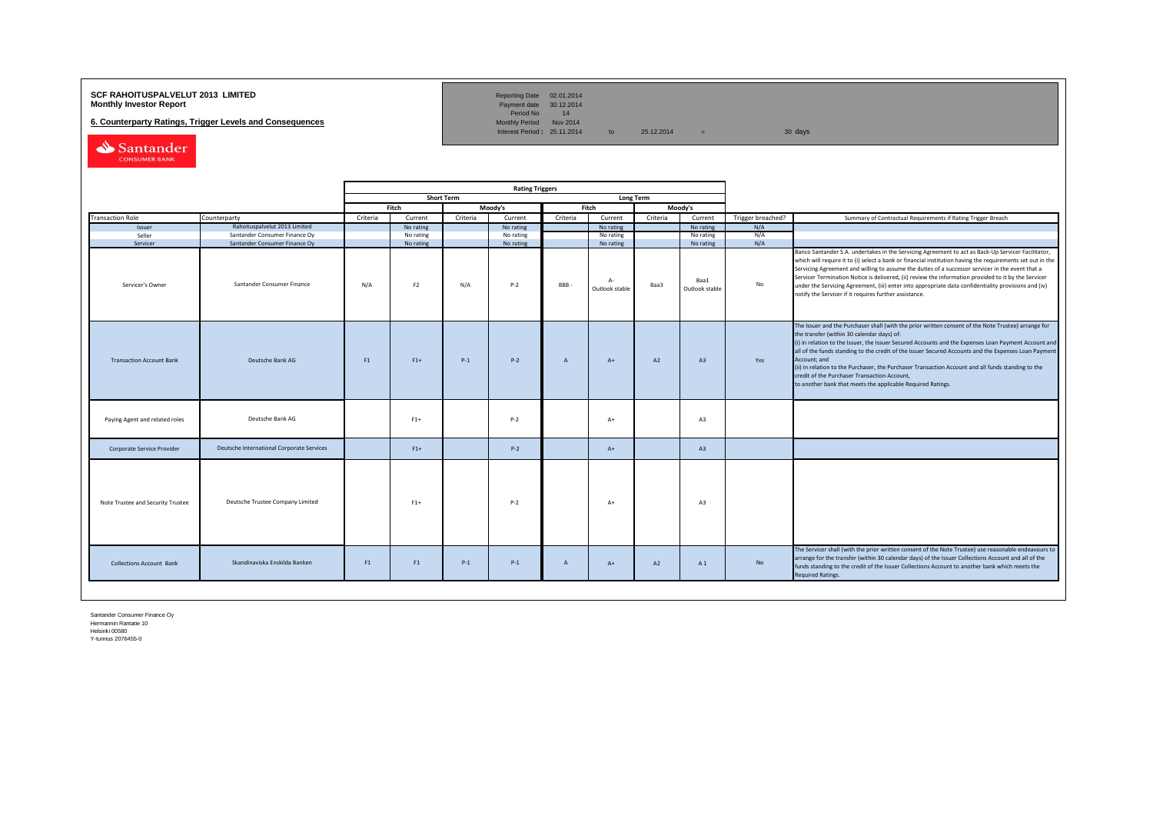## **SCF RAHOITUSPALVELUT 2013 LIMITED**<br>**Monthly Investor Report** Payment date 30.12.2014

**6. Counterparty Ratings, Trigger Levels and Consequences** 

Reporting Date 02.01.2014<br>Payment date 30.12.2014<br>Period No 14<br>Monthly Period Nov 2014

Interest Period:  $25.11.2014$  to  $25.12.2014$  = 30 days

Santander CONSUMER BANK

|                                   |                                           |          |                |                   | <b>Rating Triggers</b> |                |                         |                                      |           |                   |                                                                                                                                                                                                                                                                                                                                                                                                                                                                                                                                                                                                        |
|-----------------------------------|-------------------------------------------|----------|----------------|-------------------|------------------------|----------------|-------------------------|--------------------------------------|-----------|-------------------|--------------------------------------------------------------------------------------------------------------------------------------------------------------------------------------------------------------------------------------------------------------------------------------------------------------------------------------------------------------------------------------------------------------------------------------------------------------------------------------------------------------------------------------------------------------------------------------------------------|
|                                   |                                           |          |                | <b>Short Term</b> |                        |                |                         | Long Term                            |           |                   |                                                                                                                                                                                                                                                                                                                                                                                                                                                                                                                                                                                                        |
|                                   |                                           |          | Fitch          |                   | Moody's                |                | Fitch                   |                                      | Moody's   |                   |                                                                                                                                                                                                                                                                                                                                                                                                                                                                                                                                                                                                        |
| <b>Transaction Role</b>           | Counterparty                              | Criteria | Current        | Criteria          | Current                | Criteria       | Current                 | Criteria                             | Current   | Trigger breached? | Summary of Contractual Requirements if Rating Trigger Breach                                                                                                                                                                                                                                                                                                                                                                                                                                                                                                                                           |
| Issuer                            | Rahoituspalvelut 2013 Limited             |          | No rating      |                   | No rating              |                | No rating               |                                      | No rating | N/A               |                                                                                                                                                                                                                                                                                                                                                                                                                                                                                                                                                                                                        |
| Seller                            | Santander Consumer Finance Oy             |          | No rating      |                   | No rating              |                | No rating               |                                      | No rating | N/A               |                                                                                                                                                                                                                                                                                                                                                                                                                                                                                                                                                                                                        |
| Servicer                          | Santander Consumer Finance Oy             |          | No rating      |                   | No rating              |                | No rating               |                                      | No rating | N/A               |                                                                                                                                                                                                                                                                                                                                                                                                                                                                                                                                                                                                        |
| Servicer's Owner                  | Santander Consumer Finance                | N/A      | F <sub>2</sub> | N/A               | $P - 2$                | BBB            | $A -$<br>Outlook stable | Baa1<br>No<br>Baa3<br>Outlook stable |           |                   | Banco Santander S.A. undertakes in the Servicing Agreement to act as Back-Up Servicer Facilitator,<br>which will require it to (i) select a bank or financial institution having the requirements set out in the<br>Servicing Agreement and willing to assume the duties of a successor servicer in the event that a<br>Servicer Termination Notice is delivered, (ii) review the information provided to it by the Servicer<br>under the Servicing Agreement, (iii) enter into appropriate data confidentiality provisions and (iv)<br>notify the Servicer if it requires further assistance.         |
| <b>Transaction Account Bank</b>   | Deutsche Bank AG                          | F1       | $F1+$          | $P-1$             | $P-2$                  | $\mathsf{A}$   | $A+$                    | A2                                   | A3        | Yes               | The Issuer and the Purchaser shall (with the prior written consent of the Note Trustee) arrange for<br>the transfer (within 30 calendar days) of:<br>(i) in relation to the Issuer, the Issuer Secured Accounts and the Expenses Loan Payment Account and<br>all of the funds standing to the credit of the Issuer Secured Accounts and the Expenses Loan Payment<br>Account; and<br>(ii) in relation to the Purchaser, the Purchaser Transaction Account and all funds standing to the<br>credit of the Purchaser Transaction Account,<br>to another bank that meets the applicable Required Ratings. |
| Paying Agent and related roles    | Deutsche Bank AG                          |          | $F1+$          |                   | $P-2$                  |                | $A+$                    |                                      | A3        |                   |                                                                                                                                                                                                                                                                                                                                                                                                                                                                                                                                                                                                        |
| Corporate Service Provider        | Deutsche International Corporate Services |          | $F1+$          |                   | $P-2$                  |                | $A+$                    |                                      | A3        |                   |                                                                                                                                                                                                                                                                                                                                                                                                                                                                                                                                                                                                        |
| Note Trustee and Security Trustee | Deutsche Trustee Company Limited          |          | $F1+$          |                   | $P-2$                  |                | $A+$                    |                                      | A3        |                   |                                                                                                                                                                                                                                                                                                                                                                                                                                                                                                                                                                                                        |
| <b>Collections Account Bank</b>   | Skandinaviska Enskilda Banken             | F1       | F1             | $P-1$             | $P-1$                  | $\overline{A}$ | $A+$                    | A2                                   | A 1       | No                | The Servicer shall (with the prior written consent of the Note Trustee) use reasonable endeavours to<br>arrange for the transfer (within 30 calendar days) of the Issuer Collections Account and all of the<br>funds standing to the credit of the Issuer Collections Account to another bank which meets the<br><b>Required Ratings.</b>                                                                                                                                                                                                                                                              |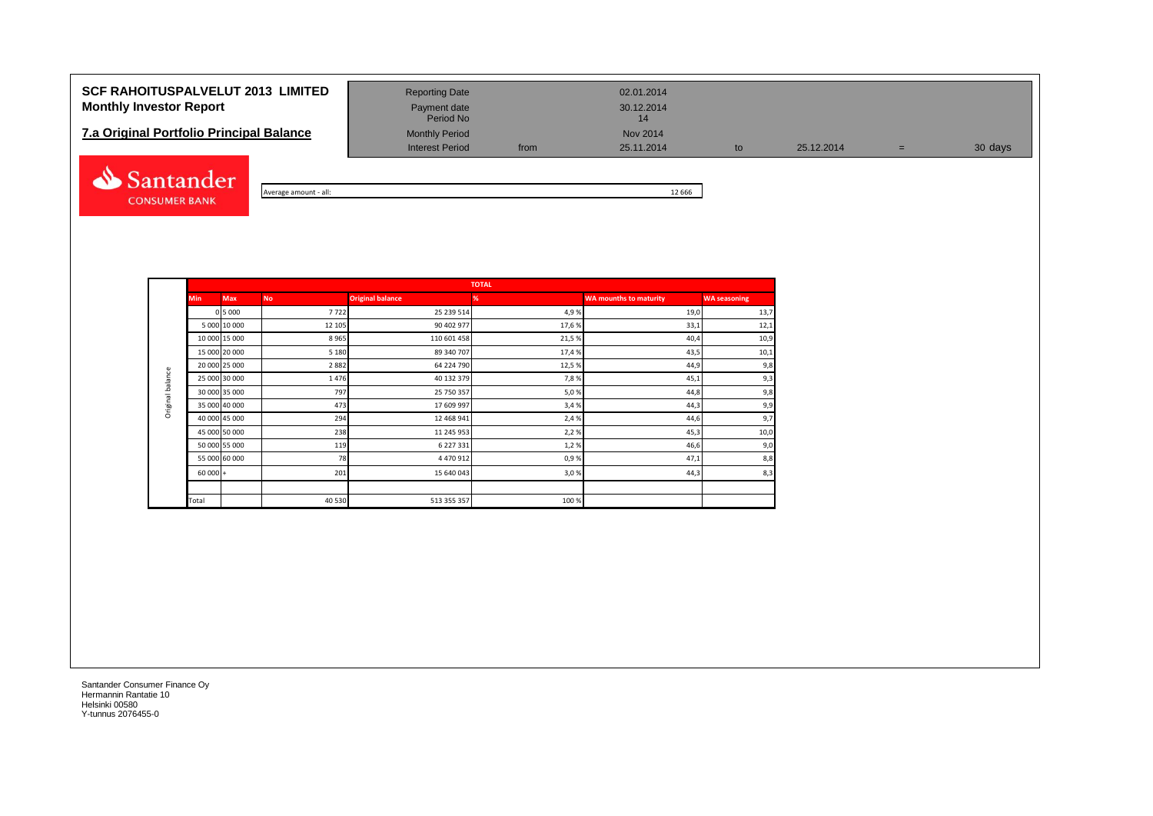# **SCF RAHOITUSPALVELUT 2013 LIMITED** Reporting Date 02.01.2014 **Monthly Investor Report Payment date** Payment date 30.12.2014

| <b>7.a Original Portfolio Principal Balance</b> | <b>Monthly Period</b> | Nov 2014 |            |
|-------------------------------------------------|-----------------------|----------|------------|
|                                                 | Interest Period       | trom     | 25.11.2014 |



| $-$ all:<br>Average amount | 12 6 6 6 |
|----------------------------|----------|

Interest Period from 25.11.2014 to 25.12.2014 = 30 days

Payment date<br>Period No

|                  |            |               |           |                         | <b>TOTAL</b> |                               |                     |
|------------------|------------|---------------|-----------|-------------------------|--------------|-------------------------------|---------------------|
|                  | <b>Min</b> | <b>Max</b>    | <b>No</b> | <b>Original balance</b> | ℅            | <b>WA mounths to maturity</b> | <b>WA seasoning</b> |
|                  |            | 0 5 0 0 0     | 7722      | 25 239 514              | 4,9%         | 19,0                          | 13,7                |
|                  |            | 5 000 10 000  | 12 105    | 90 402 977              | 17,6%        | 33,1                          | 12,1                |
|                  |            | 10 000 15 000 | 8965      | 110 601 458             | 21,5%        | 40,4                          | 10,9                |
|                  |            | 15 000 20 000 | 5 1 8 0   | 89 340 707              | 17,4 %       | 43,5                          | 10,1                |
|                  |            | 20 000 25 000 | 2882      | 64 224 790              | 12,5%        | 44,9                          | 9,8                 |
| Original balance |            | 25 000 30 000 | 1476      | 40 132 379              | 7,8%         | 45,1                          | 9,3                 |
|                  |            | 30 000 35 000 | 797       | 25 750 357              | 5,0%         | 44,8                          | 9,8                 |
|                  |            | 35 000 40 000 | 473       | 17 609 997              | 3,4%         | 44,3                          | 9,9                 |
|                  |            | 40 000 45 000 | 294       | 12 468 941              | 2,4 %        | 44,6                          | 9,7                 |
|                  |            | 45 000 50 000 | 238       | 11 245 953              | 2,2%         | 45,3                          | 10,0                |
|                  |            | 50 000 55 000 | 119       | 6 227 331               | 1,2%         | 46,6                          | 9,0                 |
|                  |            | 55 000 60 000 | 78        | 4 470 912               | 0,9%         | 47,1                          | 8,8                 |
|                  | $60000 +$  |               | 201       | 15 640 043              | 3,0%         | 44,3                          | 8,3                 |
|                  |            |               |           |                         |              |                               |                     |
|                  | Total      |               | 40 5 30   | 513 355 357             | 100%         |                               |                     |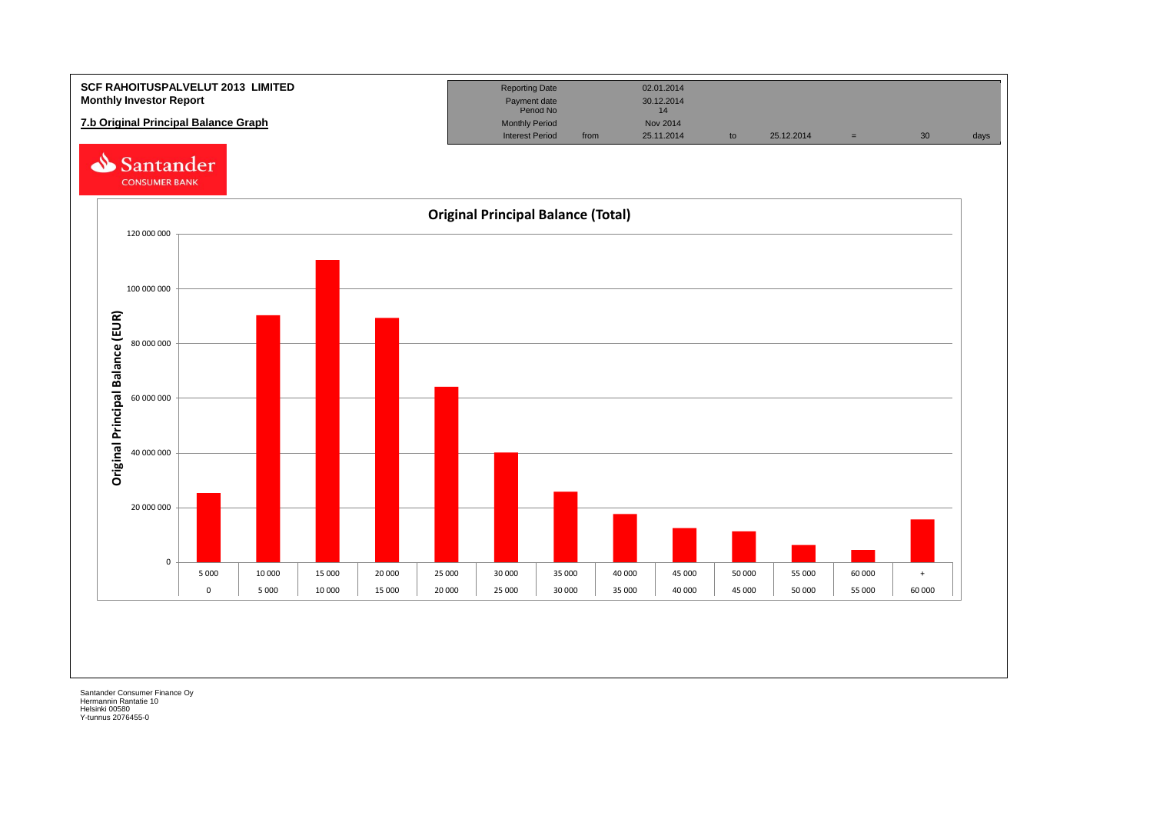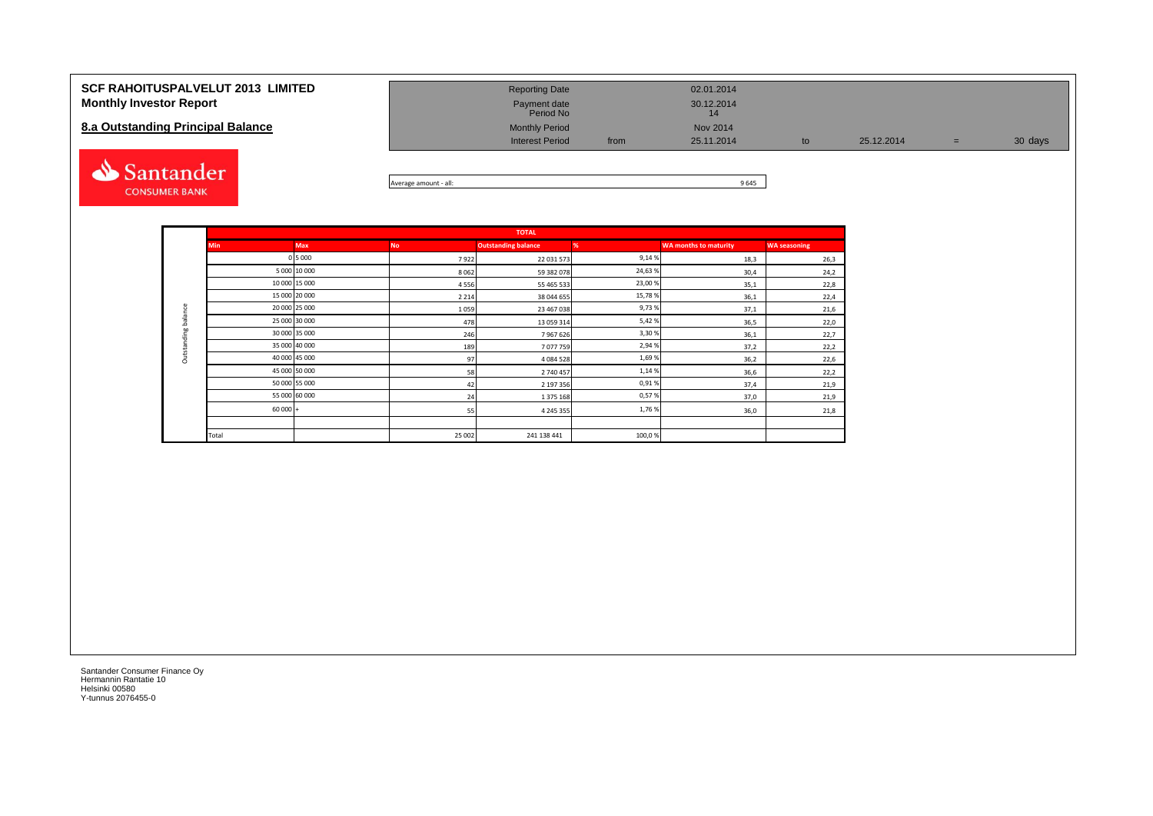| <b>SCF RAHOITUSPALVELUT 2013 LIMITED</b><br><b>Monthly Investor Report</b><br>8.a Outstanding Principal Balance | <b>Reporting Date</b><br>Payment date<br>Period No<br><b>Monthly Period</b><br><b>Interest Period</b> | from | 02.01.2014<br>30.12.2014<br>14<br>Nov 2014<br>25.11.2014 | to | 25.12.2014 | $=$ | 30 days |
|-----------------------------------------------------------------------------------------------------------------|-------------------------------------------------------------------------------------------------------|------|----------------------------------------------------------|----|------------|-----|---------|
| <b>Santander</b>                                                                                                |                                                                                                       |      | $\sim$ $\sim$ $\sim$                                     |    |            |     |         |



|                     |            |               |           | <b>TOTAL</b>               |         |                              |                     |
|---------------------|------------|---------------|-----------|----------------------------|---------|------------------------------|---------------------|
|                     | <b>Min</b> | <b>Max</b>    | <b>No</b> | <b>Outstanding balance</b> | %       | <b>WA months to maturity</b> | <b>WA seasoning</b> |
|                     |            | 0 5 0 0 0     | 7922      | 22 031 573                 | 9,14%   | 18,3                         | 26,3                |
|                     |            | 5 000 10 000  | 8 0 6 2   | 59 382 078                 | 24,63%  | 30,4                         | 24,2                |
|                     |            | 10 000 15 000 | 4556      | 55 465 533                 | 23,00 % | 35,1                         | 22,8                |
|                     |            | 15 000 20 000 | 2 2 1 4   | 38 044 655                 | 15,78%  | 36,1                         | 22,4                |
|                     |            | 20 000 25 000 | 1059      | 23 467 038                 | 9,73%   | 37,1                         | 21,6                |
| Outstanding balance |            | 25 000 30 000 | 478       | 13 059 314                 | 5,42%   | 36,5                         | 22,0                |
|                     |            | 30 000 35 000 | 246       | 7967626                    | 3,30%   | 36,1                         | 22,7                |
|                     |            | 35 000 40 000 | 189       | 7077759                    | 2,94%   | 37,2                         | 22,2                |
|                     |            | 40 000 45 000 | 97        | 4 084 528                  | 1,69%   | 36,2                         | 22,6                |
|                     |            | 45 000 50 000 | 58        | 2740457                    | 1,14%   | 36,6                         | 22,2                |
|                     |            | 50 000 55 000 | 42        | 2 197 356                  | 0,91%   | 37,4                         | 21,9                |
|                     |            | 55 000 60 000 | 24        | 1 375 168                  | 0,57%   | 37,0                         | 21,9                |
|                     | $60000 +$  |               | 55        | 4 2 4 5 3 5 5              | 1,76%   | 36,0                         | 21,8                |
|                     |            |               |           |                            |         |                              |                     |
|                     | Total      |               | 25 002    | 241 138 441                | 100,0%  |                              |                     |

**CONSUMER BANK**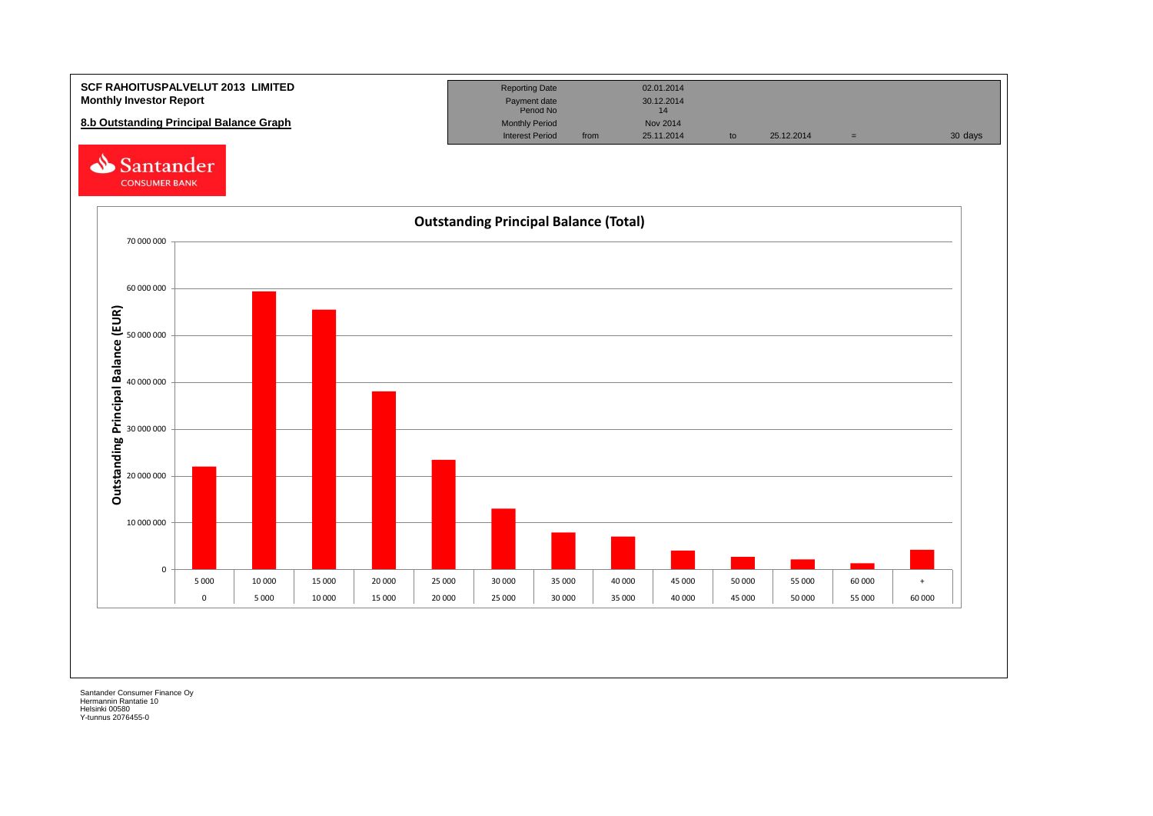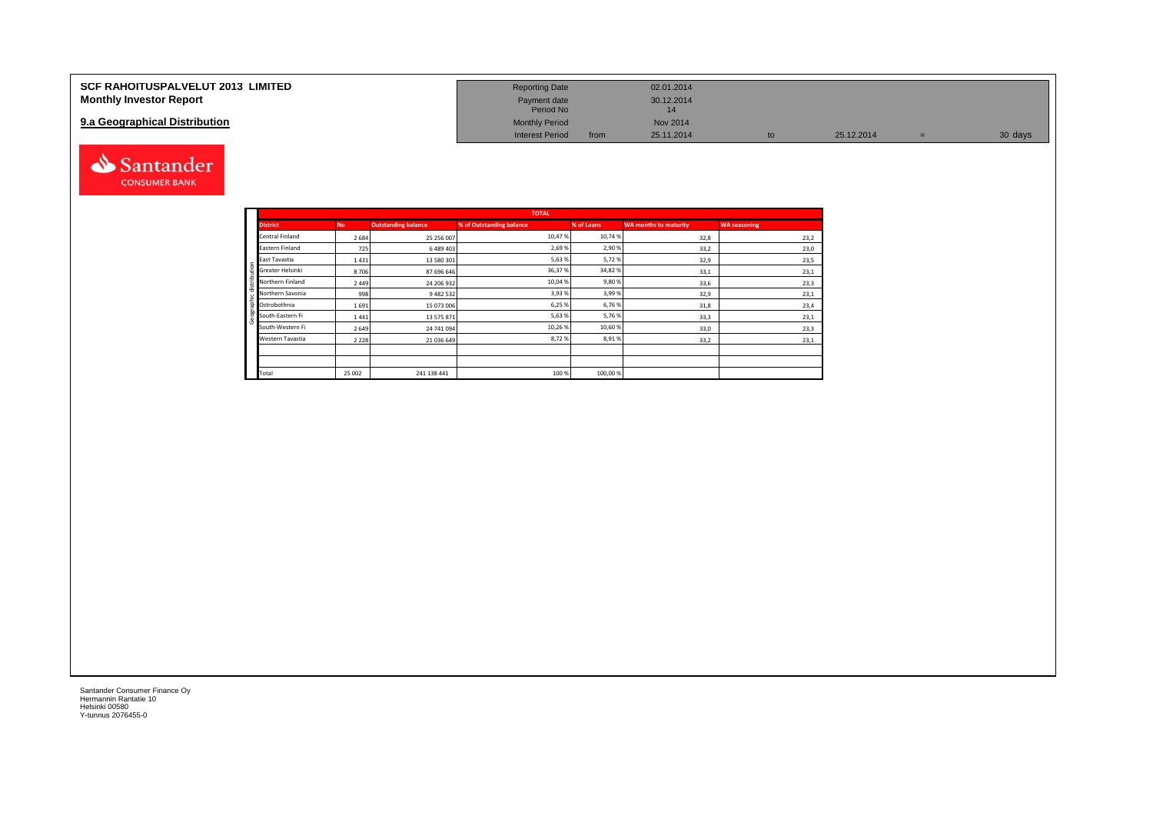| <b>SCF RAHOITUSPALVELUT 2013 LIMITED</b> | <b>Reporting Date</b>     |      | 02.01.2014 |            |         |
|------------------------------------------|---------------------------|------|------------|------------|---------|
| <b>Monthly Investor Report</b>           | Payment date<br>Period No |      | 30.12.2014 |            |         |
| 9.a Geographical Distribution            | <b>Monthly Period</b>     |      | Nov 2014   |            |         |
|                                          | <b>Interest Period</b>    | from | 25.11.2014 | 25.12.2014 | 30 days |



Geographic distribution

phic distribution

andei

|                  |           |                            | <b>TOTAL</b>             |            |                              |                     |
|------------------|-----------|----------------------------|--------------------------|------------|------------------------------|---------------------|
| <b>District</b>  | <b>No</b> | <b>Outstanding balance</b> | % of Outstanding balance | % of Loans | <b>WA months to maturity</b> | <b>WA seasoning</b> |
| Central Finland  | 2684      | 25 25 6 007                | 10.47%                   | 10,74%     | 32,8                         | 23,2                |
| Eastern Finland  | 725       | 6489403                    | 2,69%                    | 2,90%      | 33,2                         | 23,0                |
| East Tavastia    | 1431      | 13 580 301                 | 5,63%                    | 5,72%      | 32,9                         | 23,5                |
| Greater Helsinki | 8706      | 87 696 646                 | 36,37%                   | 34,82%     | 33,1                         | 23,1                |
| Northern Finland | 2449      | 24 206 932                 | 10,04 %                  | 9,80%      | 33,6                         | 23,3                |
| Northern Savonia | 998       | 9 482 532                  | 3,93%                    | 3,99%      | 32,9                         | 23,1                |
| Ostrobothnia     | 1691      | 15 073 006                 | 6,25 %                   | 6,76%      | 31,8                         | 23,4                |
| South-Eastern Fi | 1441      | 13 575 871                 | 5,63%                    | 5,76%      | 33,3                         | 23,1                |
| South-Western Fi | 2649      | 24 741 094                 | 10,26%                   | 10,60%     | 33,0                         | 23,3                |
| Western Tavastia | 2 2 2 8   | 21 036 649                 | 8,72%                    | 8,91%      | 33,2                         | 23,1                |
|                  |           |                            |                          |            |                              |                     |
|                  |           |                            |                          |            |                              |                     |
| Total            | 25 002    | 241 138 441                | 100 %                    | 100,00%    |                              |                     |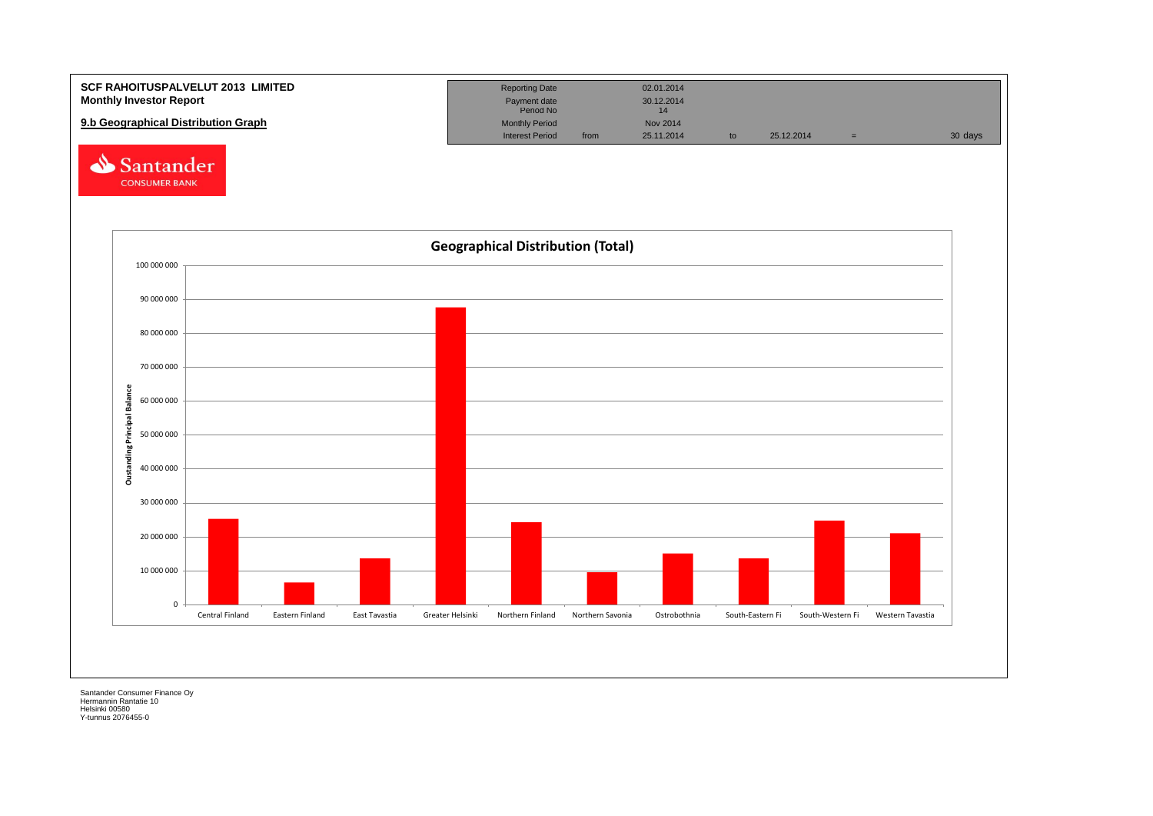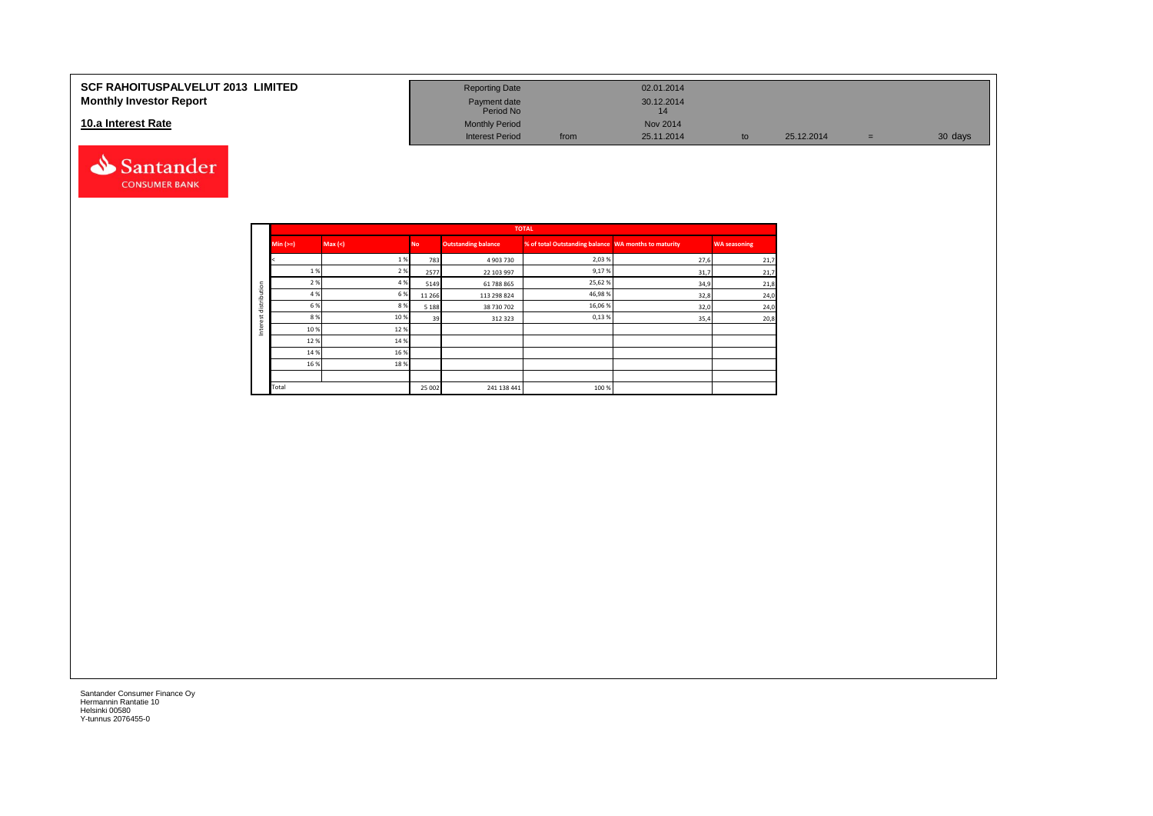#### **SCF RAHOITUSPALVELUT 2013 LIMITED Monthly Investor Report**

#### **10.a Interest Rate**



| <b>Reporting Date</b>     |      | 02.01.2014       |    |            |     |         |
|---------------------------|------|------------------|----|------------|-----|---------|
| Payment date<br>Period No |      | 30.12.2014<br>14 |    |            |     |         |
| <b>Monthly Period</b>     |      | <b>Nov 2014</b>  |    |            |     |         |
| <b>Interest Period</b>    | from | 25.11.2014       | to | 25.12.2014 | $=$ | 30 days |

|         |          |         |           |                            | <b>TOTAL</b>                                         |      |                     |
|---------|----------|---------|-----------|----------------------------|------------------------------------------------------|------|---------------------|
|         | $Min (=$ | Max (<) | <b>No</b> | <b>Outstanding balance</b> | % of total Outstanding balance WA months to maturity |      | <b>WA seasoning</b> |
|         |          | 1%      | 783       | 4 903 730                  | 2,03%                                                | 27,6 | 21,7                |
|         | 1 %      | 2 %     | 2577      | 22 103 997                 | 9,17%                                                | 31,7 | 21,7                |
| ution   | 2 %      | 4 %     | 5149      | 61 788 865                 | 25,62%                                               | 34,9 | 21,8                |
|         | 4 %      | 6 %     | 11 2 66   | 113 298 824                | 46,98%                                               | 32,8 | 24,0                |
| distrib | 6 %      | 8%      | 5 1 8 8   | 38 730 702                 | 16,06%                                               | 32,0 | 24,0                |
|         | 8%       | 10%     | 39        | 312 323                    | 0,13%                                                | 35,4 | 20,8                |
| ğ<br>Ξ  | 10%      | 12%     |           |                            |                                                      |      |                     |
|         | 12%      | 14 %    |           |                            |                                                      |      |                     |
|         | 14 %     | 16 %    |           |                            |                                                      |      |                     |
|         | 16 %     | 18%     |           |                            |                                                      |      |                     |
|         |          |         |           |                            |                                                      |      |                     |
|         | Total    |         | 25 002    | 241 138 441                | 100 %                                                |      |                     |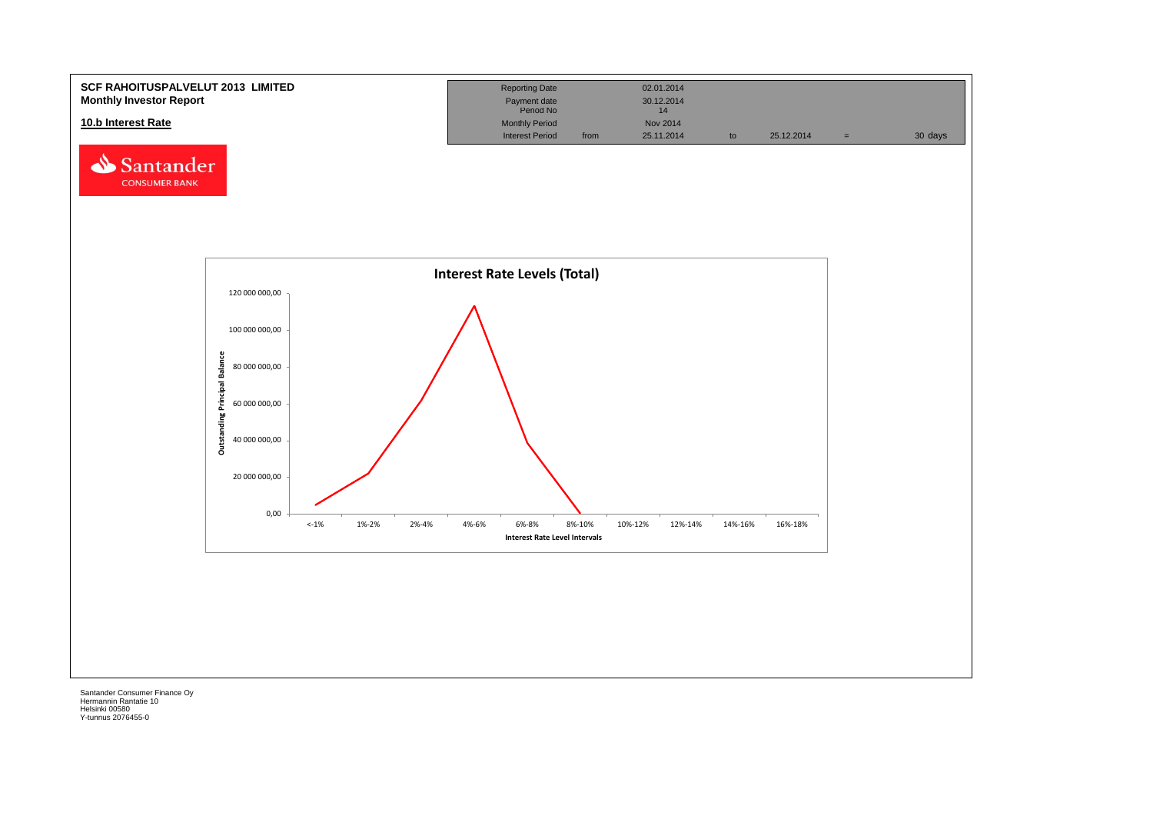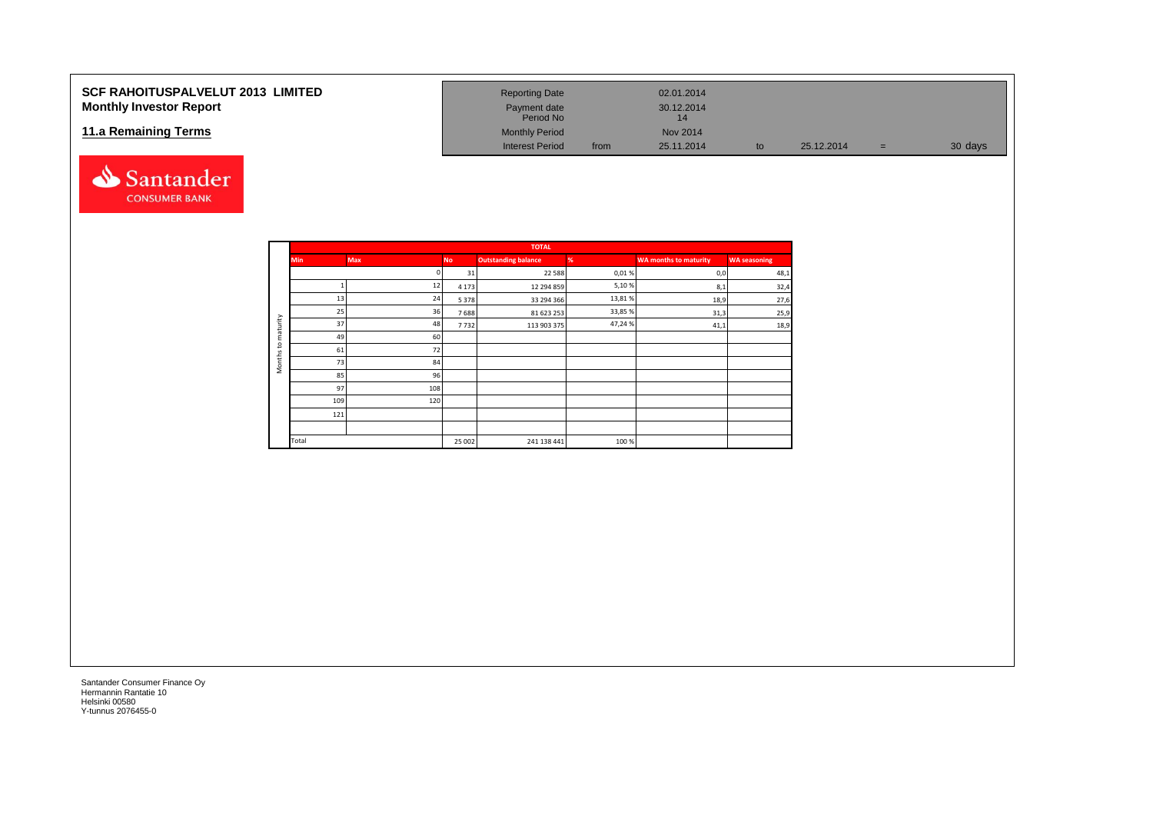#### **SCF RAHOITUSPALVELUT 2013 LIMITED Monthly Investor Report**

#### **11.a Remaining Terms**

![](_page_15_Picture_2.jpeg)

| <b>Reporting Date</b>     |      | 02.01.2014       |    |            |     |         |
|---------------------------|------|------------------|----|------------|-----|---------|
| Payment date<br>Period No |      | 30.12.2014<br>14 |    |            |     |         |
| <b>Monthly Period</b>     |      | Nov 2014         |    |            |     |         |
| <b>Interest Period</b>    | from | 25.11.2014       | to | 25.12.2014 | $=$ | 30 days |

|                     |            |            |           | <b>TOTAL</b>               |        |                              |                     |
|---------------------|------------|------------|-----------|----------------------------|--------|------------------------------|---------------------|
|                     | <b>Min</b> | <b>Max</b> | <b>No</b> | <b>Outstanding balance</b> | %      | <b>WA months to maturity</b> | <b>WA seasoning</b> |
|                     |            |            | 31        | 22 5 8 8                   | 0,01%  | 0,0                          | 48,1                |
|                     |            | 12         | 4 1 7 3   | 12 294 859                 | 5,10%  | 8,1                          | 32,4                |
|                     | 13         | 24         | 5 3 7 8   | 33 294 366                 | 13,81% | 18,9                         | 27,6                |
|                     | 25         | 36         | 7688      | 81 623 253                 | 33,85% | 31,3                         | 25,9                |
| maturity            | 37         | 48         | 7732      | 113 903 375                | 47,24% | 41,1                         | 18,9                |
|                     | 49         | 60         |           |                            |        |                              |                     |
| $\mathbf{S}$        | 61         | 72         |           |                            |        |                              |                     |
| Months <sub>1</sub> | 73         | 84         |           |                            |        |                              |                     |
|                     | 85         | 96         |           |                            |        |                              |                     |
|                     | 97         | 108        |           |                            |        |                              |                     |
|                     | 109        | 120        |           |                            |        |                              |                     |
|                     | 121        |            |           |                            |        |                              |                     |
|                     |            |            |           |                            |        |                              |                     |
|                     | Total      |            | 25 002    | 241 138 441                | 100%   |                              |                     |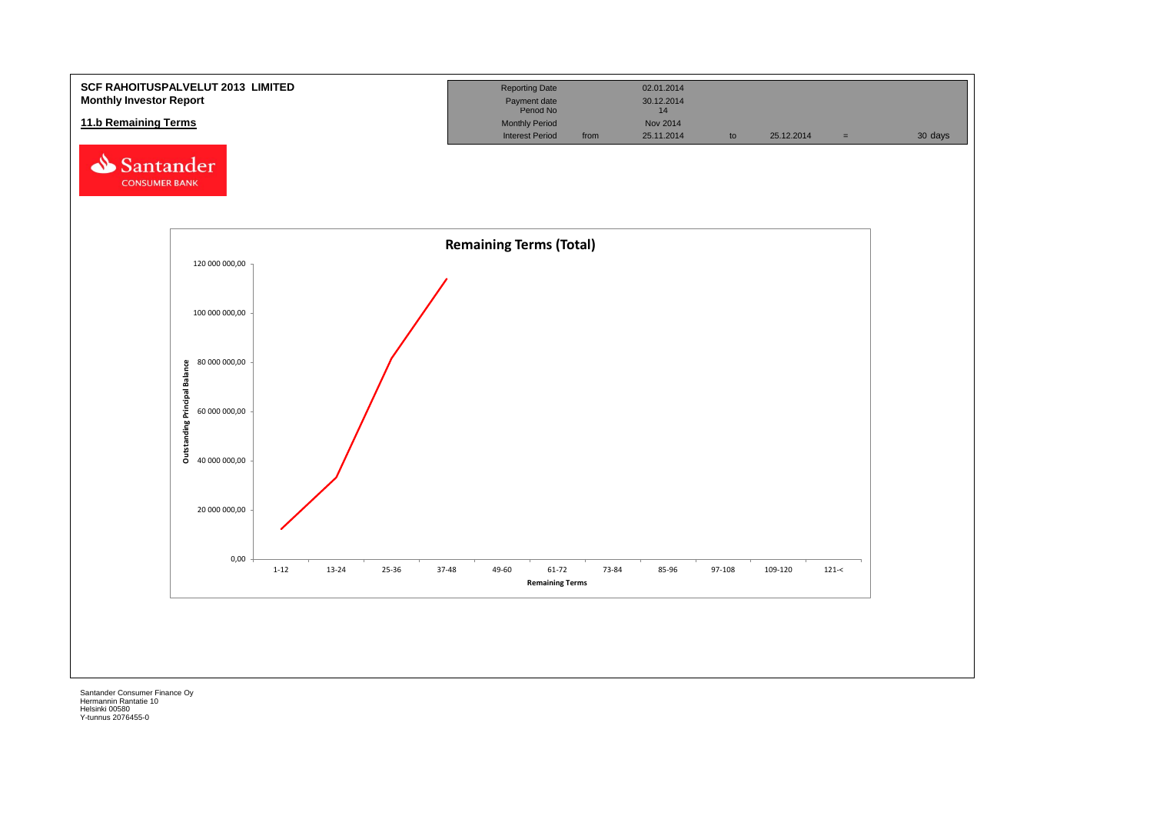![](_page_16_Figure_0.jpeg)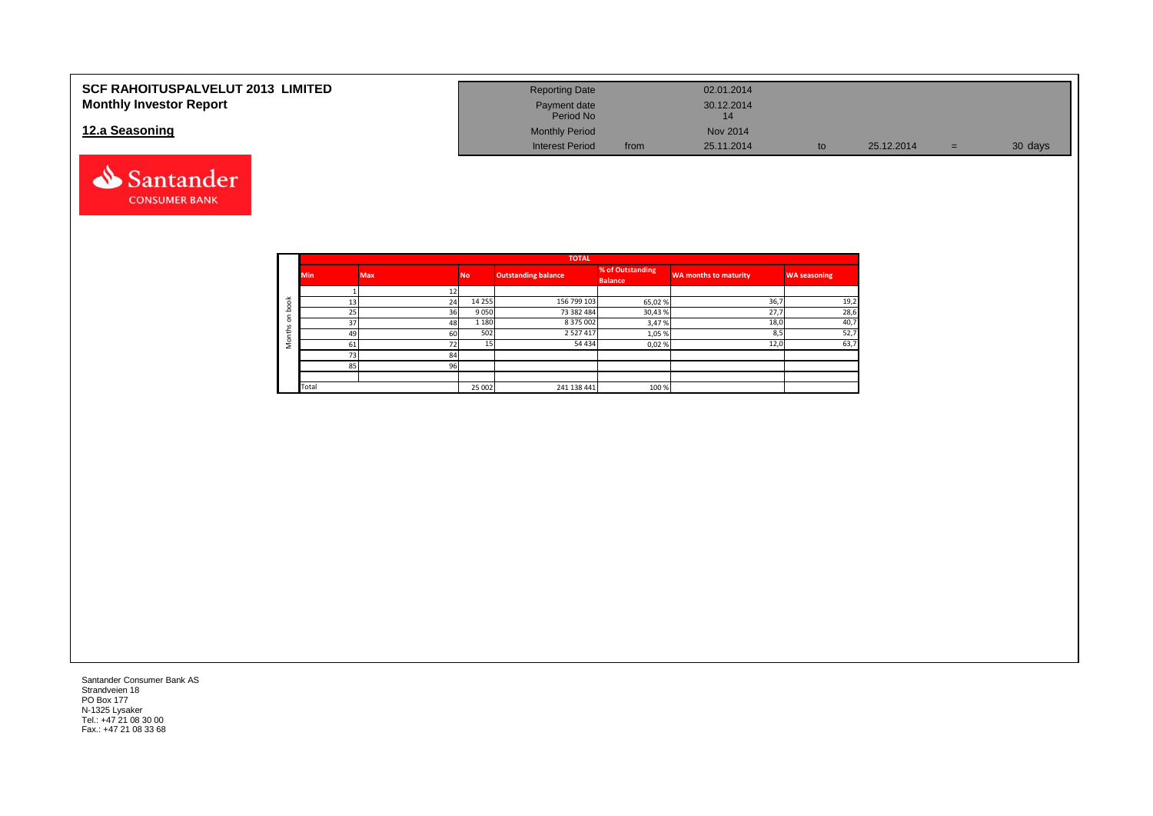| <b>SCF RAHOITUSPALVELUT 2013 LIMITED</b> | <b>Reporting Date</b>     |      | 02.01.2014 |    |            |   |         |
|------------------------------------------|---------------------------|------|------------|----|------------|---|---------|
| <b>Monthly Investor Report</b>           | Payment date<br>Period No |      | 30.12.2014 |    |            |   |         |
| 12.a Seasoning                           | <b>Monthly Period</b>     |      | Nov 2014   |    |            |   |         |
|                                          | <b>Interest Period</b>    | from | 25.11.2014 | to | 25.12.2014 | = | 30 days |

![](_page_17_Picture_1.jpeg)

|                       |            |            |           | <b>TOTAL</b>        |                                    |                              |                     |
|-----------------------|------------|------------|-----------|---------------------|------------------------------------|------------------------------|---------------------|
|                       | <b>Min</b> | <b>Max</b> | <b>No</b> | Outstanding balance | % of Outstanding<br><b>Balance</b> | <b>WA months to maturity</b> | <b>WA seasoning</b> |
|                       |            |            |           |                     |                                    |                              |                     |
| $\breve{\phantom{a}}$ | 13         | 24         | 14 2 5 5  | 156 799 103         | 65,02%                             | 36,7                         | 19,2                |
|                       | 25         | 36         | 9 0 5 0   | 73 382 484          | 30,43%                             | 27,7                         | 28,6                |
| c                     | 37         | 48         | 1 1 8 0   | 8 375 002           | 3,47%                              | 18,0                         | 40,7                |
| £                     | 49         | 60         | 502       | 2 5 2 7 4 1 7       | 1,05 %                             | 8,5                          | 52,7                |
| $\circ$<br>∠          | 61         | 72         | 15        | 54 434              | 0,02%                              | 12,0                         | 63,7                |
|                       | 73         | 84         |           |                     |                                    |                              |                     |
|                       | 85         | 96         |           |                     |                                    |                              |                     |
|                       |            |            |           |                     |                                    |                              |                     |
|                       | Total      |            | 25 002    | 241 138 441         | 100%                               |                              |                     |

Santander Consumer Bank AS Strandveien 18 PO Box 177 N-1325 Lysaker Tel.: +47 21 08 30 00 Fax.: +47 21 08 33 68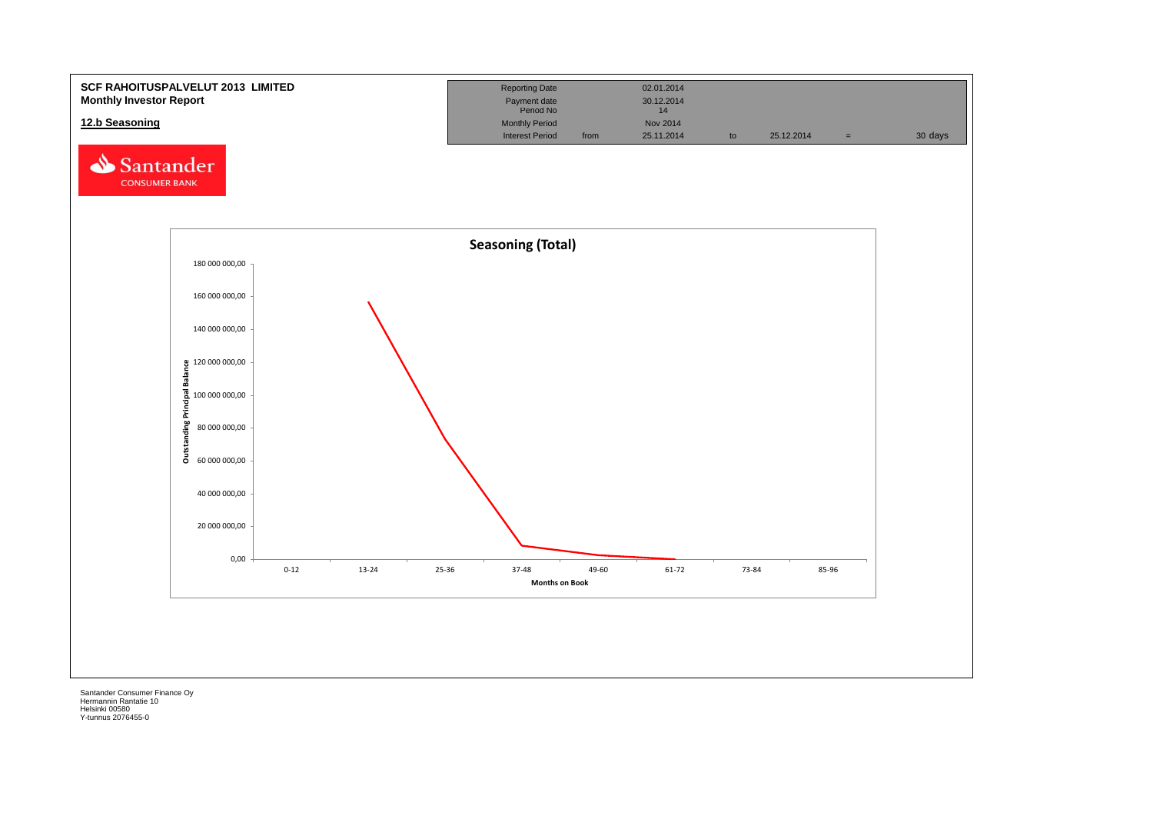![](_page_18_Figure_0.jpeg)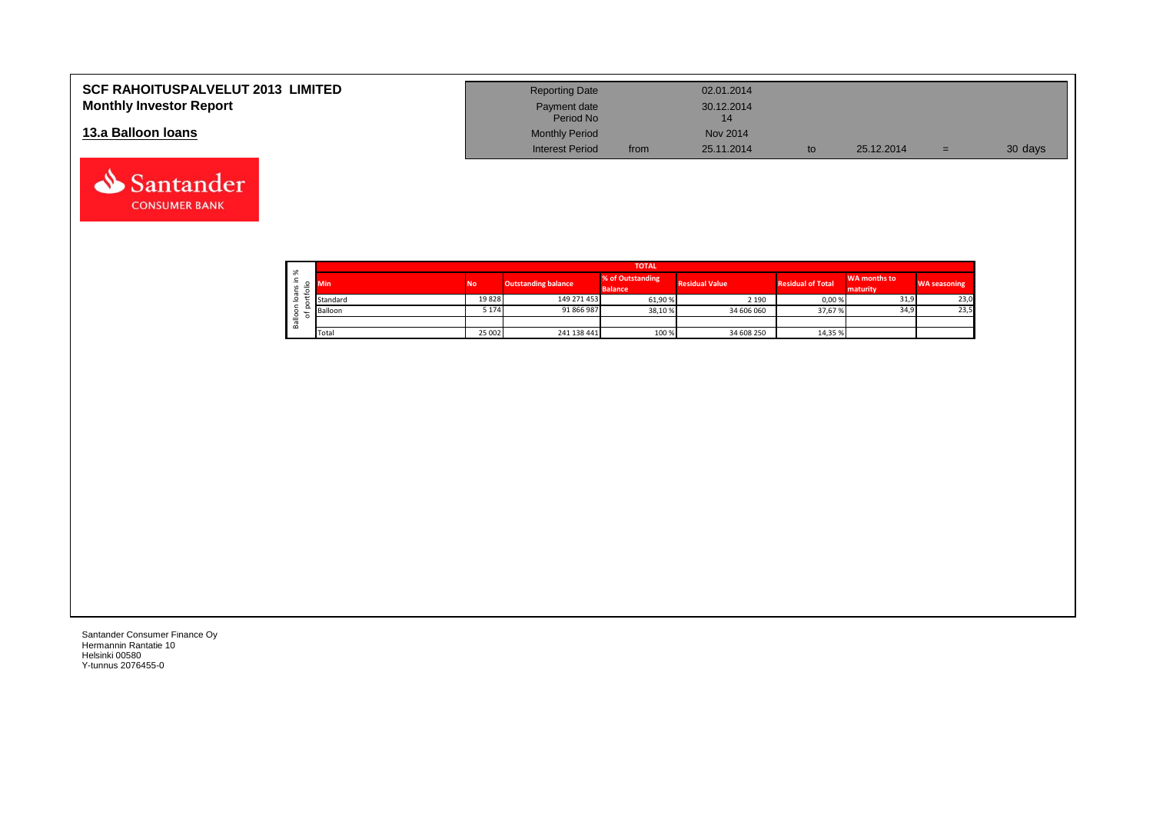| <b>SCF RAHOITUSPALVELUT 2013 LIMITED</b><br><b>Monthly Investor Report</b> | <b>Reporting Date</b><br>Payment date<br>Period No |      | 02.01.2014<br>30.12.2014 |            |     |         |
|----------------------------------------------------------------------------|----------------------------------------------------|------|--------------------------|------------|-----|---------|
| 13.a Balloon Ioans                                                         | <b>Monthly Period</b><br><b>Interest Period</b>    | from | Nov 2014<br>25.11.2014   | 25.12.2014 | $=$ | 30 days |

|                        |          |                |                            | <b>TOTAL</b>                       |                       |                          |                          |                     |
|------------------------|----------|----------------|----------------------------|------------------------------------|-----------------------|--------------------------|--------------------------|---------------------|
| ৯ৎ<br>∸<br>$\sim$<br>÷ | Min      | N <sub>o</sub> | <b>Outstanding balance</b> | % of Outstanding<br><b>Balance</b> | <b>Residual Value</b> | <b>Residual of Total</b> | WA months to<br>maturity | <b>WA seasoning</b> |
| $\sigma$<br>$\circ$    | Standard | 19828          | 149 271 453                | 61,90 %                            | 2 1 9 0               | 0,00%                    | 31,9                     | 23,0                |
| ∘                      | Balloon  | 5 1 7 4        | 91 866 987                 | 38,10%                             | 34 606 060            | 37,67%                   | 34,9                     | 23,5                |
| σ<br>őñ                |          |                |                            |                                    |                       |                          |                          |                     |
|                        | Total    | 25 002         | 241 138 441                | 100 %                              | 34 608 250            | 14,35 %                  |                          |                     |

┑

Santander Consumer Finance Oy Hermannin Rantatie 10 Helsinki 00580 Y-tunnus 2076455-0

Santander **CONSUMER BANK**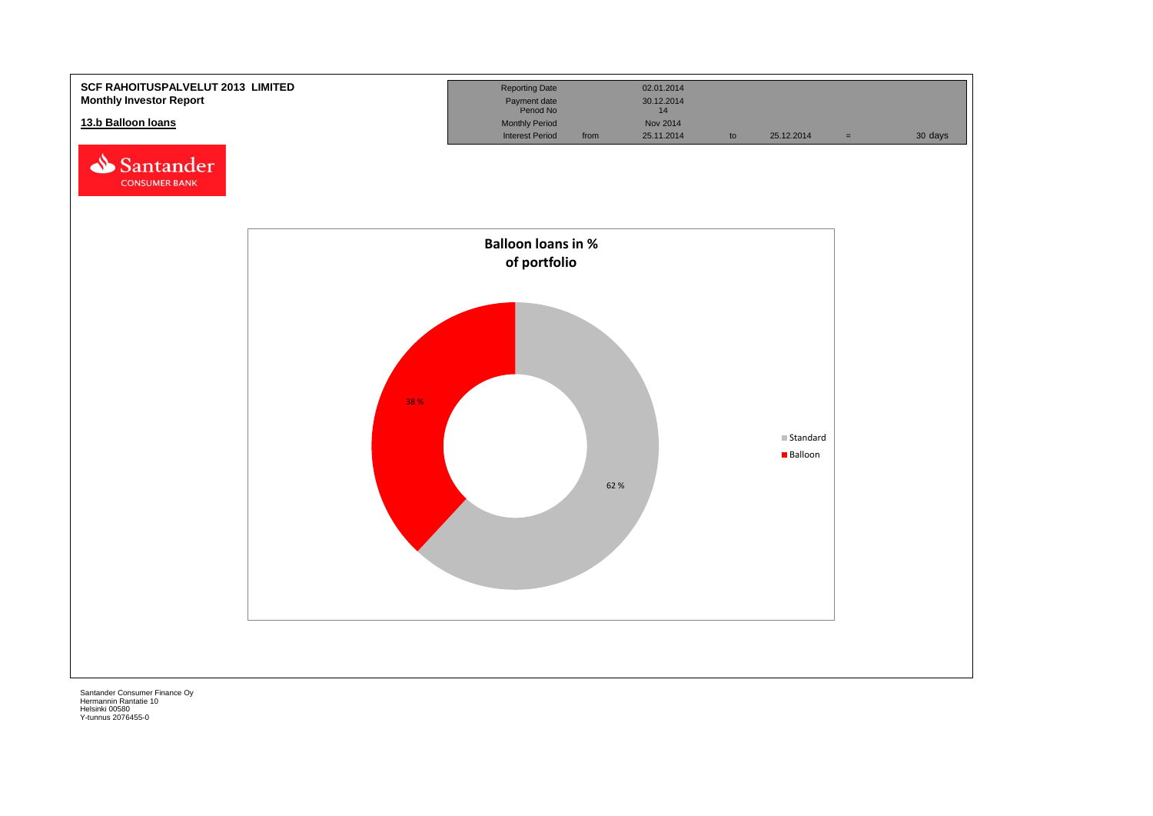![](_page_20_Figure_0.jpeg)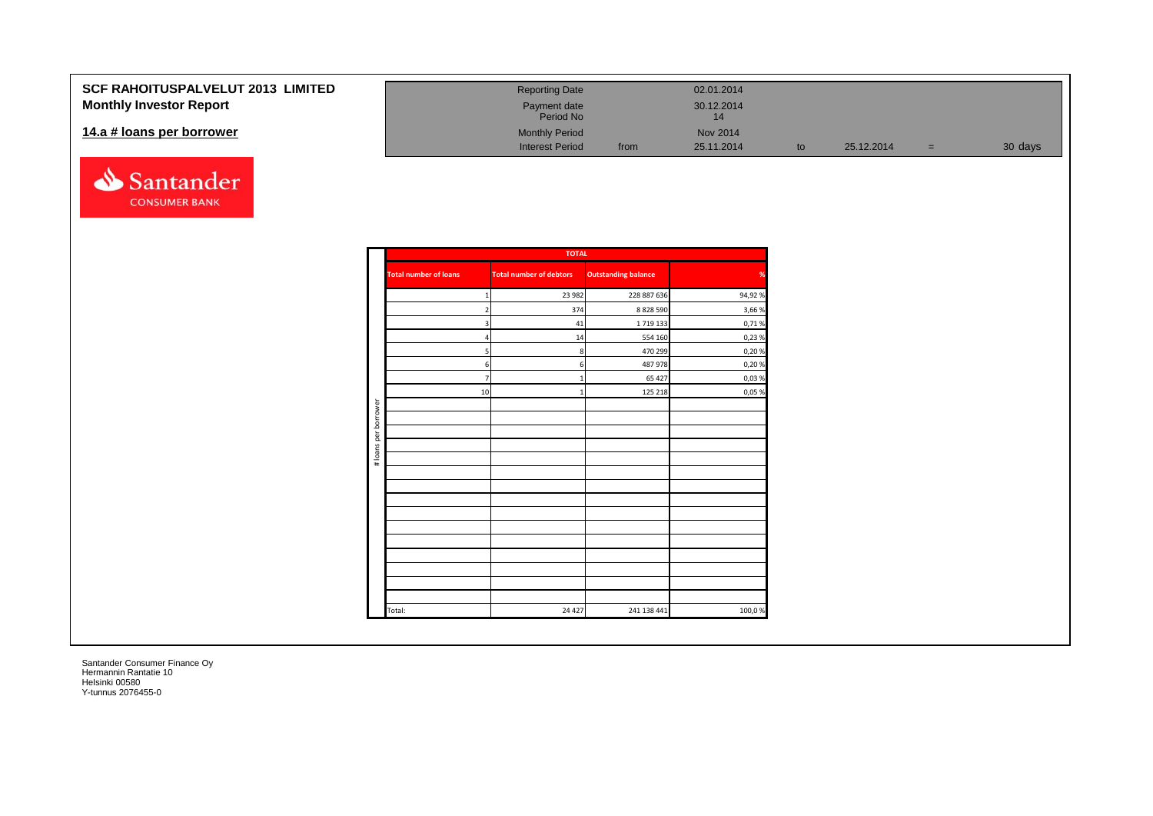| <b>SCF RAHOITUSPALVELUT 2013 LIMITED</b><br><b>Monthly Investor Report</b> | <b>Reporting Date</b><br>Payment date<br>Period No |      | 02.01.2014<br>30.12.2014 |    |            |     |         |
|----------------------------------------------------------------------------|----------------------------------------------------|------|--------------------------|----|------------|-----|---------|
| 14.a # loans per borrower                                                  | <b>Monthly Period</b><br><b>Interest Period</b>    | from | Nov 2014<br>25.11.2014   | to | 25.12.2014 | $=$ | 30 days |

![](_page_21_Picture_1.jpeg)

|                      |                              | <b>TOTAL</b>                   |                            |        |
|----------------------|------------------------------|--------------------------------|----------------------------|--------|
|                      | <b>Total number of loans</b> | <b>Total number of debtors</b> | <b>Outstanding balance</b> | %      |
|                      | 1                            | 23 982                         | 228 887 636                | 94,92% |
|                      | $\overline{2}$               | 374                            | 8 8 28 5 90                | 3,66 % |
|                      | 3                            | 41                             | 1719133                    | 0,71%  |
|                      | $\overline{a}$               | 14                             | 554 160                    | 0,23%  |
|                      | 5                            | 8                              | 470 299                    | 0,20%  |
|                      | 6                            | 6                              | 487 978                    | 0,20%  |
|                      | $\overline{7}$               | $\mathbf{1}$                   | 65 427                     | 0,03%  |
|                      | 10                           | $\mathbf{1}$                   | 125 218                    | 0,05 % |
|                      |                              |                                |                            |        |
| # loans per borrower |                              |                                |                            |        |
|                      |                              |                                |                            |        |
|                      |                              |                                |                            |        |
|                      |                              |                                |                            |        |
|                      |                              |                                |                            |        |
|                      |                              |                                |                            |        |
|                      |                              |                                |                            |        |
|                      |                              |                                |                            |        |
|                      |                              |                                |                            |        |
|                      |                              |                                |                            |        |
|                      |                              |                                |                            |        |
|                      |                              |                                |                            |        |
|                      |                              |                                |                            |        |
|                      |                              |                                |                            |        |
|                      | Total:                       | 24 4 27                        | 241 138 441                | 100,0% |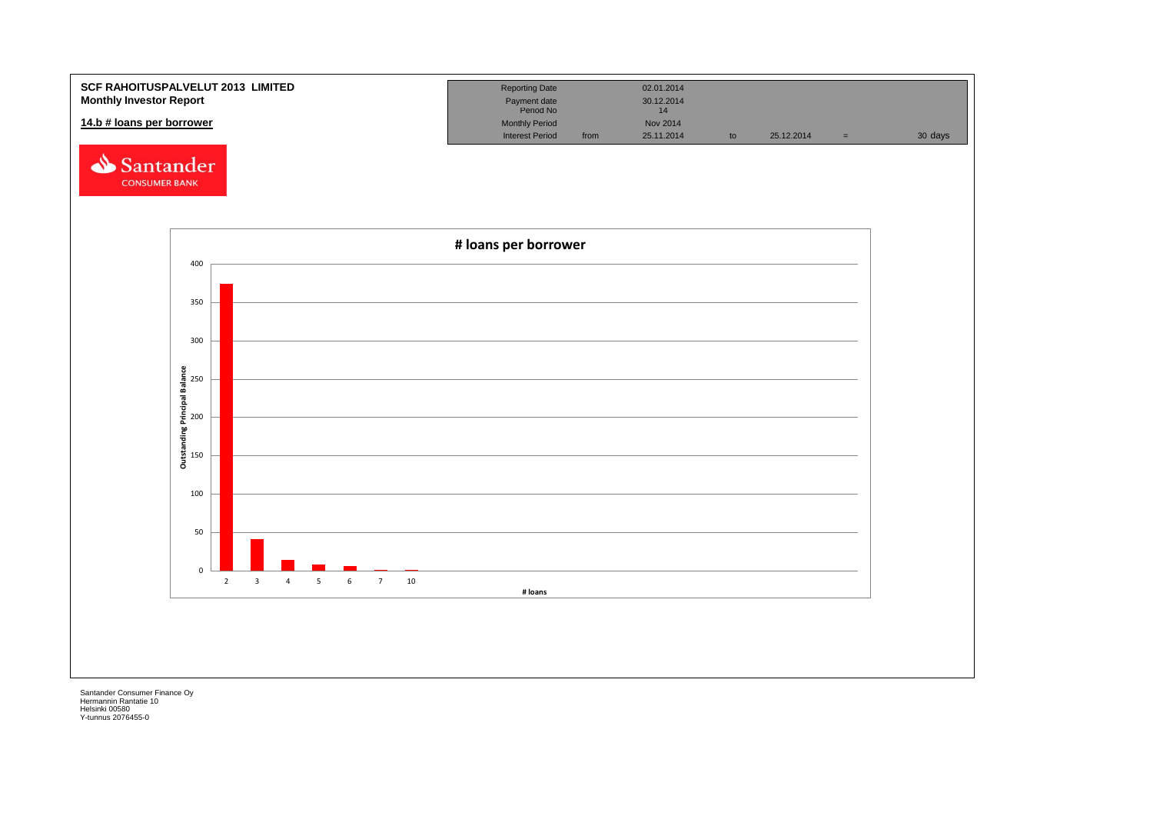![](_page_22_Figure_0.jpeg)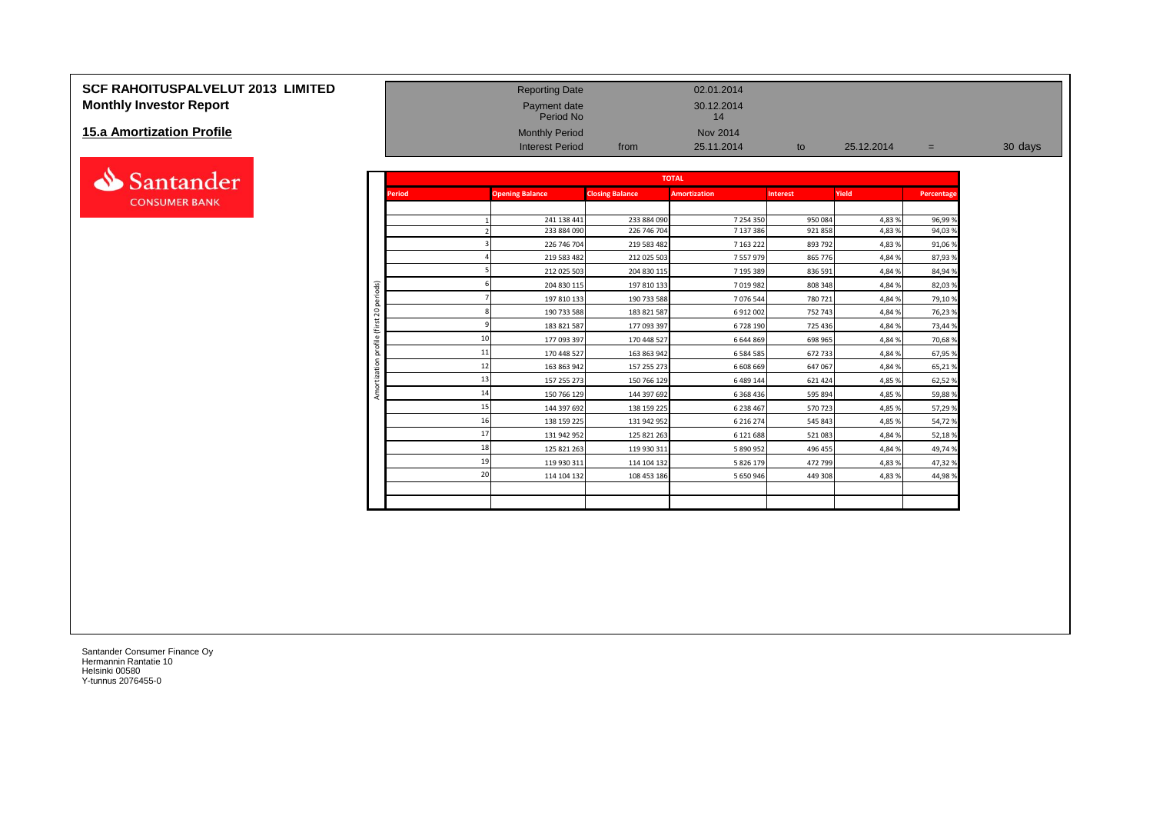# **SCF RAHOITUSPALVELUT 2013 LIMITED** Reporting Date Reporting Date 02.01.2014 **Monthly Investor Report Payment date** 30.12.2014

#### **15.a Amortization Profile**

![](_page_23_Picture_2.jpeg)

|                                  |                      |               | 1.01100110                 |                            | . .                    |                    |            |            |         |
|----------------------------------|----------------------|---------------|----------------------------|----------------------------|------------------------|--------------------|------------|------------|---------|
| <b>15.a Amortization Profile</b> |                      |               | <b>Monthly Period</b>      |                            | Nov 2014               |                    |            |            |         |
|                                  |                      |               | <b>Interest Period</b>     | from                       | 25.11.2014             | to                 | 25.12.2014 | $=$        | 30 days |
|                                  |                      |               |                            |                            |                        |                    |            |            |         |
| Santander                        |                      |               |                            |                            | <b>TOTAL</b>           |                    |            |            |         |
| <b>CONSUMER BANK</b>             |                      | <b>Period</b> | <b>Opening Balance</b>     | <b>Closing Balance</b>     | <b>Amortization</b>    | <b>Interest</b>    | Yield      | Percentage |         |
|                                  |                      |               |                            |                            |                        |                    |            |            |         |
|                                  |                      |               | 241 138 441                | 233 884 090                | 7 254 350              | 950084             | 4,83%      | 96,99%     |         |
|                                  |                      |               | 233 884 090                | 226 746 704                | 7 137 386              | 921858             | 4,83%      | 94,03%     |         |
|                                  |                      |               | 226 746 704<br>219 583 482 | 219 583 482<br>212 025 503 | 7 163 222<br>7 557 979 | 893 792<br>865 776 | 4,83%      | 91,06%     |         |
|                                  |                      |               |                            |                            |                        |                    | 4,84%      | 87,93%     |         |
|                                  |                      |               | 212 025 503                | 204 830 115                | 7 195 389              | 836 591            | 4,84%      | 84,94 %    |         |
|                                  | iods)                |               | 204 830 115                | 197 810 133                | 7019982                | 808 348            | 4,84%      | 82,03%     |         |
|                                  | g                    |               | 197 810 133                | 190 733 588                | 7076544                | 780 721            | 4,84%      | 79,10%     |         |
|                                  | $\overline{20}$      |               | 190 733 588                | 183 821 587                | 6 912 002              | 752 743            | 4,84%      | 76,23%     |         |
|                                  | $\overline{ }$<br>്ധ |               | 183 821 587                | 177 093 397                | 6728190                | 725 436            | 4,84%      | 73,44 %    |         |
|                                  | 륑                    |               | 177 093 397                | 170 448 527                | 6 644 869              | 698 965            | 4,84%      | 70,68%     |         |
|                                  |                      |               | 11<br>170 448 527          | 163 863 942                | 6 5 8 4 5 8 5          | 672 733            | 4,84%      | 67,95%     |         |
|                                  |                      |               | 12<br>163 863 942          | 157 255 273                | 6 608 669              | 647 067            | 4,84%      | 65,21%     |         |
|                                  |                      |               | 13<br>157 255 273          | 150 766 129                | 6 489 144              | 621 424            | 4,85%      | 62,52%     |         |
|                                  | Amo                  |               | 14<br>150 766 129          | 144 397 692                | 6 3 6 8 4 3 6          | 595 894            | 4,85%      | 59,88%     |         |
|                                  |                      |               | 144 397 692                | 138 159 225                | 6 238 467              | 570723             | 4,85%      | 57,29 %    |         |
|                                  |                      |               | 16<br>138 159 225          | 131 942 952                | 6 2 1 6 2 7 4          | 545 843            | 4,85 %     | 54,72%     |         |
|                                  |                      |               | 17<br>131 942 952          | 125 821 263                | 6 121 688              | 521083             | 4,84%      | 52,18%     |         |
|                                  |                      |               | 18<br>125 821 263          | 119 930 311                | 5 890 952              | 496 455            | 4,84%      | 49,74%     |         |
|                                  |                      |               | 119 930 311                | 114 104 132                | 5 826 179              | 472 799            | 4,83%      | 47,32 %    |         |
|                                  |                      |               | 20<br>114 104 132          | 108 453 186                | 5 650 946              | 449 308            | 4,83%      | 44,98%     |         |
|                                  |                      |               |                            |                            |                        |                    |            |            |         |
|                                  |                      |               |                            |                            |                        |                    |            |            |         |
|                                  |                      |               |                            |                            |                        |                    |            |            |         |

Payment date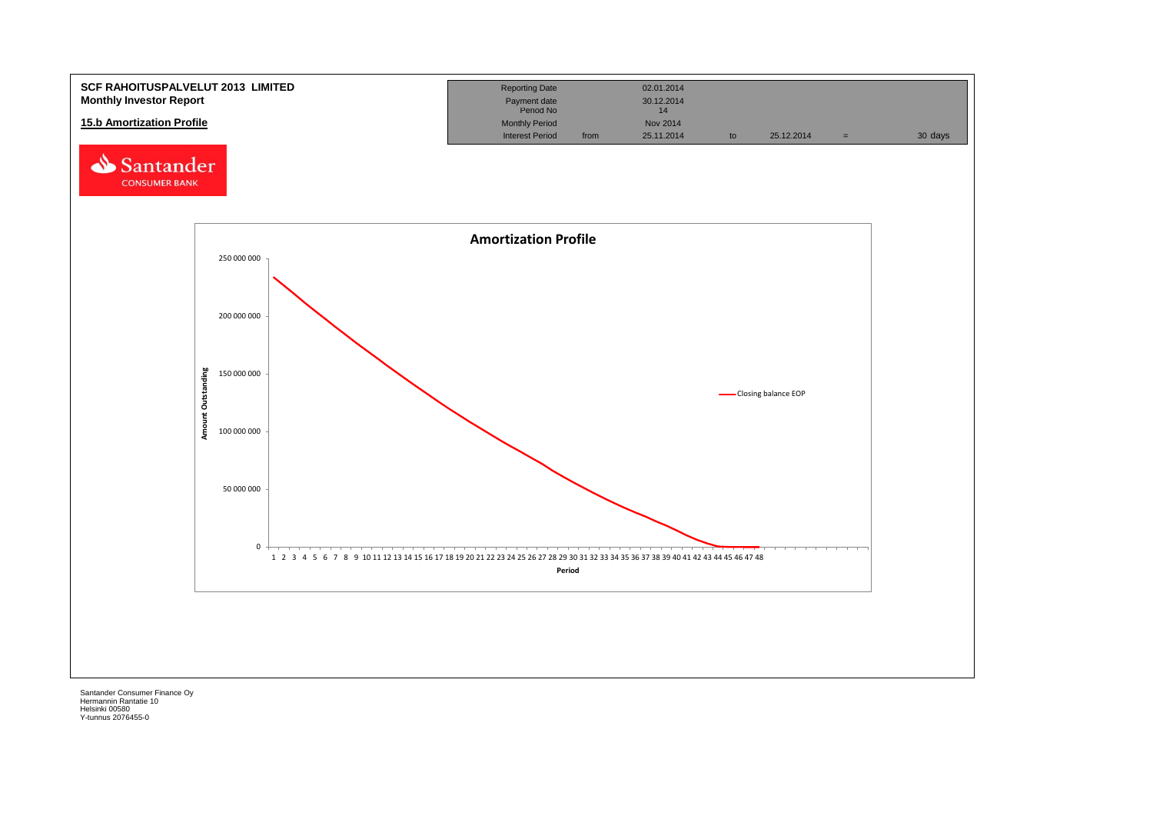![](_page_24_Figure_0.jpeg)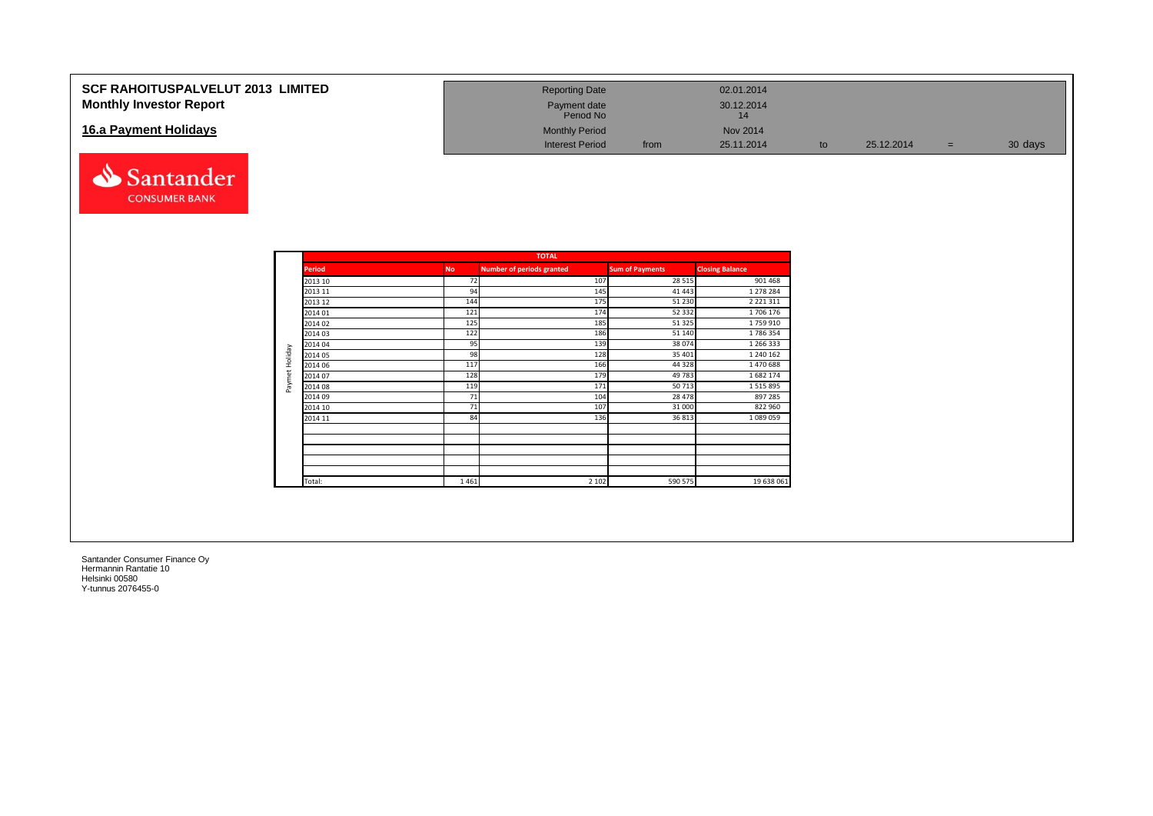| <b>SCF RAHOITUSPALVELUT 2013 LIMITED</b><br><b>Monthly Investor Report</b> | <b>Reporting Date</b><br>Payment date<br>Period No |      | 02.01.2014<br>30.12.2014<br>14 |    |            |         |
|----------------------------------------------------------------------------|----------------------------------------------------|------|--------------------------------|----|------------|---------|
| 16.a Payment Holidays                                                      | <b>Monthly Period</b>                              |      | Nov 2014                       |    |            |         |
|                                                                            | <b>Interest Period</b>                             | from | 25.11.2014                     | to | 25.12.2014 | 30 days |

![](_page_25_Picture_1.jpeg)

|                |               |           | <b>TOTAL</b>                     |                        |                        |
|----------------|---------------|-----------|----------------------------------|------------------------|------------------------|
|                | <b>Period</b> | <b>No</b> | <b>Number of periods granted</b> | <b>Sum of Payments</b> | <b>Closing Balance</b> |
|                | 2013 10       | 72        | 107                              | 28 5 15                | 901 468                |
|                | 2013 11       | 94        | 145                              | 41 443                 | 1 278 284              |
|                | 2013 12       | 144       | 175                              | 51 230                 | 2 2 2 1 3 1 1          |
|                | 2014 01       | 121       | 174                              | 52 332                 | 1706 176               |
|                | 2014 02       | 125       | 185                              | 51 325                 | 1759910                |
|                | 2014 03       | 122       | 186                              | 51 140                 | 1786354                |
|                | 2014 04       | 95        | 139                              | 38 074                 | 1 266 333              |
|                | 2014 05       | 98        | 128                              | 35 401                 | 1 240 162              |
|                | 2014 06       | 117       | 166                              | 44 3 28                | 1470688                |
| Paymet Holiday | 2014 07       | 128       | 179                              | 49 783                 | 1 682 174              |
|                | 2014 08       | 119       | 171                              | 50713                  | 1 5 1 5 8 9 5          |
|                | 2014 09       | 71        | 104                              | 28 478                 | 897 285                |
|                | 2014 10       | 71        | 107                              | 31 000                 | 822 960                |
|                | 2014 11       | 84        | 136                              | 36 813                 | 1 089 059              |
|                |               |           |                                  |                        |                        |
|                |               |           |                                  |                        |                        |
|                |               |           |                                  |                        |                        |
|                | Total:        | 1461      | 2 1 0 2                          | 590 575                | 19 638 061             |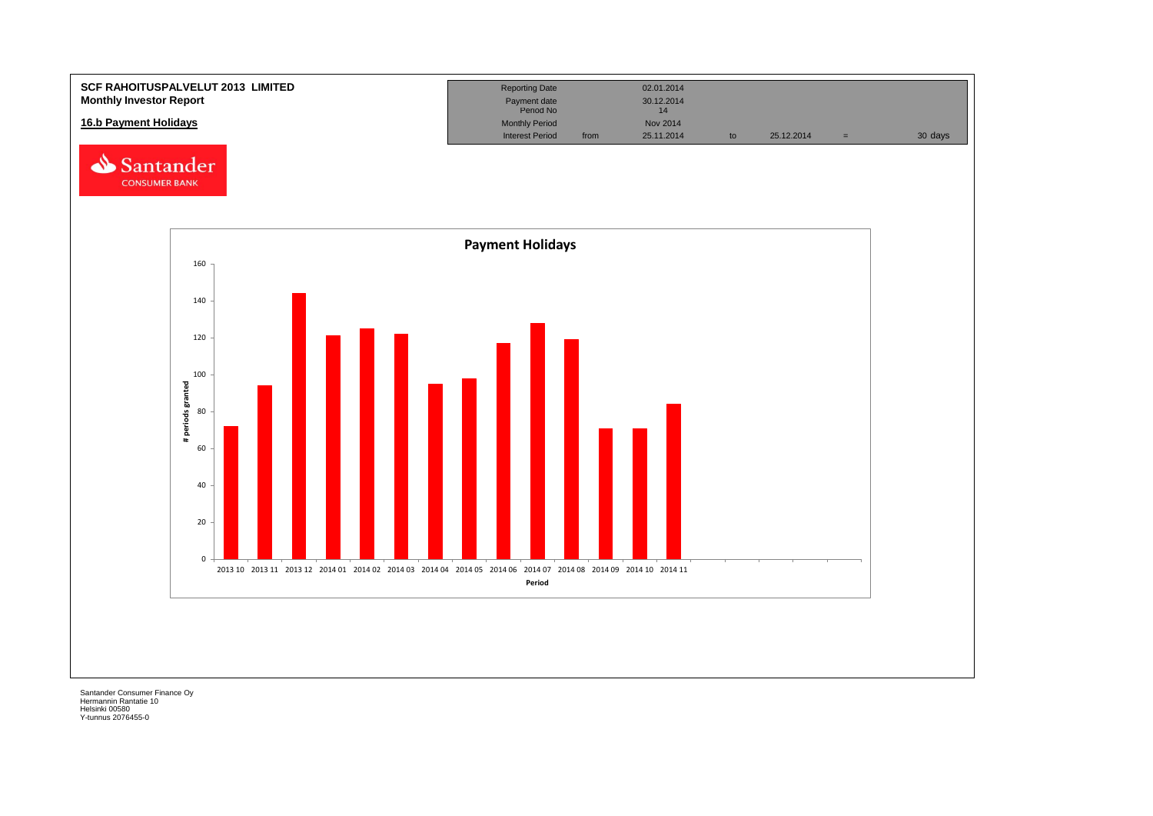![](_page_26_Figure_0.jpeg)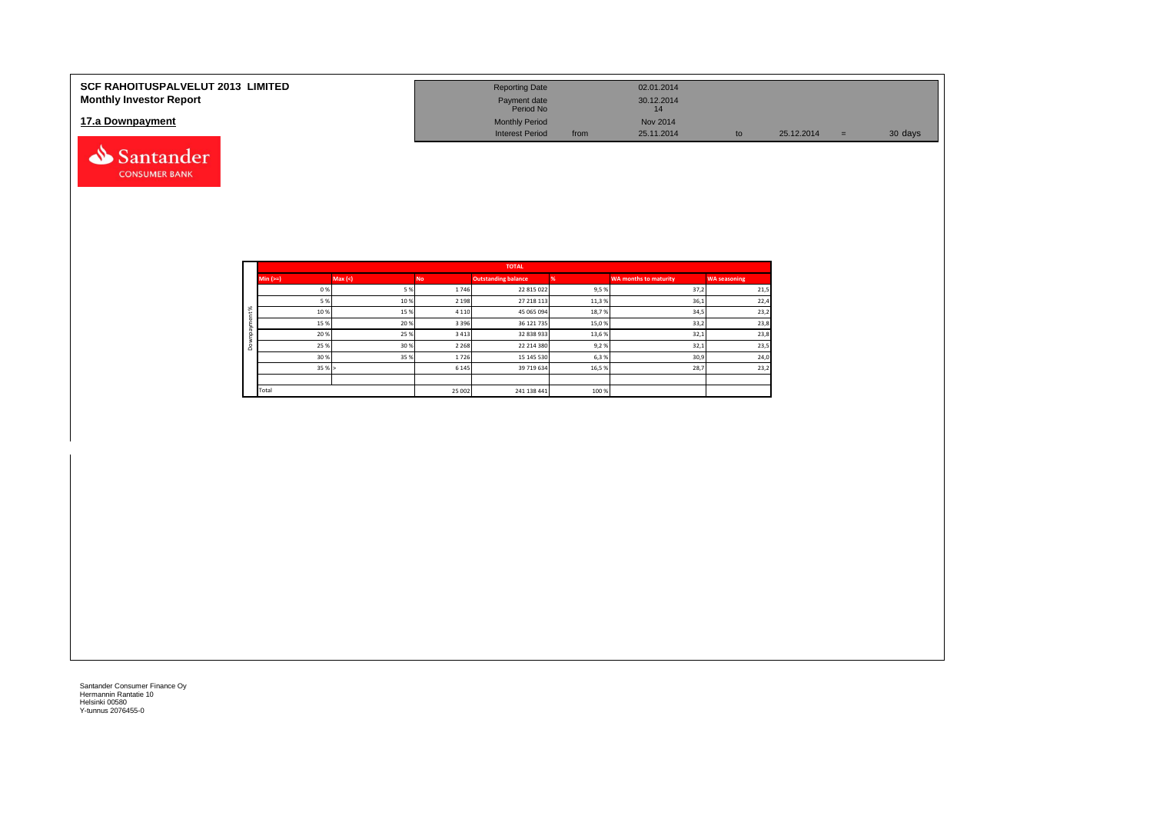| <b>SCF RAHOITUSPALVELUT 2013 LIMITED</b><br><b>Monthly Investor Report</b> | <b>Reporting Date</b><br>Payment date<br>Period No |      | 02.01.2014<br>30.12.2014<br>14 |    |            |     |         |
|----------------------------------------------------------------------------|----------------------------------------------------|------|--------------------------------|----|------------|-----|---------|
| 17.a Downpayment                                                           | <b>Monthly Period</b><br><b>Interest Period</b>    | from | Nov 2014<br>25.11.2014         | to | 25.12.2014 | $=$ | 30 days |
| Santander                                                                  |                                                    |      |                                |    |            |     |         |

|          |           |        |           | <b>TOTAL</b>               |       |                              |                     |
|----------|-----------|--------|-----------|----------------------------|-------|------------------------------|---------------------|
|          | $Min (=)$ | Max(<) | <b>No</b> | <b>Outstanding balance</b> |       | <b>WA months to maturity</b> | <b>WA seasoning</b> |
|          | 0%        | 5%     | 1746      | 22 815 022                 | 9,5%  | 37,2                         | 21,5                |
|          | 5 %       | 10%    | 2 1 9 8   | 27 218 113                 | 11,3% | 36,1                         | 22,4                |
| $\aleph$ | 10%       | 15%    | 4 1 1 0   | 45 065 094                 | 18,7% | 34,5                         | 23,2                |
|          | 15%       | 20%    | 3 3 9 6   | 36 121 735                 | 15,0% | 33,2                         | 23,8                |
|          | 20%       | 25%    | 3 4 1 3   | 32 838 933                 | 13,6% | 32,1                         | 23,8                |
| ۵        | 25 %      | 30%    | 2 2 6 8   | 22 214 380                 | 9,2%  | 32,1                         | 23,5                |
|          | 30%       | 35%    | 1726      | 15 145 530                 | 6,3%  | 30,9                         | 24,0                |
|          | 35%       |        | 6 1 4 5   | 39 719 634                 | 16,5% | 28,7                         | 23,2                |
|          |           |        |           |                            |       |                              |                     |
|          | Total     |        | 25 002    | 241 138 441                | 100 % |                              |                     |

**CONSUMER BANK**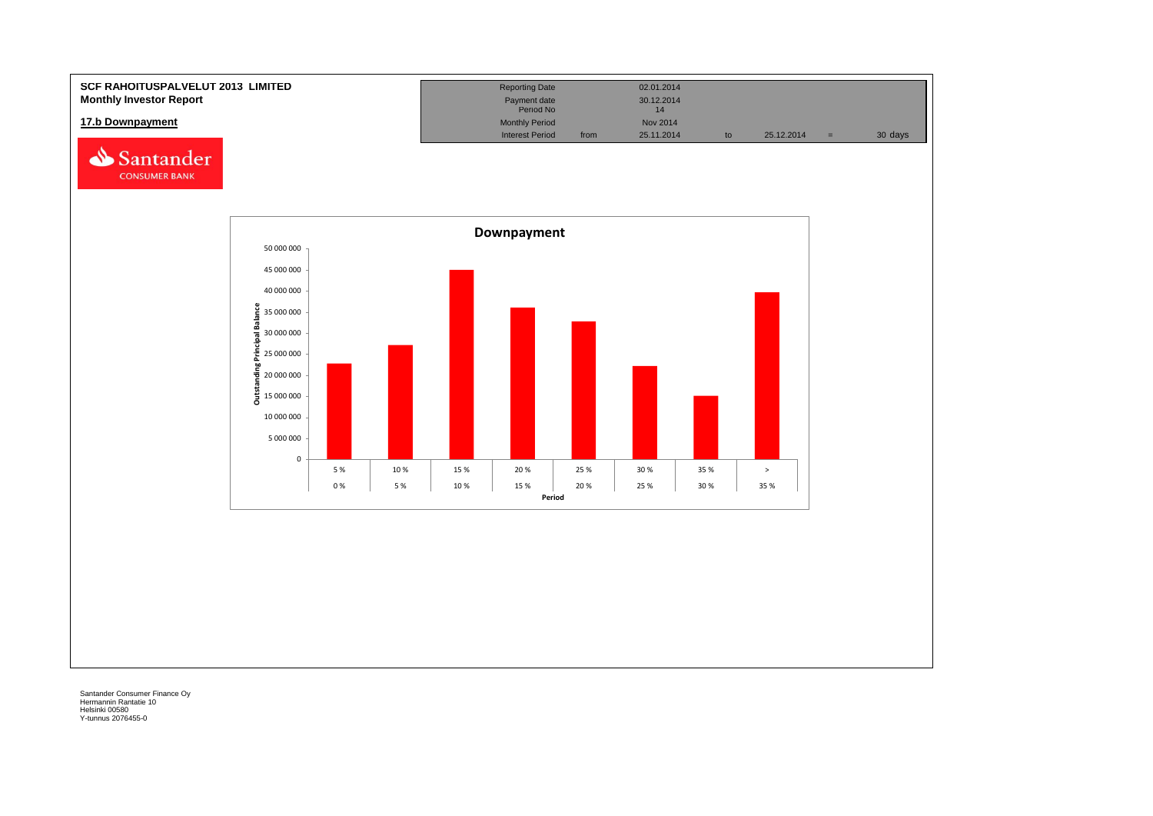![](_page_28_Figure_0.jpeg)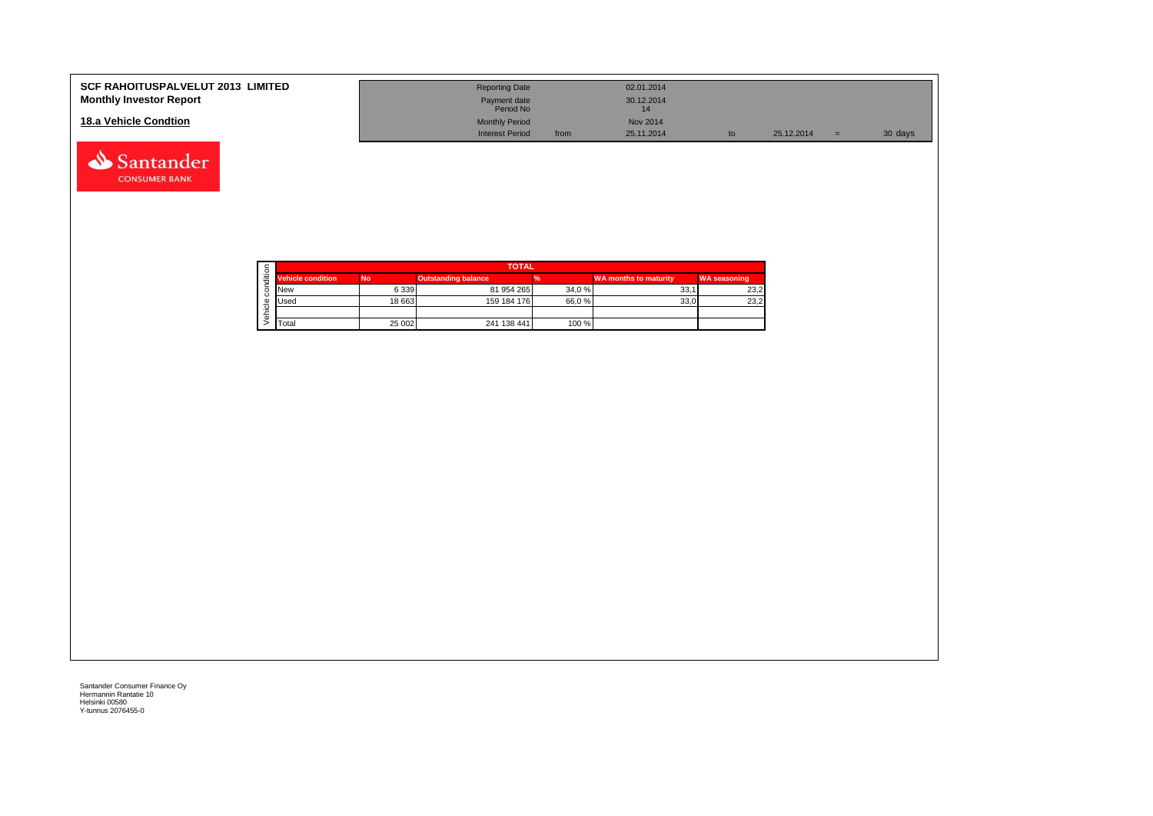| <b>SCF RAHOITUSPALVELUT 2013 LIMITED</b><br><b>Monthly Investor Report</b> | <b>Reporting Date</b><br>Payment date<br>Period No |      | 02.01.2014<br>30.12.2014 |            |     |         |
|----------------------------------------------------------------------------|----------------------------------------------------|------|--------------------------|------------|-----|---------|
| 18.a Vehicle Condtion                                                      | <b>Monthly Period</b>                              |      | Nov 2014                 |            |     |         |
|                                                                            | <b>Interest Period</b>                             | from | 25.11.2014               | 25.12.2014 | $=$ | 30 days |

![](_page_29_Picture_1.jpeg)

Santander **CONSUMER BANK**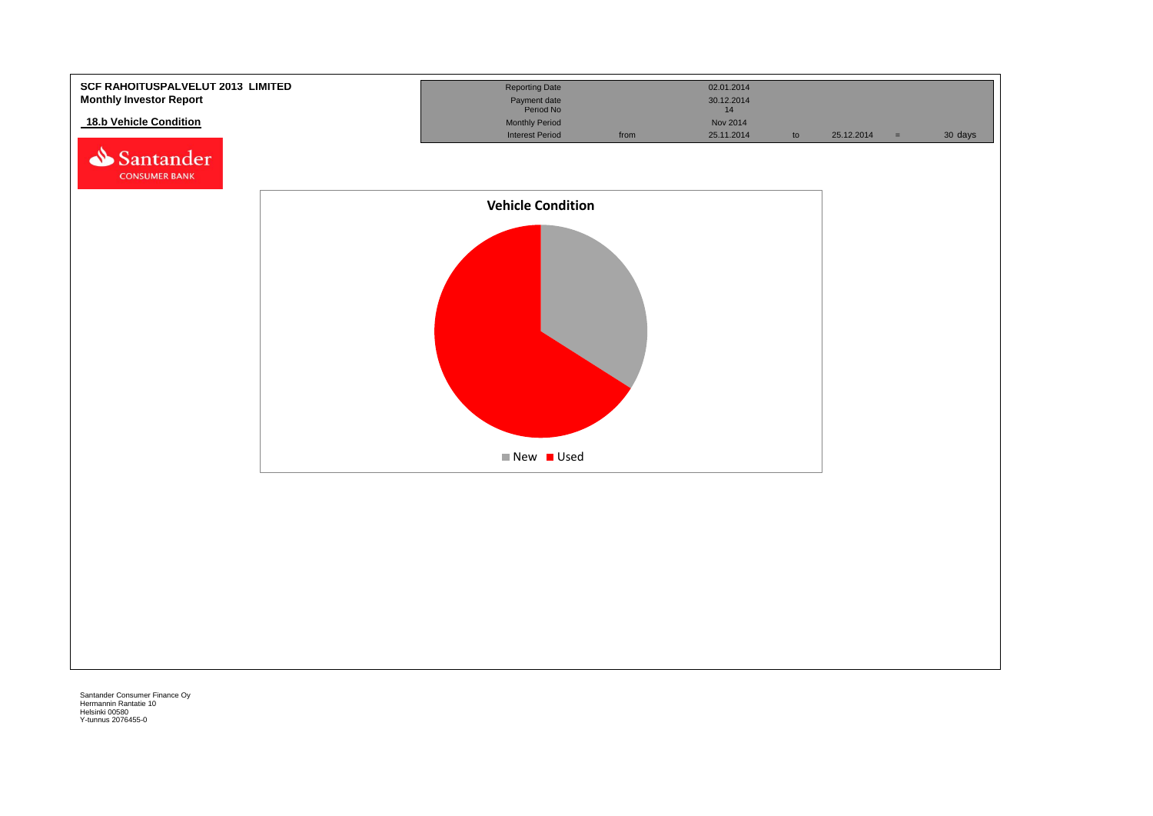![](_page_30_Figure_0.jpeg)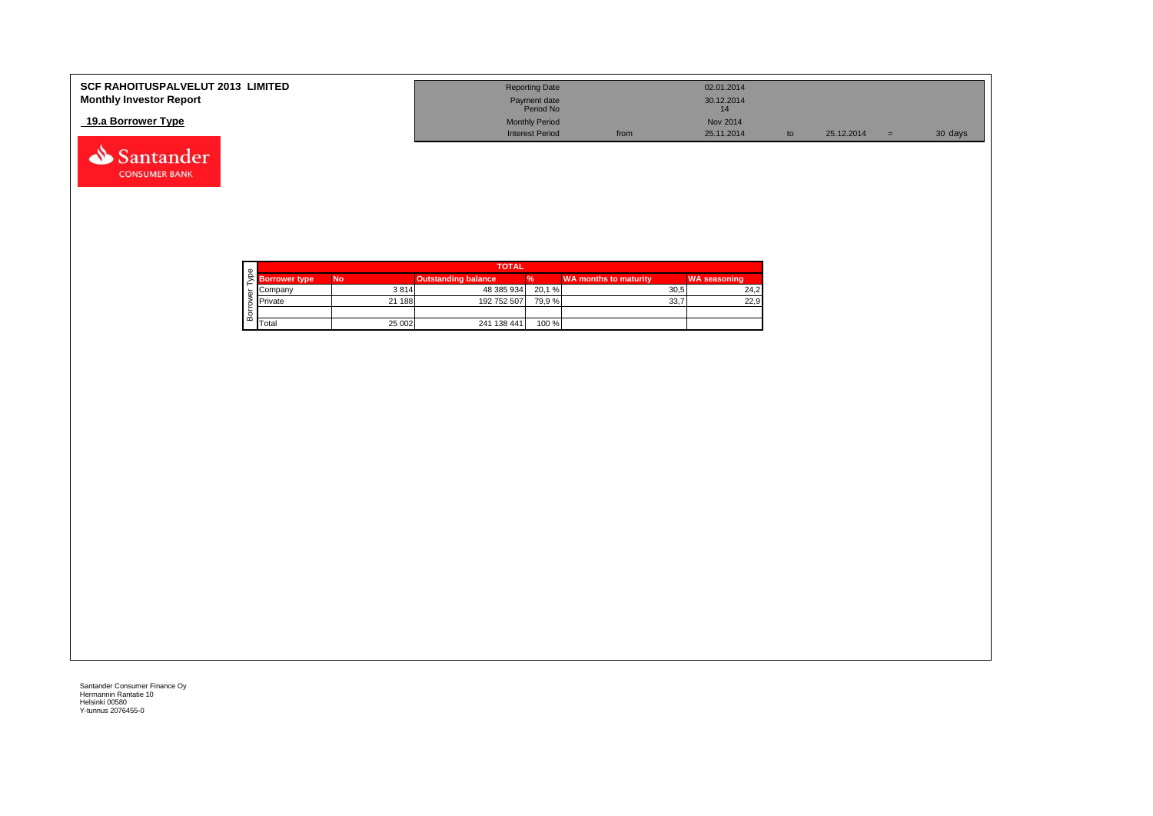| <b>SCF RAHOITUSPALVELUT 2013 LIMITED</b> | <b>Reporting Date</b>     |      | 02.01.2014      |    |            |         |
|------------------------------------------|---------------------------|------|-----------------|----|------------|---------|
| <b>Monthly Investor Report</b>           | Payment date<br>Period No |      | 30.12.2014      |    |            |         |
| 19.a Borrower Type                       | <b>Monthly Period</b>     |      | <b>Nov 2014</b> |    |            |         |
|                                          | <b>Interest Period</b>    | from | 25.11.2014      | to | 25.12.2014 | 30 days |

![](_page_31_Picture_1.jpeg)

Santander **CONSUMER BANK**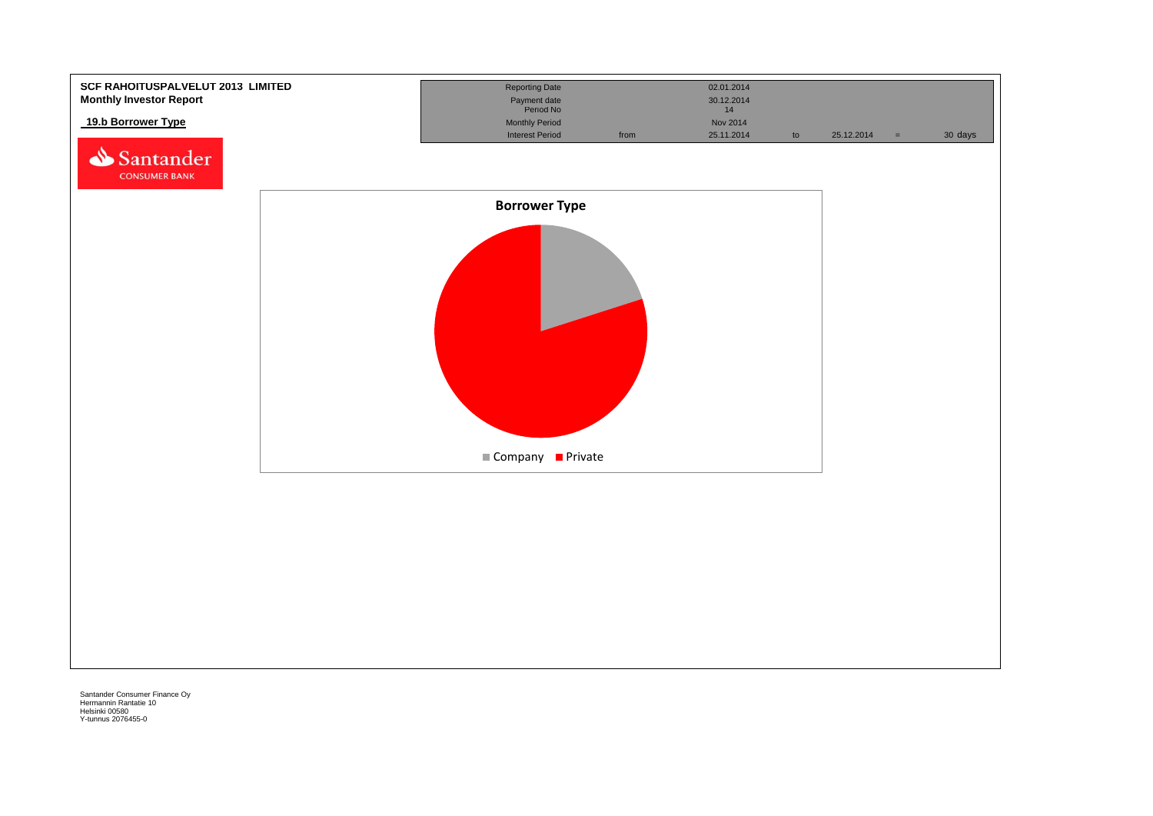![](_page_32_Figure_0.jpeg)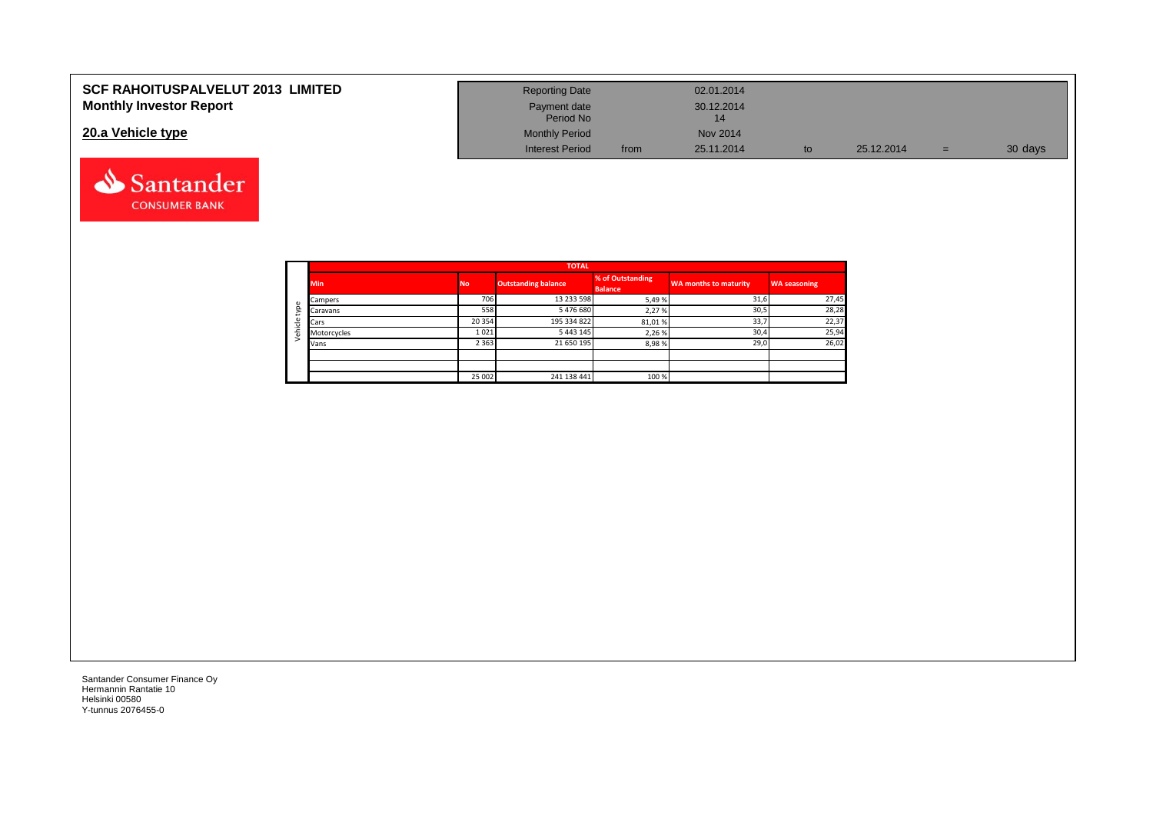| <b>SCF RAHOITUSPALVELUT 2013 LIMITED</b><br><b>Monthly Investor Report</b> | <b>Reporting Date</b><br>Payment date |      | 02.01.2014<br>30.12.2014 |    |            |     |         |
|----------------------------------------------------------------------------|---------------------------------------|------|--------------------------|----|------------|-----|---------|
|                                                                            | Period No                             |      |                          |    |            |     |         |
| 20.a Vehicle type                                                          | <b>Monthly Period</b>                 |      | Nov 2014                 |    |            |     |         |
|                                                                            | <b>Interest Period</b>                | from | 25.11.2014               | to | 25.12.2014 | $=$ | 30 days |

![](_page_33_Picture_1.jpeg)

Santander **CONSUMER BANK**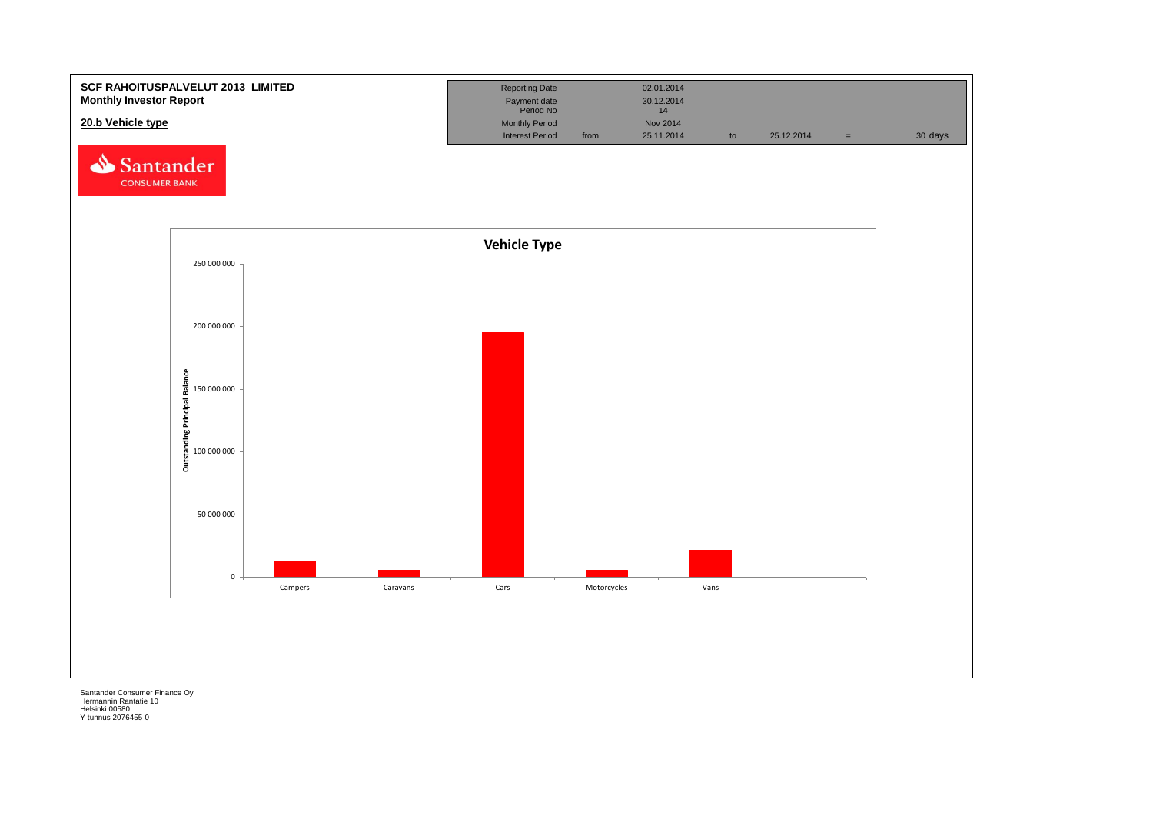![](_page_34_Figure_0.jpeg)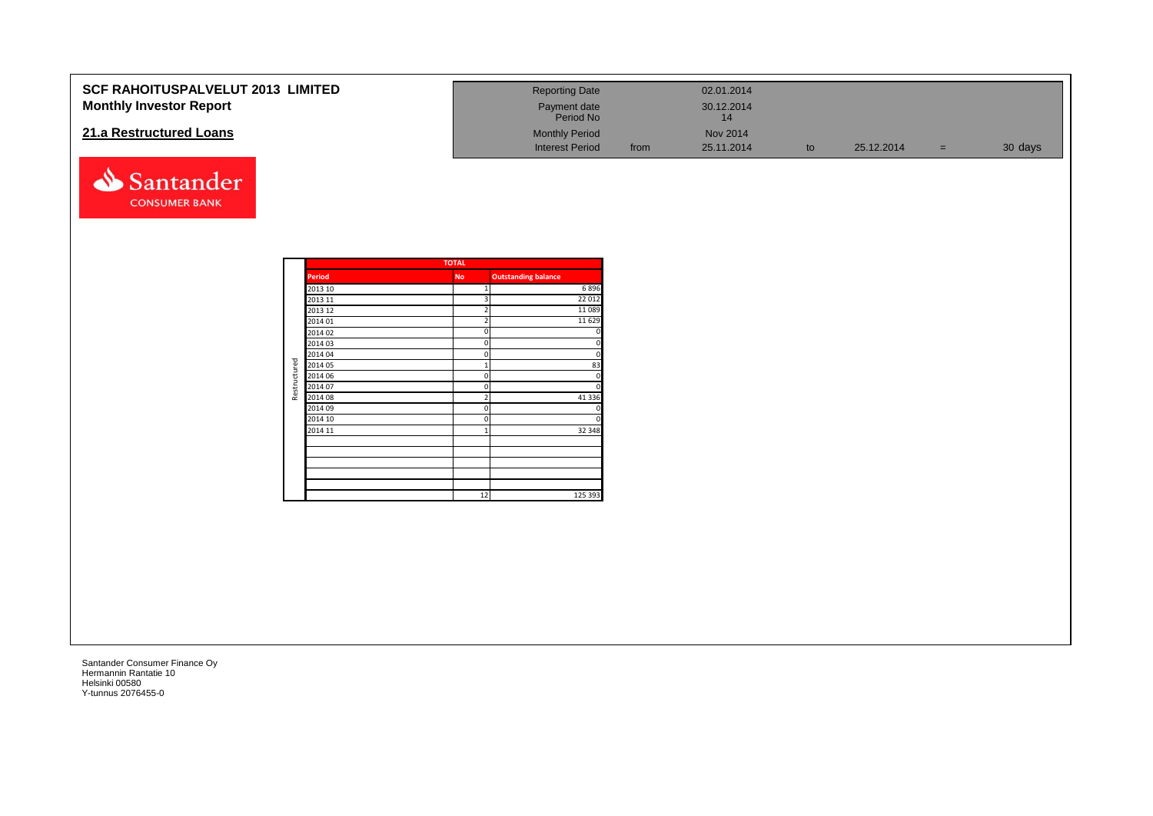| <b>SCF RAHOITUSPALVELUT 2013 LIMITED</b> | <b>Reporting Date</b>     |      | 02.01.2014 |            |     |         |
|------------------------------------------|---------------------------|------|------------|------------|-----|---------|
| <b>Monthly Investor Report</b>           | Payment date<br>Period No |      | 30.12.2014 |            |     |         |
| 21.a Restructured Loans                  | <b>Monthly Period</b>     |      | Nov 2014   |            |     |         |
|                                          | <b>Interest Period</b>    | from | 25.11.2014 | 25.12.2014 | $=$ | 30 days |

|                    |               | <b>TOTAL</b>            |                            |
|--------------------|---------------|-------------------------|----------------------------|
|                    | <b>Period</b> | <b>No</b>               | <b>Outstanding balance</b> |
| 2013 10<br>2013 11 | 1             | 6896                    |                            |
|                    |               | 3                       | 22 012                     |
|                    | 2013 12       | $\overline{\mathbf{c}}$ | 11 0 89                    |
|                    | 2014 01       | $\overline{2}$          | 11 6 29                    |
|                    | 2014 02       | 0                       | 0                          |
|                    | 2014 03       | 0                       | $\mathbf 0$                |
|                    | 2014 04       | 0                       | $\mathbf 0$                |
| Restructured       | 2014 05       | $\overline{1}$          | 83                         |
|                    | 2014 06       | 0                       | $\mathbf 0$                |
|                    | 2014 07       | 0                       | $\mathbf 0$                |
|                    | 2014 08       | $\overline{2}$          | 41 3 3 6                   |
|                    | 2014 09       | 0                       | 0                          |
|                    | 2014 10       | $\mathbf 0$             | $\mathbf 0$                |
|                    | 2014 11       | $\overline{1}$          | 32 348                     |
|                    |               |                         |                            |
|                    |               |                         |                            |
|                    |               |                         |                            |
|                    |               |                         |                            |
|                    |               |                         |                            |
|                    |               | 12                      | 125 393                    |

Santander **CONSUMER BANK**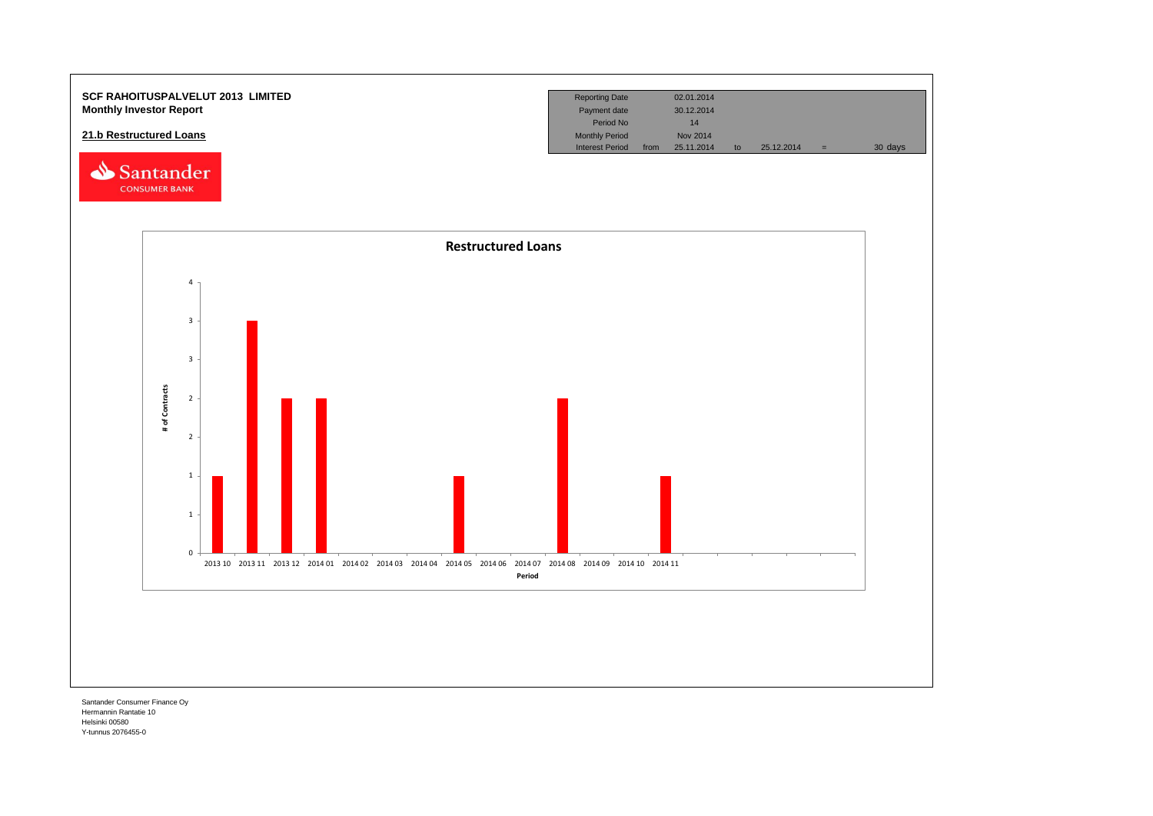![](_page_36_Figure_0.jpeg)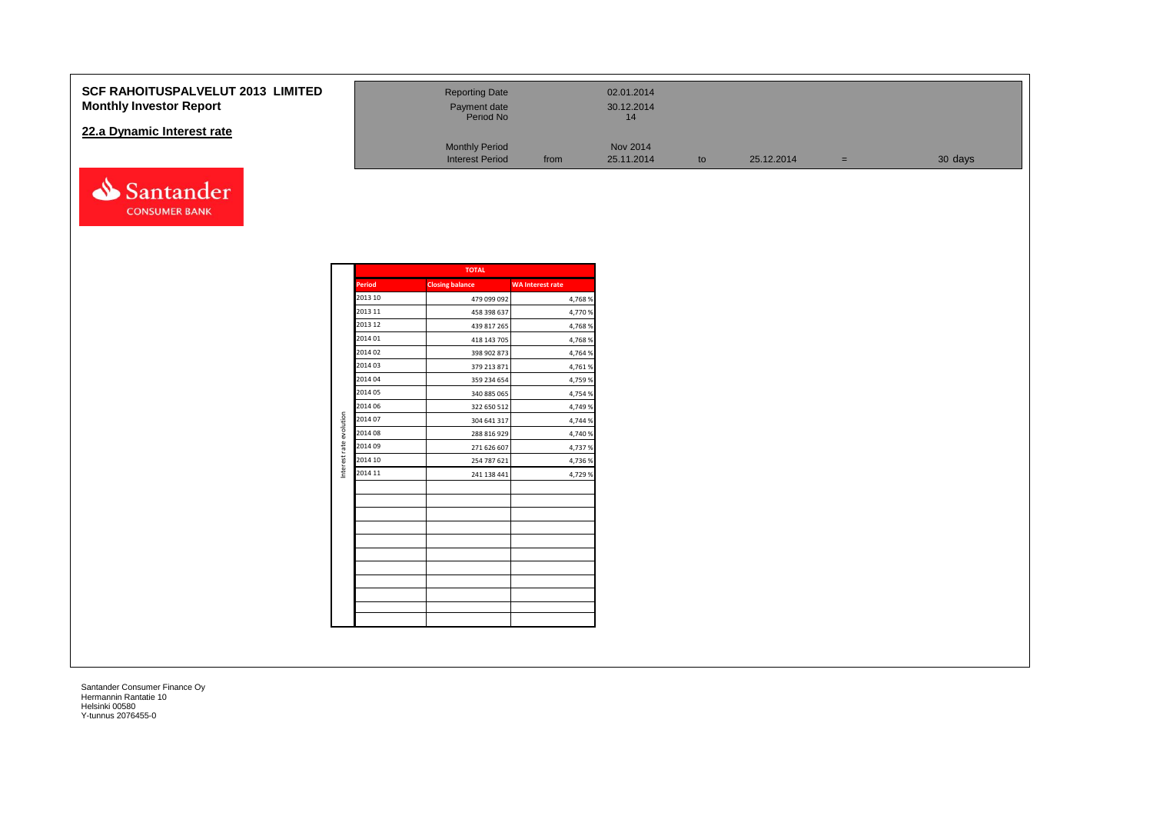#### **SCF RAHOITUSPALVELUT 2013 Monthly Investor Report**

#### **22.a Dynamic Interest rate**

![](_page_37_Picture_2.jpeg)

| <b>3 LIMITED</b> | <b>Reporting Date</b><br>Payment date<br>Period No |      | 02.01.2014<br>30.12.2014<br>14 |    |            |   |         |
|------------------|----------------------------------------------------|------|--------------------------------|----|------------|---|---------|
|                  | <b>Monthly Period</b><br><b>Interest Period</b>    | from | <b>Nov 2014</b><br>25.11.2014  | to | 25.12.2014 | = | 30 days |

|                         |         | .                      |                         |
|-------------------------|---------|------------------------|-------------------------|
|                         | Period  | <b>Closing balance</b> | <b>WA</b> Interest rate |
|                         | 2013 10 | 479 099 092            | 4,768%                  |
|                         | 2013 11 | 458 398 637            | 4,770 %                 |
|                         | 2013 12 | 439 817 265            | 4,768%                  |
|                         | 2014 01 | 418 143 705            | 4,768 %                 |
|                         | 2014 02 | 398 902 873            | 4,764 %                 |
|                         | 2014 03 | 379 213 871            | 4,761%                  |
|                         | 2014 04 | 359 234 654            | 4,759 %                 |
|                         | 2014 05 | 340 885 065            | 4,754 %                 |
|                         | 2014 06 | 322 650 512            | 4,749 %                 |
| Interest rate evolution | 2014 07 | 304 641 317            | 4,744 %                 |
|                         | 2014 08 | 288 816 929            | 4,740 %                 |
|                         | 2014 09 | 271 626 607            | 4,737 %                 |
|                         | 2014 10 | 254 787 621            | 4,736 %                 |
|                         | 2014 11 | 241 138 441            | 4,729 %                 |
|                         |         |                        |                         |
|                         |         |                        |                         |
|                         |         |                        |                         |
|                         |         |                        |                         |
|                         |         |                        |                         |
|                         |         |                        |                         |
|                         |         |                        |                         |
|                         |         |                        |                         |
|                         |         |                        |                         |
|                         |         |                        |                         |
|                         |         |                        |                         |

**TOTAL**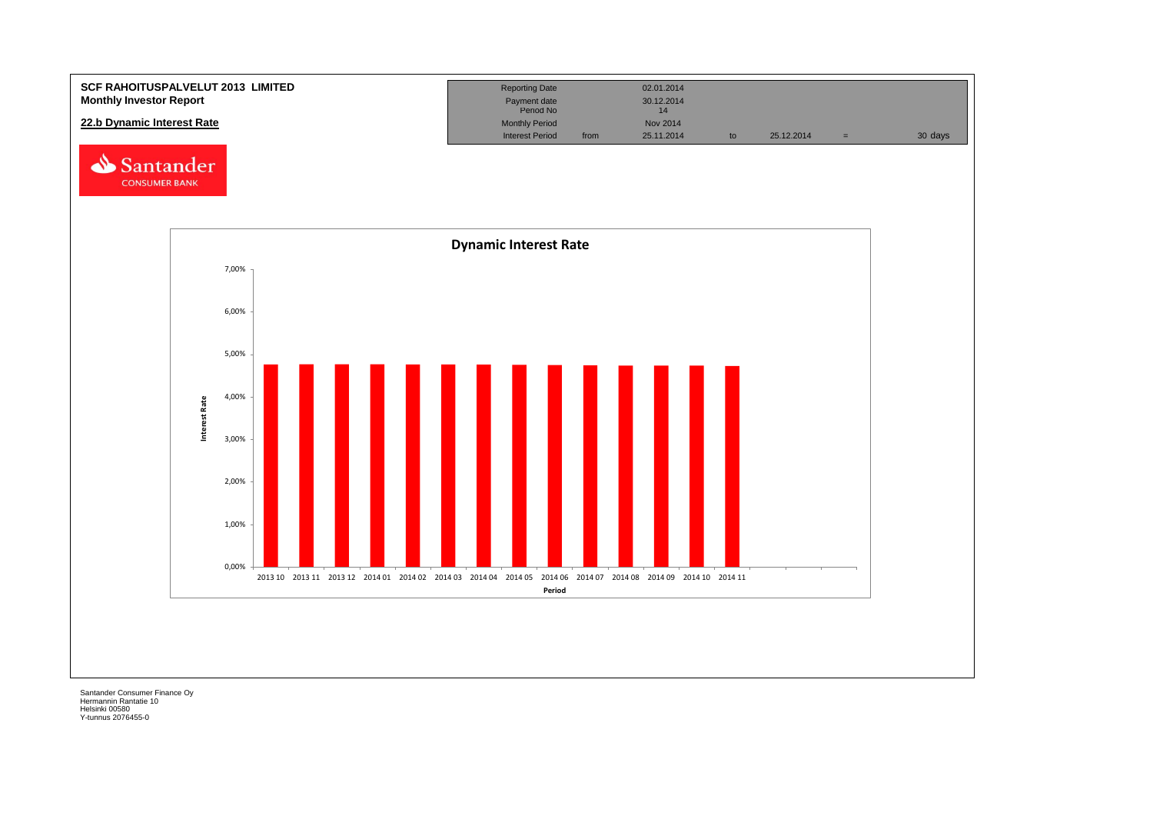![](_page_38_Figure_0.jpeg)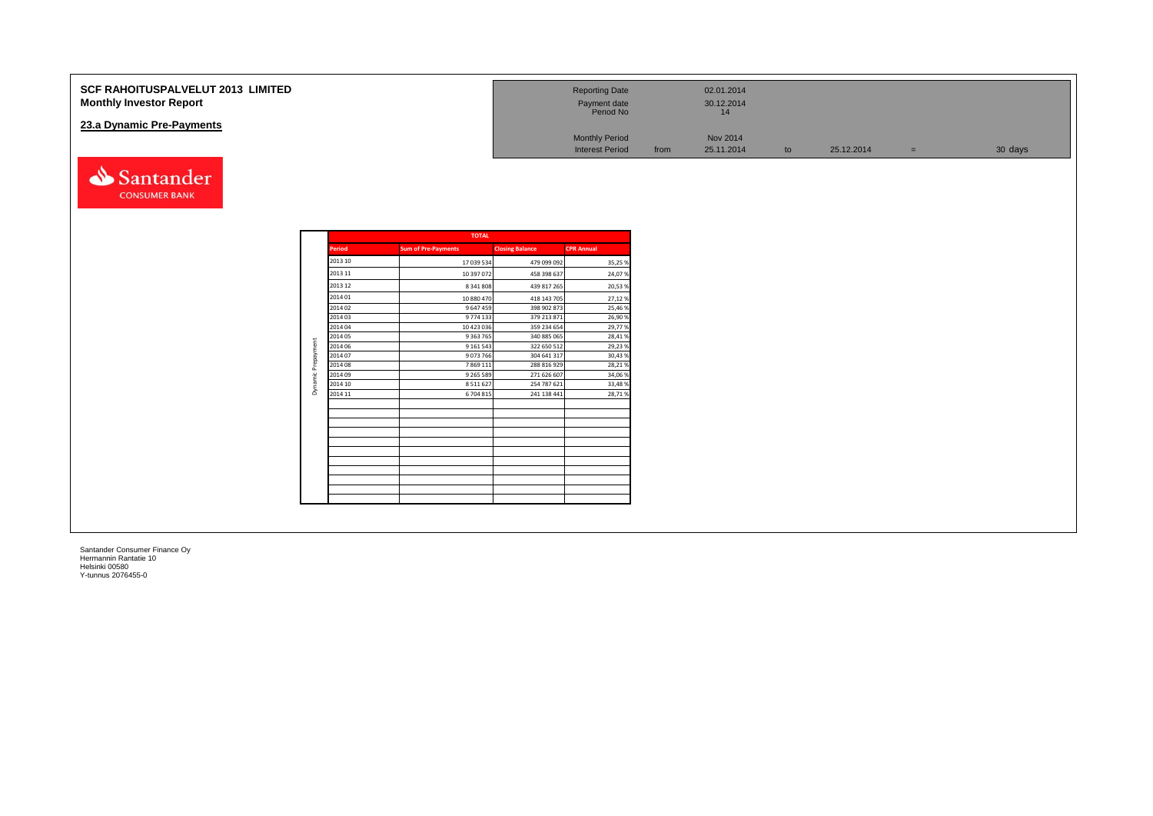| <b>SCF RAHOITUSPALVELUT 2013 LIMITED</b><br><b>Monthly Investor Report</b> | <b>Reporting Date</b><br>Payment date<br>Period No |      | 02.01.2014<br>30.12.2014<br>14 |    |            |     |         |
|----------------------------------------------------------------------------|----------------------------------------------------|------|--------------------------------|----|------------|-----|---------|
| 23.a Dynamic Pre-Payments                                                  | <b>Monthly Period</b><br><b>Interest Period</b>    | from | Nov 2014<br>25.11.2014         | to | 25.12.2014 | $=$ | 30 days |
| Santander                                                                  |                                                    |      |                                |    |            |     |         |

|               | <b>TOTAL</b>               |                        |                   |
|---------------|----------------------------|------------------------|-------------------|
| <b>Period</b> | <b>Sum of Pre-Payments</b> | <b>Closing Balance</b> | <b>CPR Annual</b> |
| 2013 10       | 17 039 534                 | 479 099 092            | 35,25%            |
| 2013 11       | 10 397 072                 | 458 398 637            | 24,07%            |
| 2013 12       | 8 341 808                  | 439 817 265            | 20,53%            |
| 2014 01       | 10 880 470                 | 418 143 705            | 27,12%            |
| 2014 02       | 9 647 459                  | 398 902 873            | 25,46%            |
| 2014 03       | 9 774 133                  | 379 213 871            | 26,90%            |
| 2014 04       | 10 423 036                 | 359 234 654            | 29,77%            |
| 2014 05       | 9 3 63 7 65                | 340 885 065            | 28,41%            |
| 2014 06       | 9 1 6 1 5 4 3              | 322 650 512            | 29,23%            |
| 2014 07       | 9073766                    | 304 641 317            | 30,43%            |
| 2014 08       | 7869111                    | 288 816 929            | 28,21%            |
| 2014 09       | 9 2 6 5 5 8 9              | 271 626 607            | 34,06%            |
| 2014 10       | 8511627                    | 254 787 621            | 33,48%            |
| 2014 11       | 6704815                    | 241 138 441            | 28,71%            |
|               |                            |                        |                   |
|               |                            |                        |                   |
|               |                            |                        |                   |
|               |                            |                        |                   |
|               |                            |                        |                   |
|               |                            |                        |                   |

**CONSUMER BANK**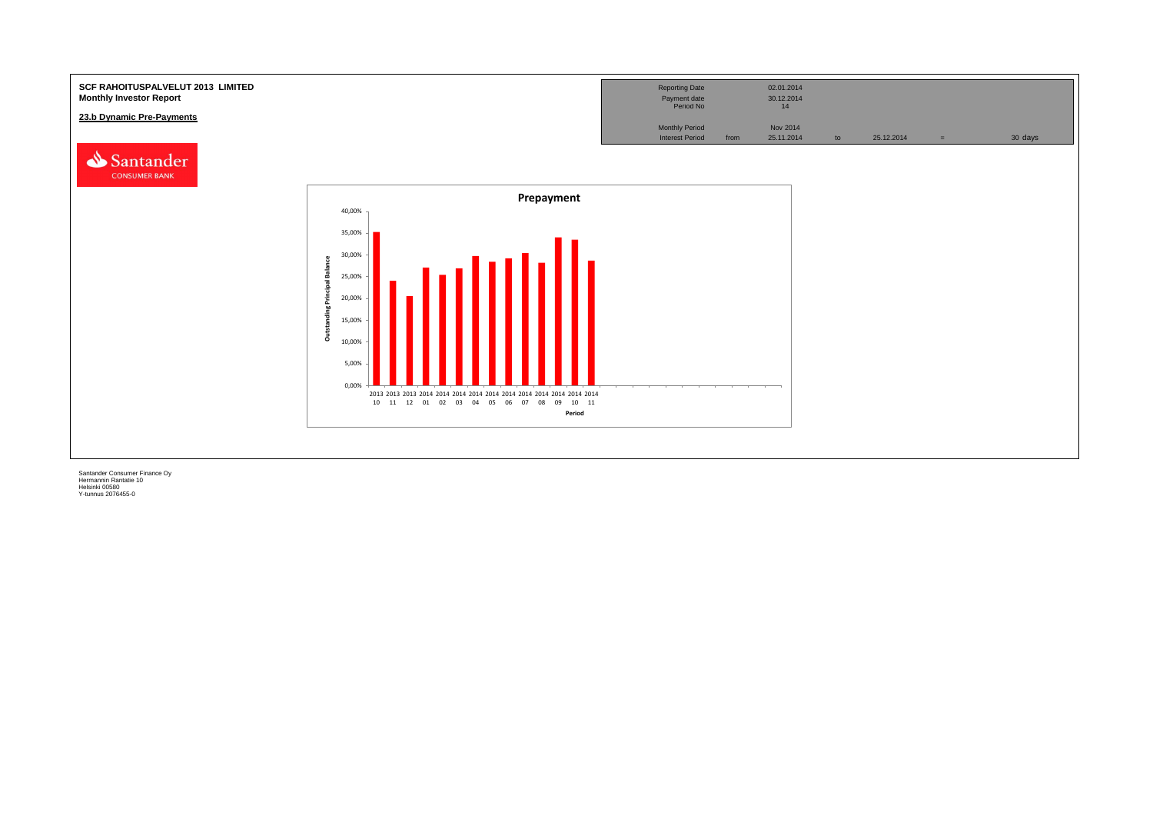![](_page_40_Figure_0.jpeg)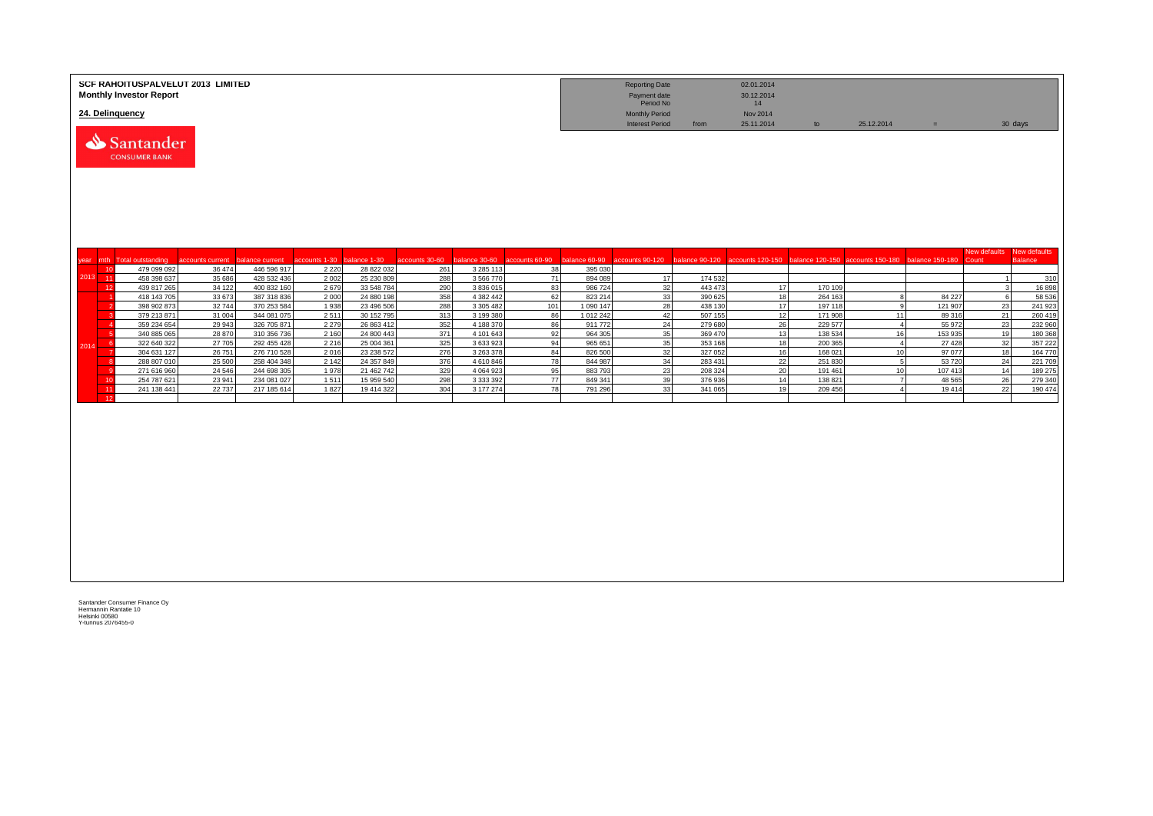|               | SCF RAHOITUSPALVELUT 2013 LIMITED<br><b>Monthly Investor Report</b> |                            |                                |                          |                            |                                     |                        |                      |                   | <b>Reporting Date</b><br>Payment date<br>Period No |                    | 02.01.2014<br>30.12.2014<br>14 |                    |                                                                                                                |                   |                           |                    |
|---------------|---------------------------------------------------------------------|----------------------------|--------------------------------|--------------------------|----------------------------|-------------------------------------|------------------------|----------------------|-------------------|----------------------------------------------------|--------------------|--------------------------------|--------------------|----------------------------------------------------------------------------------------------------------------|-------------------|---------------------------|--------------------|
|               | 24. Delinguency                                                     |                            |                                |                          |                            |                                     |                        |                      |                   | <b>Monthly Period</b><br><b>Interest Period</b>    |                    | Nov 2014<br>25.11.2014         |                    | 25.12.2014                                                                                                     |                   |                           |                    |
|               | Santander<br><b>CONSUMER BANK</b>                                   |                            |                                |                          |                            |                                     |                        |                      |                   |                                                    | from               |                                | to                 |                                                                                                                | $=$               |                           | 30 days            |
|               |                                                                     |                            |                                |                          |                            |                                     |                        |                      |                   |                                                    |                    |                                |                    |                                                                                                                |                   | New defaults New defaults |                    |
| year<br>10    | mth Total outstanding<br>479 099 092                                | accounts current<br>36 474 | balance current<br>446 596 917 | accounts 1-30<br>2 2 2 0 | balance 1-30<br>28 822 032 | accounts 30-60 balance 30-60<br>261 | 3 2 8 5 1 1 3          | accounts 60-90<br>38 | 395 030           |                                                    |                    |                                |                    | balance 60-90 accounts 90-120 balance 90-120 accounts 120-150 balance 120-150 accounts 150-180 balance 150-180 |                   | Count                     | <b>Balance</b>     |
| 2013<br>$-11$ | 458 398 637                                                         | 35 686                     | 428 532 436                    | 2 0 0 2                  | 25 230 809                 | 288                                 | 3 566 770              | 71                   | 894 089           | 17                                                 | 174 532            |                                |                    |                                                                                                                |                   |                           | 310                |
| 12            | 439 817 265                                                         | 34 122                     | 400 832 160                    | 2679                     | 33 548 784                 | 290                                 | 3 836 015              | 83                   | 986 724           | 32                                                 | 443 473            | 17                             | 170 109            |                                                                                                                |                   |                           | 16898              |
|               | 418 143 705                                                         | 33 673                     | 387 318 836                    | 2000                     | 24 880 198                 | 358                                 | 4 382 442              | 62                   | 823 214           | 33                                                 | 390 625            | 18                             | 264 163            | 8                                                                                                              | 84 227            | - 6                       | 58 536             |
|               | 398 902 873                                                         | 32744                      | 370 253 584                    | 1938                     | 23 496 506                 | 288                                 | 3 305 482              | 101                  | 1 090 147         | 28                                                 | 438 130            | 17                             | 197 118            | $\alpha$                                                                                                       | 121 907           | 23                        | 241 923            |
|               | 379 213 871                                                         | 31 004                     | 344 081 075                    | 2511                     | 30 152 795                 | 313                                 | 3 199 380              | 86                   | 1 012 242         | 42                                                 | 507 155            | 12                             | 171 908            | 11                                                                                                             | 89 316            | 21                        | 260 419            |
|               | 359 234 654<br>340 885 065                                          | 29 943<br>28 870           | 326 705 871<br>310 356 736     | 2 2 7 9<br>2 1 6 0       | 26 863 412<br>24 800 443   | 352<br>371                          | 4 188 370<br>4 101 643 | 86<br>92             | 911772<br>964 305 | 24<br>35                                           | 279 680<br>369 470 | 26<br>13                       | 229 577<br>138 534 | $\mathbf{A}$<br>16                                                                                             | 55 972<br>153 935 | 23<br>19                  | 232 960<br>180 368 |
| - 6           | 322 640 322                                                         | 27 705                     | 292 455 428                    | 2 2 1 6                  | 25 004 361                 | 325                                 | 3 633 923              | 94                   | 965 651           | 35                                                 | 353 168            | 18                             | 200 365            | $\overline{4}$                                                                                                 | 27 4 28           | 32                        | 357 222            |
| $201 -$       | 304 631 127                                                         | 26 751                     | 276 710 528                    | 2016                     | 23 238 572                 | 276                                 | 3 263 378              | 84                   | 826 500           | 32                                                 | 327 052            | 16                             | 168 021            | 10 <sup>1</sup>                                                                                                | 97 077            | 18                        | 164 770            |
|               | 288 807 010                                                         | 25 500                     | 258 404 348                    | 2 1 4 2                  | 24 357 849                 | 376                                 | 4 610 846              | 78                   | 844 987           | 34                                                 | 283 431            | 22                             | 251 830            | 5                                                                                                              | 53 720            | 24                        | 221 709            |
|               | 271 616 960                                                         | 24 5 46                    | 244 698 305                    | 1978                     | 21 462 742                 | 329                                 | 4 0 6 4 9 2 3          | 95                   | 883793            | 23                                                 | 208 324            | 20                             | 191 461            | 10 <sup>1</sup>                                                                                                | 107 413           | 14                        | 189 275            |
| 10            | 254 787 621                                                         | 23 941                     | 234 081 027                    | 1511                     | 15 959 540                 | 298                                 | 3 3 3 3 3 9 2          | $\overline{77}$      | 849 341           | 39                                                 | 376 936            | 14                             | 138 821            | $\overline{7}$                                                                                                 | 48 5 65           | 26                        | 279 340            |
| 11            | 241 138 441                                                         | 22 737                     | 217 185 614                    | 1827                     | 19 414 322                 | 304                                 | 3 177 274              | 78                   | 791 296           | 33                                                 | 341 065            | 19                             | 209 456            | $\overline{4}$                                                                                                 | 19414             | 22                        | 190 474            |
| 12            |                                                                     |                            |                                |                          |                            |                                     |                        |                      |                   |                                                    |                    |                                |                    |                                                                                                                |                   |                           |                    |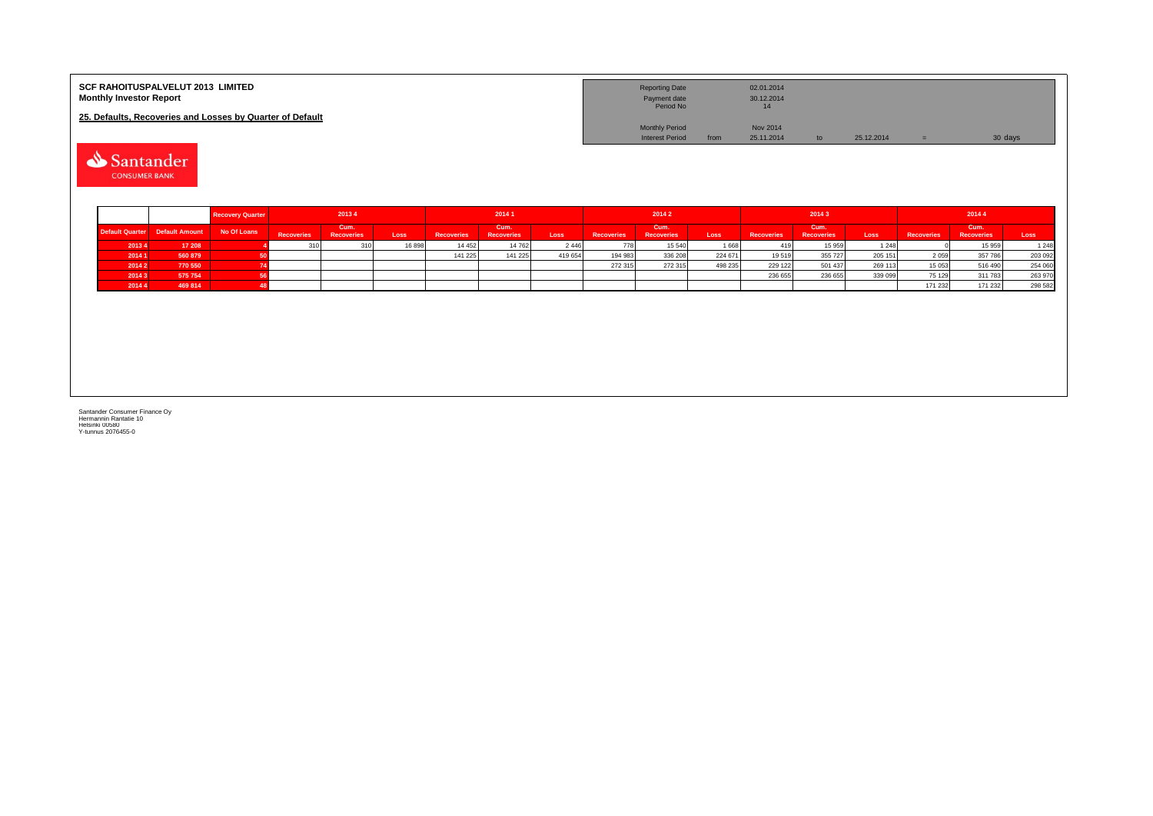| <b>SCF RAHOITUSPALVELUT 2013 LIMITED</b><br><b>Monthly Investor Report</b> | <b>Reporting Date</b><br>Payment date<br>Period No |      | 02.01.2014<br>30.12.2014<br>14 |    |            |         |
|----------------------------------------------------------------------------|----------------------------------------------------|------|--------------------------------|----|------------|---------|
| 25. Defaults, Recoveries and Losses by Quarter of Default                  |                                                    |      |                                |    |            |         |
|                                                                            | <b>Monthly Period</b>                              |      | <b>Nov 2014</b>                |    |            |         |
|                                                                            | <b>Interest Period</b>                             | from | 25.11.2014                     | to | 25.12.2014 | 30 days |

Santander

|        |                                 | <b>Recovery Quarter</b> | 20134             |                           | 20141  |                   | 20142                     |         |                   |                           | 20143   |                   | 20144                     |         |                   |                           |         |
|--------|---------------------------------|-------------------------|-------------------|---------------------------|--------|-------------------|---------------------------|---------|-------------------|---------------------------|---------|-------------------|---------------------------|---------|-------------------|---------------------------|---------|
|        | Default Quarter  Default Amount | No Of Loans             | <b>Recoveries</b> | Cum.<br><b>Recoveries</b> | Loss   | <b>Recoveries</b> | Cum.<br><b>Recoveries</b> | Loss    | <b>Recoveries</b> | Cum.<br><b>Recoveries</b> | Loss    | <b>Recoveries</b> | Cum.<br><b>Recoveries</b> | Loss    | <b>Recoveries</b> | Cum.<br><b>Recoveries</b> | Loss    |
| 20134  | 17 208                          |                         |                   |                           | 16 898 | 14 45 2           | 14 762                    | 2446    |                   | 15 540                    | 1668    | 419               | 15 959                    | 1 248   |                   | 15 959                    | 1 2 4 8 |
| 2014 1 | 560 879                         |                         |                   |                           |        | 141 225           | 141 225                   | 419 654 | 194 983           | 336 208                   | 224 671 | 19519             | 355 727                   | 205 151 | 2 0 5 9           | 357786                    | 203 092 |
| 2014 2 | 770 550                         |                         |                   |                           |        |                   |                           |         | 272 315           | 272 315                   | 498 235 | 229 122           | 501 437                   | 269 113 | 15 053            | 516 490                   | 254 060 |
| 20143  | 575 754                         |                         |                   |                           |        |                   |                           |         |                   |                           |         | 236 655           | 236 655                   | 339 099 | 75 129            | 311783                    | 263 970 |
| 20144  | 469 814                         |                         |                   |                           |        |                   |                           |         |                   |                           |         |                   |                           |         | 171 232           | 171 232                   | 298 582 |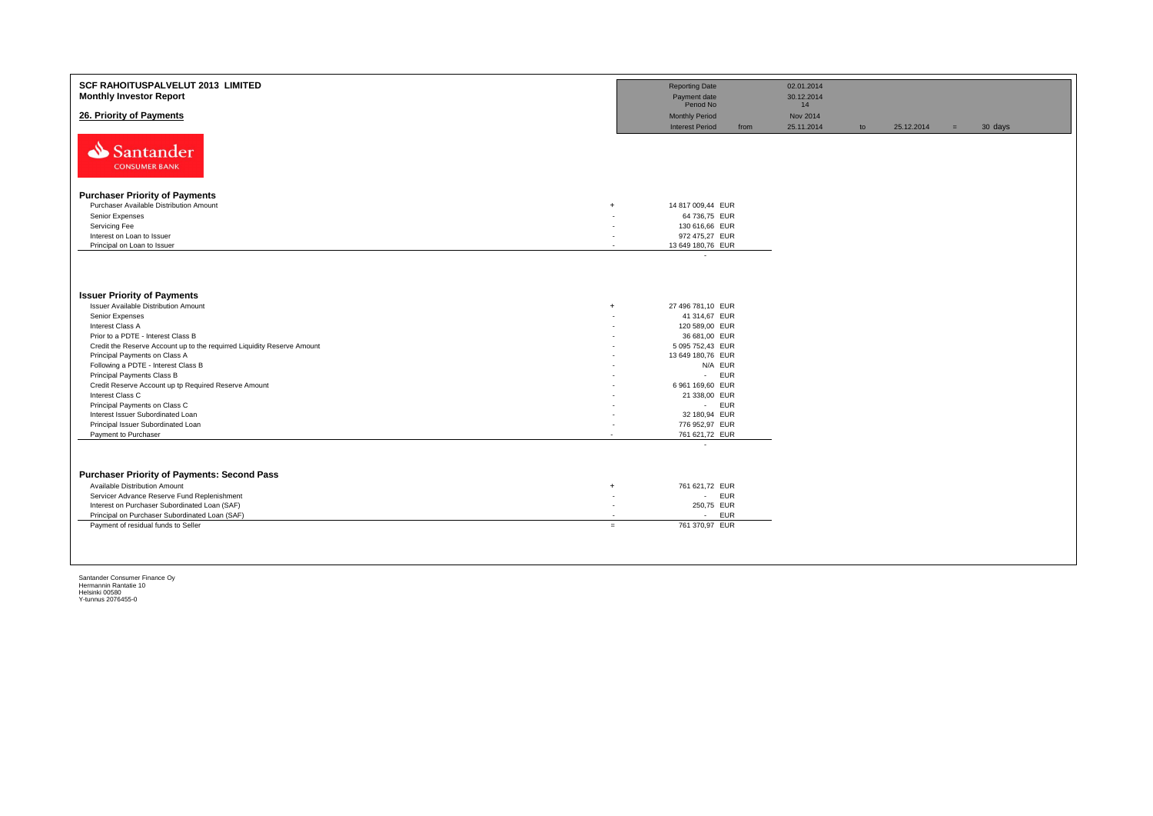| SCF RAHOITUSPALVELUT 2013 LIMITED<br><b>Monthly Investor Report</b>     |                | <b>Reporting Date</b><br>Payment date |      | 02.01.2014<br>30.12.2014 |    |            |     |         |
|-------------------------------------------------------------------------|----------------|---------------------------------------|------|--------------------------|----|------------|-----|---------|
|                                                                         |                | Period No                             |      | 14                       |    |            |     |         |
| 26. Priority of Payments                                                |                | <b>Monthly Period</b>                 |      | Nov 2014                 |    |            |     |         |
|                                                                         |                | <b>Interest Period</b>                | from | 25.11.2014               | to | 25.12.2014 | $=$ | 30 days |
| Santander<br><b>CONSUMER BANK</b>                                       |                |                                       |      |                          |    |            |     |         |
|                                                                         |                |                                       |      |                          |    |            |     |         |
| <b>Purchaser Priority of Payments</b>                                   |                |                                       |      |                          |    |            |     |         |
| Purchaser Available Distribution Amount<br>$\ddot{}$                    |                | 14 817 009,44 EUR                     |      |                          |    |            |     |         |
| Senior Expenses                                                         |                | 64 736,75 EUR                         |      |                          |    |            |     |         |
| Servicing Fee                                                           |                | 130 616,66 EUR                        |      |                          |    |            |     |         |
| Interest on Loan to Issuer<br>Principal on Loan to Issuer               | ٠<br>$\lambda$ | 972 475,27 EUR<br>13 649 180,76 EUR   |      |                          |    |            |     |         |
|                                                                         |                | $\overline{\phantom{a}}$              |      |                          |    |            |     |         |
|                                                                         |                |                                       |      |                          |    |            |     |         |
| <b>Issuer Priority of Payments</b>                                      |                |                                       |      |                          |    |            |     |         |
| Issuer Available Distribution Amount<br>$\ddot{}$                       |                | 27 496 781,10 EUR                     |      |                          |    |            |     |         |
| Senior Expenses                                                         |                | 41 314,67 EUR                         |      |                          |    |            |     |         |
| Interest Class A                                                        |                | 120 589,00 EUR                        |      |                          |    |            |     |         |
| Prior to a PDTE - Interest Class B                                      |                | 36 681,00 EUR                         |      |                          |    |            |     |         |
| Credit the Reserve Account up to the requirred Liquidity Reserve Amount |                | 5 095 752,43 EUR                      |      |                          |    |            |     |         |
| Principal Payments on Class A                                           |                | 13 649 180,76 EUR                     |      |                          |    |            |     |         |
| Following a PDTE - Interest Class B                                     |                | N/A EUR                               |      |                          |    |            |     |         |
| Principal Payments Class B                                              |                | - EUR                                 |      |                          |    |            |     |         |
| Credit Reserve Account up tp Required Reserve Amount                    |                | 6 961 169,60 EUR                      |      |                          |    |            |     |         |
| Interest Class C                                                        |                | 21 338,00 EUR                         |      |                          |    |            |     |         |
| Principal Payments on Class C                                           |                | - EUR                                 |      |                          |    |            |     |         |
| Interest Issuer Subordinated Loan                                       |                | 32 180,94 EUR                         |      |                          |    |            |     |         |
| Principal Issuer Subordinated Loan                                      |                | 776 952,97 EUR                        |      |                          |    |            |     |         |
| Payment to Purchaser<br>$\overline{\phantom{a}}$                        |                | 761 621,72 EUR                        |      |                          |    |            |     |         |
|                                                                         |                | $\epsilon$                            |      |                          |    |            |     |         |
| <b>Purchaser Priority of Payments: Second Pass</b>                      |                |                                       |      |                          |    |            |     |         |
| Available Distribution Amount<br>$\overline{+}$                         |                | 761 621,72 EUR                        |      |                          |    |            |     |         |
| Servicer Advance Reserve Fund Replenishment                             | ٠              | - EUR                                 |      |                          |    |            |     |         |
| Interest on Purchaser Subordinated Loan (SAF)                           | ٠              | 250,75 EUR                            |      |                          |    |            |     |         |
| Principal on Purchaser Subordinated Loan (SAF)                          |                | <b>EUR</b><br>$\sim$                  |      |                          |    |            |     |         |
| Payment of residual funds to Seller                                     | $=$            | 761 370.97 EUR                        |      |                          |    |            |     |         |
|                                                                         |                |                                       |      |                          |    |            |     |         |
|                                                                         |                |                                       |      |                          |    |            |     |         |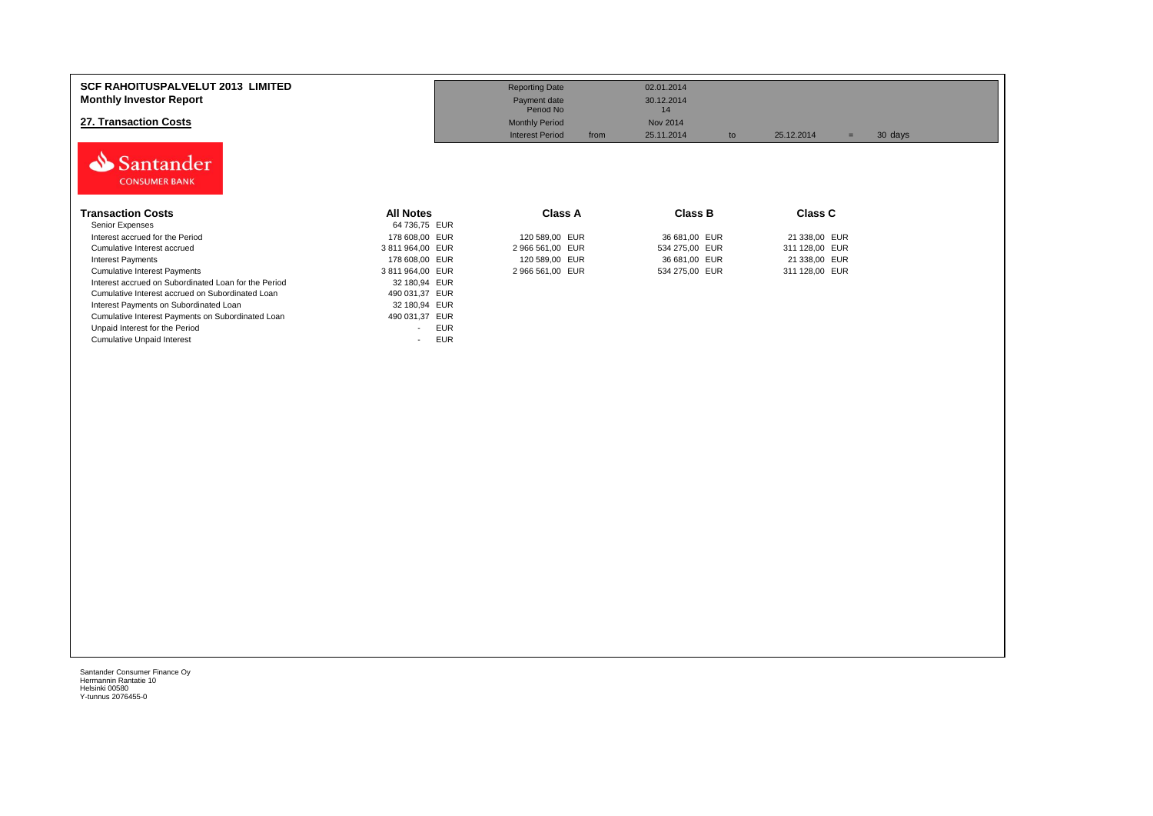| <b>SCF RAHOITUSPALVELUT 2013 LIMITED</b><br><b>Monthly Investor Report</b><br>27. Transaction Costs<br>Santander<br><b>CONSUMER BANK</b> |                  | <b>Reporting Date</b><br>Payment date<br>Period No<br><b>Monthly Period</b><br><b>Interest Period</b><br>from | 02.01.2014<br>30.12.2014<br>14<br>Nov 2014<br>25.11.2014<br>to | 25.12.2014<br>$=$ | 30 days |
|------------------------------------------------------------------------------------------------------------------------------------------|------------------|---------------------------------------------------------------------------------------------------------------|----------------------------------------------------------------|-------------------|---------|
| <b>Transaction Costs</b>                                                                                                                 | <b>All Notes</b> | <b>Class A</b>                                                                                                | <b>Class B</b>                                                 | <b>Class C</b>    |         |
| Senior Expenses                                                                                                                          | 64 736,75 EUR    |                                                                                                               |                                                                |                   |         |
| Interest accrued for the Period                                                                                                          | 178 608,00 EUR   | 120 589,00 EUR                                                                                                | 36 681,00 EUR                                                  | 21 338,00 EUR     |         |
| Cumulative Interest accrued                                                                                                              | 3811964,00 EUR   | 2 966 561,00 EUR                                                                                              | 534 275,00 EUR                                                 | 311 128,00 EUR    |         |
| Interest Payments                                                                                                                        | 178 608,00 EUR   | 120 589,00 EUR                                                                                                | 36 681,00 EUR                                                  | 21 338,00 EUR     |         |
| <b>Cumulative Interest Payments</b>                                                                                                      | 3811964,00 EUR   | 2 966 561,00 EUR                                                                                              | 534 275,00 EUR                                                 | 311 128,00 EUR    |         |
| Interest accrued on Subordinated Loan for the Period                                                                                     | 32 180,94 EUR    |                                                                                                               |                                                                |                   |         |
| Cumulative Interest accrued on Subordinated Loan                                                                                         | 490 031,37 EUR   |                                                                                                               |                                                                |                   |         |
| Interest Payments on Subordinated Loan                                                                                                   | 32 180,94 EUR    |                                                                                                               |                                                                |                   |         |
| Cumulative Interest Payments on Subordinated Loan                                                                                        | 490 031,37 EUR   |                                                                                                               |                                                                |                   |         |
| Unpaid Interest for the Period                                                                                                           | <b>EUR</b>       |                                                                                                               |                                                                |                   |         |
| <b>Cumulative Unpaid Interest</b>                                                                                                        | <b>EUR</b>       |                                                                                                               |                                                                |                   |         |